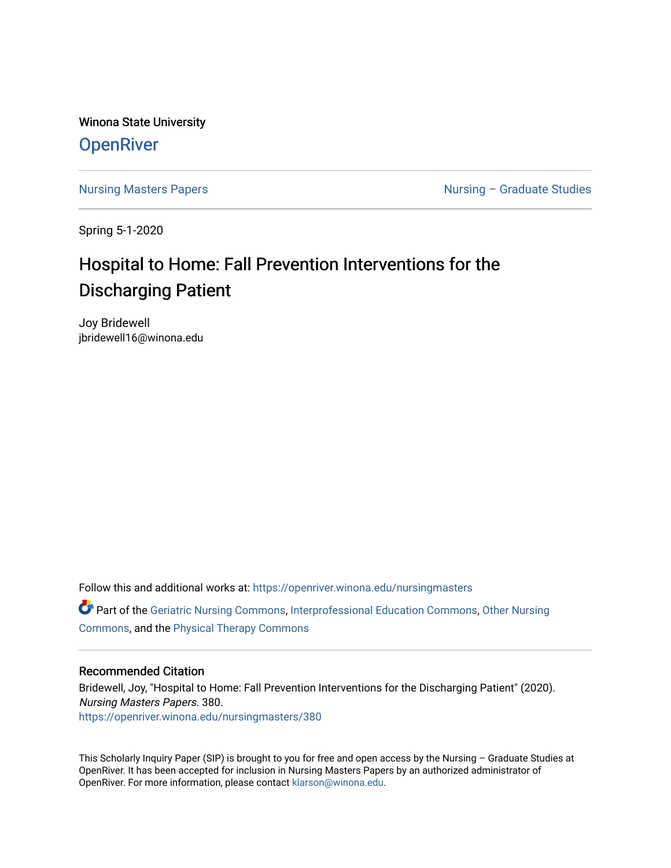Winona State University **OpenRiver** 

[Nursing Masters Papers](https://openriver.winona.edu/nursingmasters) **Nursing – Graduate Studies** 

Spring 5-1-2020

# Hospital to Home: Fall Prevention Interventions for the Discharging Patient

Joy Bridewell jbridewell16@winona.edu

Follow this and additional works at: [https://openriver.winona.edu/nursingmasters](https://openriver.winona.edu/nursingmasters?utm_source=openriver.winona.edu%2Fnursingmasters%2F380&utm_medium=PDF&utm_campaign=PDFCoverPages)  Part of the [Geriatric Nursing Commons,](http://network.bepress.com/hgg/discipline/1034?utm_source=openriver.winona.edu%2Fnursingmasters%2F380&utm_medium=PDF&utm_campaign=PDFCoverPages) [Interprofessional Education Commons,](http://network.bepress.com/hgg/discipline/1372?utm_source=openriver.winona.edu%2Fnursingmasters%2F380&utm_medium=PDF&utm_campaign=PDFCoverPages) [Other Nursing](http://network.bepress.com/hgg/discipline/729?utm_source=openriver.winona.edu%2Fnursingmasters%2F380&utm_medium=PDF&utm_campaign=PDFCoverPages)  [Commons](http://network.bepress.com/hgg/discipline/729?utm_source=openriver.winona.edu%2Fnursingmasters%2F380&utm_medium=PDF&utm_campaign=PDFCoverPages), and the [Physical Therapy Commons](http://network.bepress.com/hgg/discipline/754?utm_source=openriver.winona.edu%2Fnursingmasters%2F380&utm_medium=PDF&utm_campaign=PDFCoverPages)

#### Recommended Citation

Bridewell, Joy, "Hospital to Home: Fall Prevention Interventions for the Discharging Patient" (2020). Nursing Masters Papers. 380. [https://openriver.winona.edu/nursingmasters/380](https://openriver.winona.edu/nursingmasters/380?utm_source=openriver.winona.edu%2Fnursingmasters%2F380&utm_medium=PDF&utm_campaign=PDFCoverPages) 

This Scholarly Inquiry Paper (SIP) is brought to you for free and open access by the Nursing – Graduate Studies at OpenRiver. It has been accepted for inclusion in Nursing Masters Papers by an authorized administrator of OpenRiver. For more information, please contact [klarson@winona.edu](mailto:klarson@winona.edu).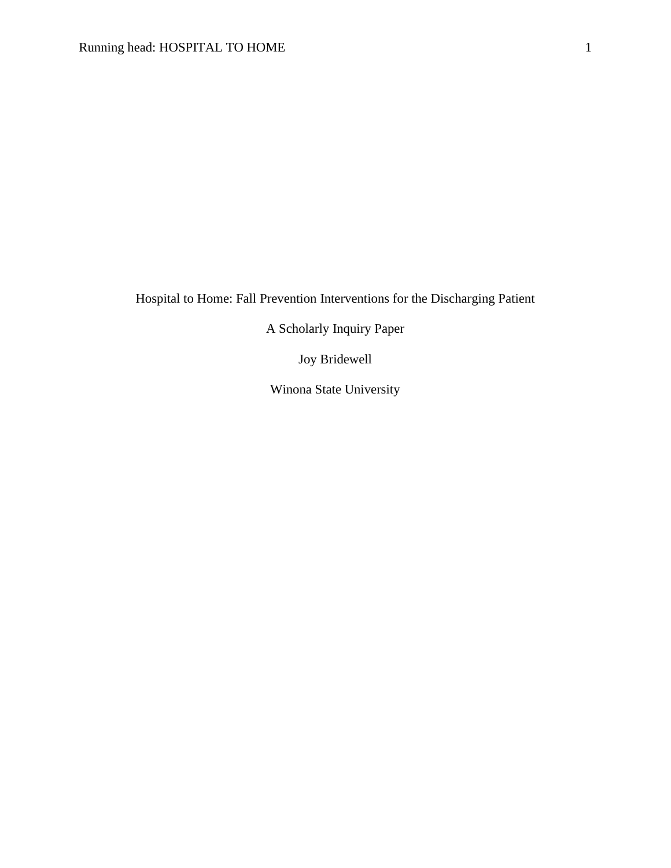Hospital to Home: Fall Prevention Interventions for the Discharging Patient

A Scholarly Inquiry Paper

Joy Bridewell

Winona State University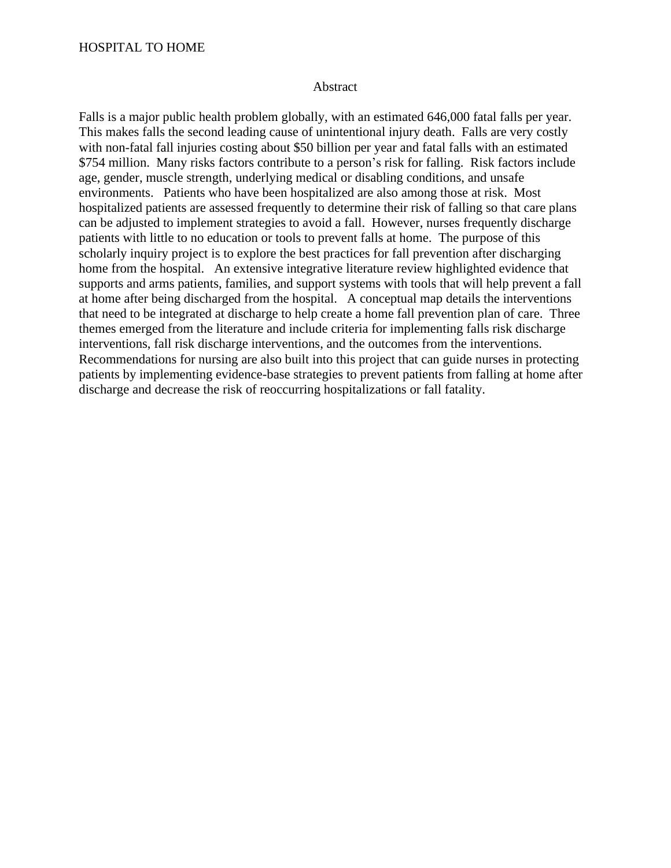## HOSPITAL TO HOME

#### Abstract

Falls is a major public health problem globally, with an estimated 646,000 fatal falls per year. This makes falls the second leading cause of unintentional injury death. Falls are very costly with non-fatal fall injuries costing about \$50 billion per year and fatal falls with an estimated \$754 million. Many risks factors contribute to a person's risk for falling. Risk factors include age, gender, muscle strength, underlying medical or disabling conditions, and unsafe environments. Patients who have been hospitalized are also among those at risk. Most hospitalized patients are assessed frequently to determine their risk of falling so that care plans can be adjusted to implement strategies to avoid a fall. However, nurses frequently discharge patients with little to no education or tools to prevent falls at home. The purpose of this scholarly inquiry project is to explore the best practices for fall prevention after discharging home from the hospital. An extensive integrative literature review highlighted evidence that supports and arms patients, families, and support systems with tools that will help prevent a fall at home after being discharged from the hospital. A conceptual map details the interventions that need to be integrated at discharge to help create a home fall prevention plan of care. Three themes emerged from the literature and include criteria for implementing falls risk discharge interventions, fall risk discharge interventions, and the outcomes from the interventions. Recommendations for nursing are also built into this project that can guide nurses in protecting patients by implementing evidence-base strategies to prevent patients from falling at home after discharge and decrease the risk of reoccurring hospitalizations or fall fatality.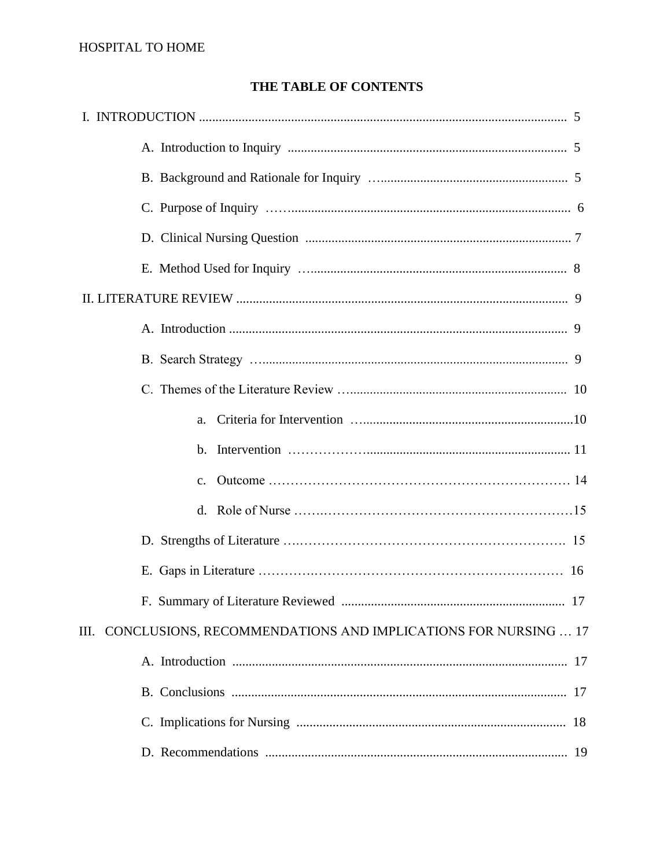## THE TABLE OF CONTENTS

| $\mathbf{c}$ .                                                        |  |
|-----------------------------------------------------------------------|--|
|                                                                       |  |
|                                                                       |  |
|                                                                       |  |
|                                                                       |  |
| CONCLUSIONS, RECOMMENDATIONS AND IMPLICATIONS FOR NURSING  17<br>III. |  |
|                                                                       |  |
|                                                                       |  |
|                                                                       |  |
|                                                                       |  |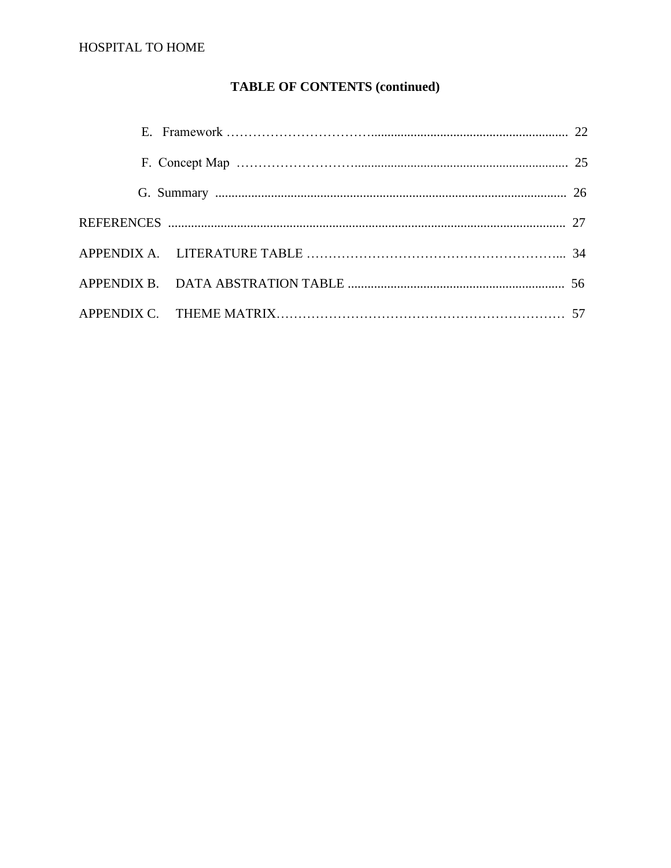## HOSPITAL TO HOME

## **TABLE OF CONTENTS (continued)**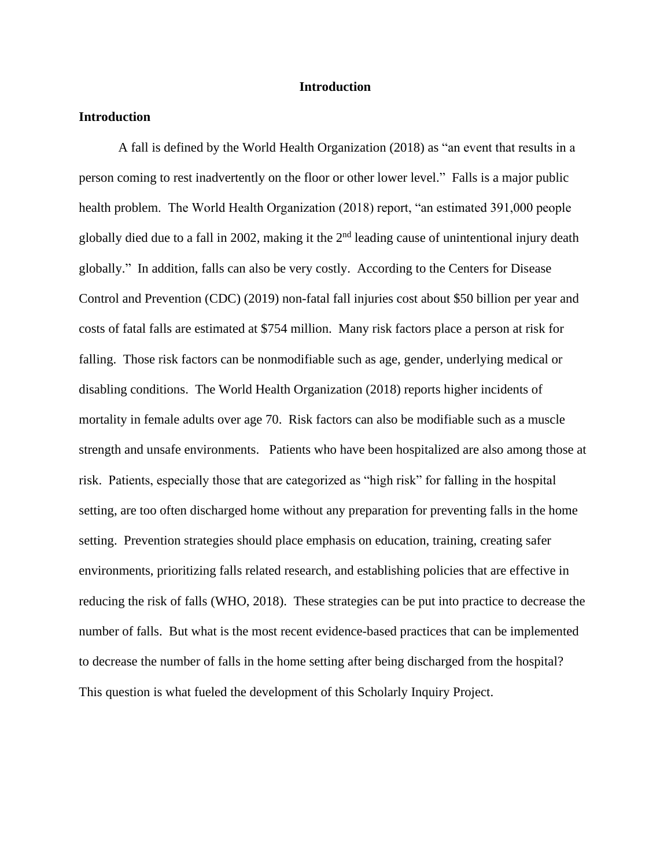#### **Introduction**

#### **Introduction**

A fall is defined by the World Health Organization (2018) as "an event that results in a person coming to rest inadvertently on the floor or other lower level." Falls is a major public health problem. The World Health Organization (2018) report, "an estimated 391,000 people globally died due to a fall in 2002, making it the  $2<sup>nd</sup>$  leading cause of unintentional injury death globally." In addition, falls can also be very costly. According to the Centers for Disease Control and Prevention (CDC) (2019) non-fatal fall injuries cost about \$50 billion per year and costs of fatal falls are estimated at \$754 million. Many risk factors place a person at risk for falling. Those risk factors can be nonmodifiable such as age, gender, underlying medical or disabling conditions. The World Health Organization (2018) reports higher incidents of mortality in female adults over age 70. Risk factors can also be modifiable such as a muscle strength and unsafe environments. Patients who have been hospitalized are also among those at risk. Patients, especially those that are categorized as "high risk" for falling in the hospital setting, are too often discharged home without any preparation for preventing falls in the home setting. Prevention strategies should place emphasis on education, training, creating safer environments, prioritizing falls related research, and establishing policies that are effective in reducing the risk of falls (WHO, 2018). These strategies can be put into practice to decrease the number of falls. But what is the most recent evidence-based practices that can be implemented to decrease the number of falls in the home setting after being discharged from the hospital? This question is what fueled the development of this Scholarly Inquiry Project.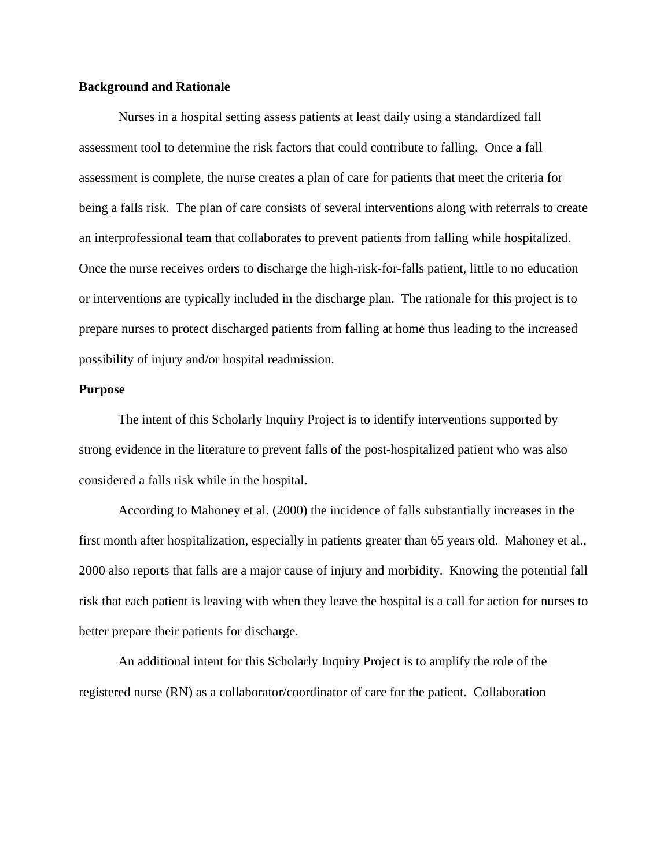#### **Background and Rationale**

Nurses in a hospital setting assess patients at least daily using a standardized fall assessment tool to determine the risk factors that could contribute to falling. Once a fall assessment is complete, the nurse creates a plan of care for patients that meet the criteria for being a falls risk. The plan of care consists of several interventions along with referrals to create an interprofessional team that collaborates to prevent patients from falling while hospitalized. Once the nurse receives orders to discharge the high-risk-for-falls patient, little to no education or interventions are typically included in the discharge plan. The rationale for this project is to prepare nurses to protect discharged patients from falling at home thus leading to the increased possibility of injury and/or hospital readmission.

#### **Purpose**

The intent of this Scholarly Inquiry Project is to identify interventions supported by strong evidence in the literature to prevent falls of the post-hospitalized patient who was also considered a falls risk while in the hospital.

According to Mahoney et al. (2000) the incidence of falls substantially increases in the first month after hospitalization, especially in patients greater than 65 years old. Mahoney et al., 2000 also reports that falls are a major cause of injury and morbidity. Knowing the potential fall risk that each patient is leaving with when they leave the hospital is a call for action for nurses to better prepare their patients for discharge.

An additional intent for this Scholarly Inquiry Project is to amplify the role of the registered nurse (RN) as a collaborator/coordinator of care for the patient. Collaboration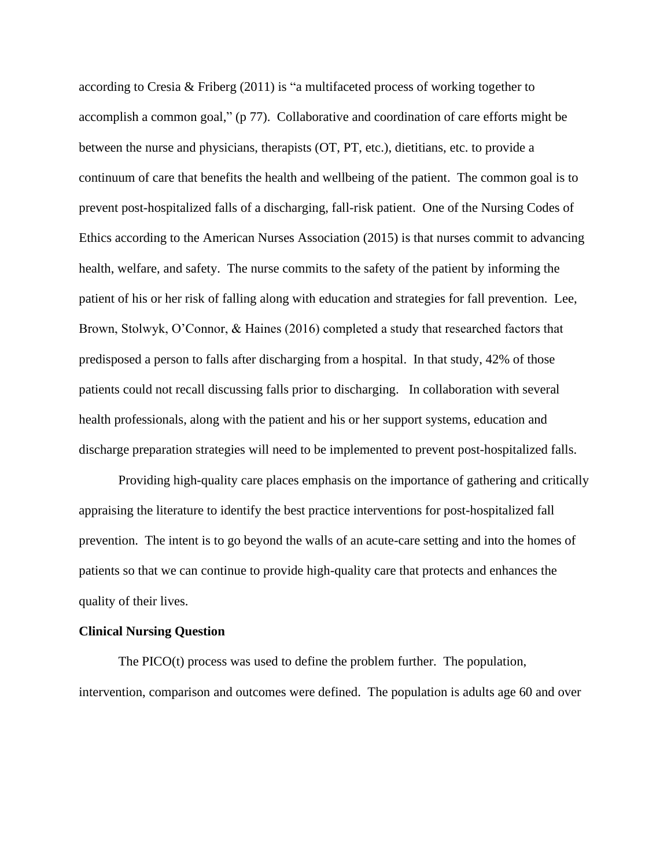according to Cresia & Friberg (2011) is "a multifaceted process of working together to accomplish a common goal," (p 77). Collaborative and coordination of care efforts might be between the nurse and physicians, therapists (OT, PT, etc.), dietitians, etc. to provide a continuum of care that benefits the health and wellbeing of the patient. The common goal is to prevent post-hospitalized falls of a discharging, fall-risk patient. One of the Nursing Codes of Ethics according to the American Nurses Association (2015) is that nurses commit to advancing health, welfare, and safety. The nurse commits to the safety of the patient by informing the patient of his or her risk of falling along with education and strategies for fall prevention. Lee, Brown, Stolwyk, O'Connor, & Haines (2016) completed a study that researched factors that predisposed a person to falls after discharging from a hospital. In that study, 42% of those patients could not recall discussing falls prior to discharging. In collaboration with several health professionals, along with the patient and his or her support systems, education and discharge preparation strategies will need to be implemented to prevent post-hospitalized falls.

Providing high-quality care places emphasis on the importance of gathering and critically appraising the literature to identify the best practice interventions for post-hospitalized fall prevention. The intent is to go beyond the walls of an acute-care setting and into the homes of patients so that we can continue to provide high-quality care that protects and enhances the quality of their lives.

#### **Clinical Nursing Question**

The PICO(t) process was used to define the problem further. The population, intervention, comparison and outcomes were defined. The population is adults age 60 and over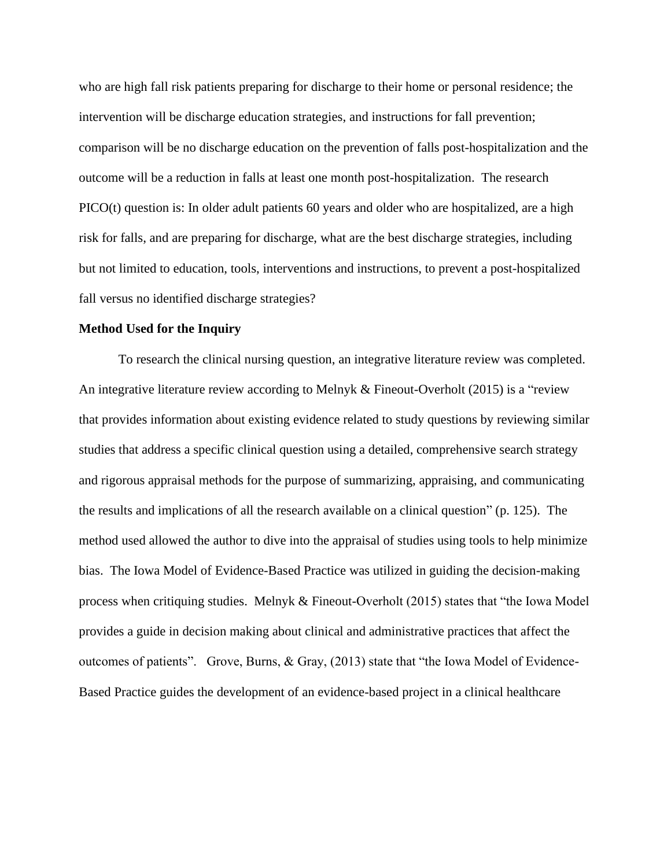who are high fall risk patients preparing for discharge to their home or personal residence; the intervention will be discharge education strategies, and instructions for fall prevention; comparison will be no discharge education on the prevention of falls post-hospitalization and the outcome will be a reduction in falls at least one month post-hospitalization. The research PICO(t) question is: In older adult patients 60 years and older who are hospitalized, are a high risk for falls, and are preparing for discharge, what are the best discharge strategies, including but not limited to education, tools, interventions and instructions, to prevent a post-hospitalized fall versus no identified discharge strategies?

#### **Method Used for the Inquiry**

To research the clinical nursing question, an integrative literature review was completed. An integrative literature review according to Melnyk & Fineout-Overholt (2015) is a "review that provides information about existing evidence related to study questions by reviewing similar studies that address a specific clinical question using a detailed, comprehensive search strategy and rigorous appraisal methods for the purpose of summarizing, appraising, and communicating the results and implications of all the research available on a clinical question" (p. 125). The method used allowed the author to dive into the appraisal of studies using tools to help minimize bias. The Iowa Model of Evidence-Based Practice was utilized in guiding the decision-making process when critiquing studies. Melnyk & Fineout-Overholt (2015) states that "the Iowa Model provides a guide in decision making about clinical and administrative practices that affect the outcomes of patients". Grove, Burns, & Gray, (2013) state that "the Iowa Model of Evidence-Based Practice guides the development of an evidence-based project in a clinical healthcare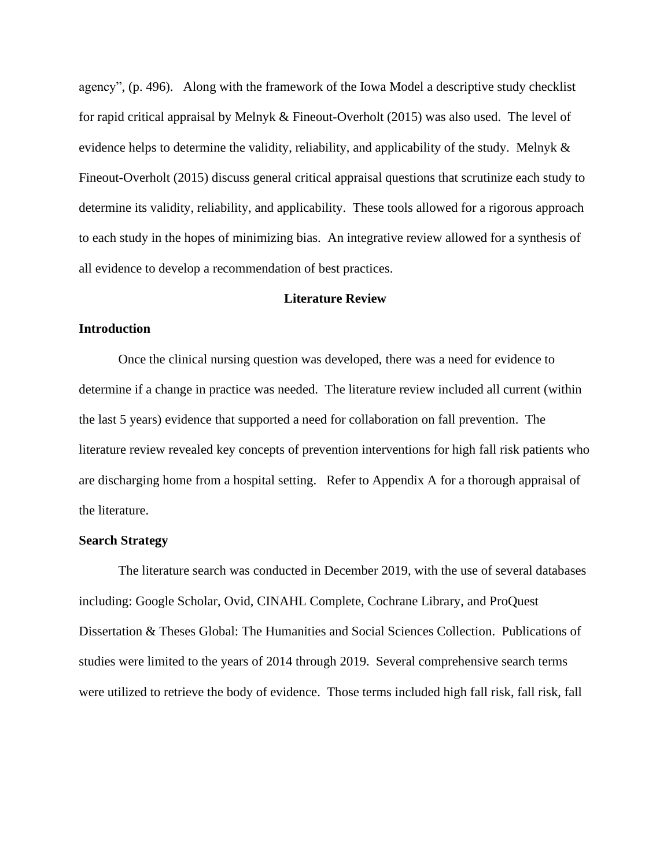agency", (p. 496). Along with the framework of the Iowa Model a descriptive study checklist for rapid critical appraisal by Melnyk & Fineout-Overholt (2015) was also used. The level of evidence helps to determine the validity, reliability, and applicability of the study. Melnyk  $\&$ Fineout-Overholt (2015) discuss general critical appraisal questions that scrutinize each study to determine its validity, reliability, and applicability. These tools allowed for a rigorous approach to each study in the hopes of minimizing bias. An integrative review allowed for a synthesis of all evidence to develop a recommendation of best practices.

#### **Literature Review**

## **Introduction**

Once the clinical nursing question was developed, there was a need for evidence to determine if a change in practice was needed. The literature review included all current (within the last 5 years) evidence that supported a need for collaboration on fall prevention. The literature review revealed key concepts of prevention interventions for high fall risk patients who are discharging home from a hospital setting. Refer to Appendix A for a thorough appraisal of the literature.

#### **Search Strategy**

The literature search was conducted in December 2019, with the use of several databases including: Google Scholar, Ovid, CINAHL Complete, Cochrane Library, and ProQuest Dissertation & Theses Global: The Humanities and Social Sciences Collection. Publications of studies were limited to the years of 2014 through 2019. Several comprehensive search terms were utilized to retrieve the body of evidence. Those terms included high fall risk, fall risk, fall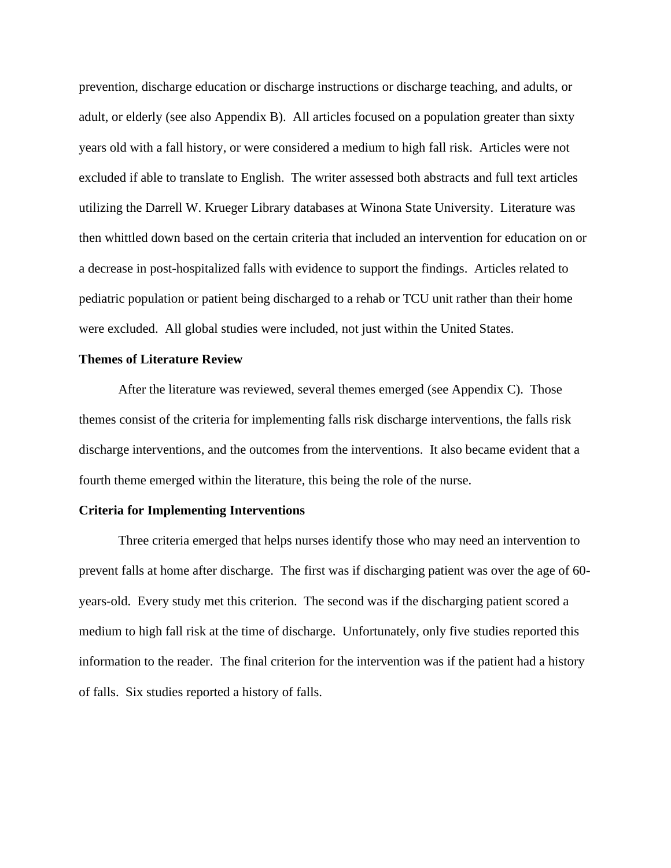prevention, discharge education or discharge instructions or discharge teaching, and adults, or adult, or elderly (see also Appendix B). All articles focused on a population greater than sixty years old with a fall history, or were considered a medium to high fall risk. Articles were not excluded if able to translate to English. The writer assessed both abstracts and full text articles utilizing the Darrell W. Krueger Library databases at Winona State University. Literature was then whittled down based on the certain criteria that included an intervention for education on or a decrease in post-hospitalized falls with evidence to support the findings. Articles related to pediatric population or patient being discharged to a rehab or TCU unit rather than their home were excluded. All global studies were included, not just within the United States.

#### **Themes of Literature Review**

After the literature was reviewed, several themes emerged (see Appendix C). Those themes consist of the criteria for implementing falls risk discharge interventions, the falls risk discharge interventions, and the outcomes from the interventions. It also became evident that a fourth theme emerged within the literature, this being the role of the nurse.

#### **Criteria for Implementing Interventions**

Three criteria emerged that helps nurses identify those who may need an intervention to prevent falls at home after discharge. The first was if discharging patient was over the age of 60 years-old. Every study met this criterion. The second was if the discharging patient scored a medium to high fall risk at the time of discharge. Unfortunately, only five studies reported this information to the reader. The final criterion for the intervention was if the patient had a history of falls. Six studies reported a history of falls.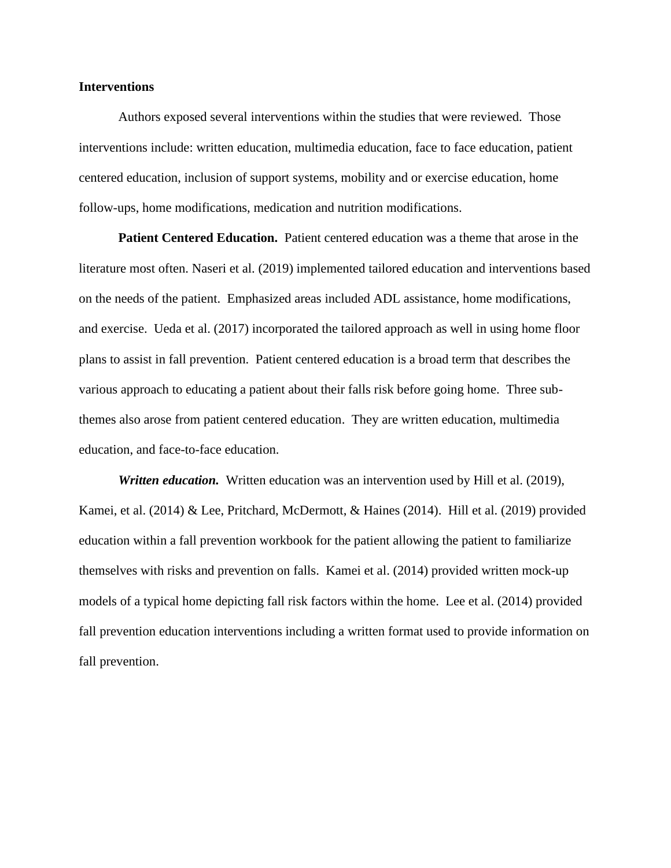#### **Interventions**

Authors exposed several interventions within the studies that were reviewed. Those interventions include: written education, multimedia education, face to face education, patient centered education, inclusion of support systems, mobility and or exercise education, home follow-ups, home modifications, medication and nutrition modifications.

**Patient Centered Education.** Patient centered education was a theme that arose in the literature most often. Naseri et al. (2019) implemented tailored education and interventions based on the needs of the patient. Emphasized areas included ADL assistance, home modifications, and exercise. Ueda et al. (2017) incorporated the tailored approach as well in using home floor plans to assist in fall prevention. Patient centered education is a broad term that describes the various approach to educating a patient about their falls risk before going home. Three subthemes also arose from patient centered education. They are written education, multimedia education, and face-to-face education.

*Written education.* Written education was an intervention used by Hill et al. (2019), Kamei, et al. (2014) & Lee, Pritchard, McDermott, & Haines (2014). Hill et al. (2019) provided education within a fall prevention workbook for the patient allowing the patient to familiarize themselves with risks and prevention on falls. Kamei et al. (2014) provided written mock-up models of a typical home depicting fall risk factors within the home. Lee et al. (2014) provided fall prevention education interventions including a written format used to provide information on fall prevention.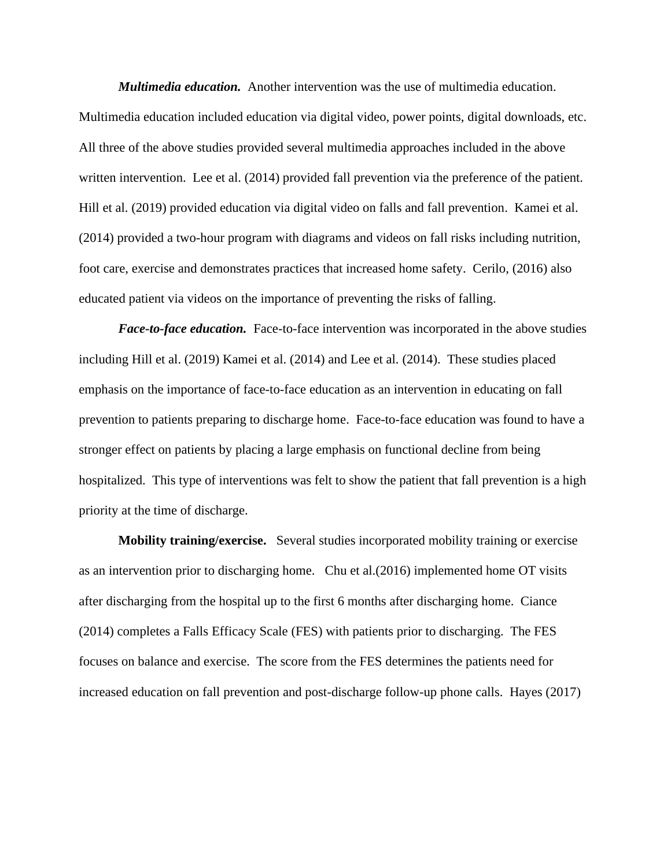*Multimedia education.* Another intervention was the use of multimedia education. Multimedia education included education via digital video, power points, digital downloads, etc. All three of the above studies provided several multimedia approaches included in the above written intervention. Lee et al. (2014) provided fall prevention via the preference of the patient. Hill et al. (2019) provided education via digital video on falls and fall prevention. Kamei et al. (2014) provided a two-hour program with diagrams and videos on fall risks including nutrition, foot care, exercise and demonstrates practices that increased home safety. Cerilo, (2016) also educated patient via videos on the importance of preventing the risks of falling.

*Face-to-face education.* Face-to-face intervention was incorporated in the above studies including Hill et al. (2019) Kamei et al. (2014) and Lee et al. (2014). These studies placed emphasis on the importance of face-to-face education as an intervention in educating on fall prevention to patients preparing to discharge home. Face-to-face education was found to have a stronger effect on patients by placing a large emphasis on functional decline from being hospitalized. This type of interventions was felt to show the patient that fall prevention is a high priority at the time of discharge.

**Mobility training/exercise.** Several studies incorporated mobility training or exercise as an intervention prior to discharging home. Chu et al.(2016) implemented home OT visits after discharging from the hospital up to the first 6 months after discharging home. Ciance (2014) completes a Falls Efficacy Scale (FES) with patients prior to discharging. The FES focuses on balance and exercise. The score from the FES determines the patients need for increased education on fall prevention and post-discharge follow-up phone calls. Hayes (2017)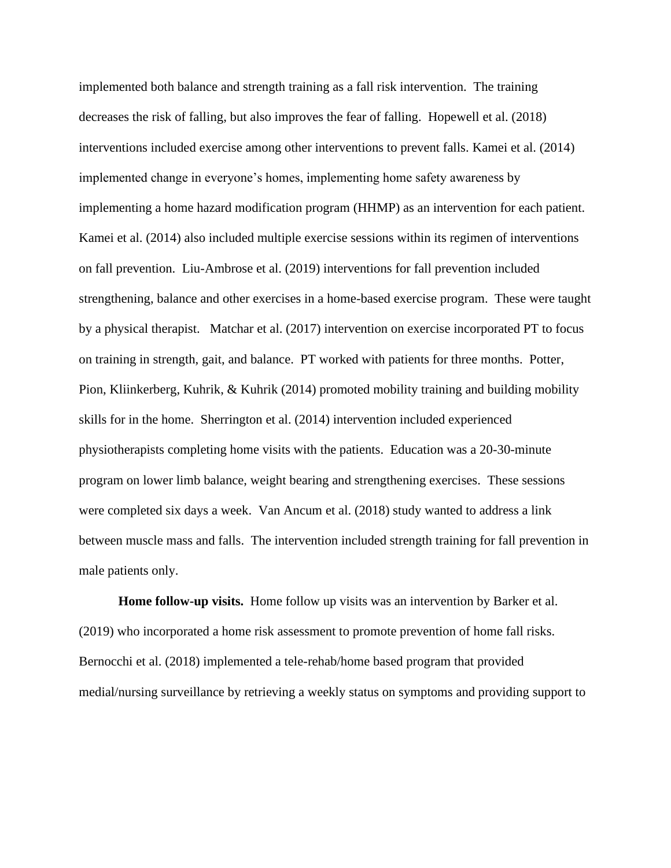implemented both balance and strength training as a fall risk intervention. The training decreases the risk of falling, but also improves the fear of falling. Hopewell et al. (2018) interventions included exercise among other interventions to prevent falls. Kamei et al. (2014) implemented change in everyone's homes, implementing home safety awareness by implementing a home hazard modification program (HHMP) as an intervention for each patient. Kamei et al. (2014) also included multiple exercise sessions within its regimen of interventions on fall prevention. Liu-Ambrose et al. (2019) interventions for fall prevention included strengthening, balance and other exercises in a home-based exercise program. These were taught by a physical therapist. Matchar et al. (2017) intervention on exercise incorporated PT to focus on training in strength, gait, and balance. PT worked with patients for three months. Potter, Pion, Kliinkerberg, Kuhrik, & Kuhrik (2014) promoted mobility training and building mobility skills for in the home. Sherrington et al. (2014) intervention included experienced physiotherapists completing home visits with the patients. Education was a 20-30-minute program on lower limb balance, weight bearing and strengthening exercises. These sessions were completed six days a week. Van Ancum et al. (2018) study wanted to address a link between muscle mass and falls. The intervention included strength training for fall prevention in male patients only.

**Home follow-up visits.** Home follow up visits was an intervention by Barker et al. (2019) who incorporated a home risk assessment to promote prevention of home fall risks. Bernocchi et al. (2018) implemented a tele-rehab/home based program that provided medial/nursing surveillance by retrieving a weekly status on symptoms and providing support to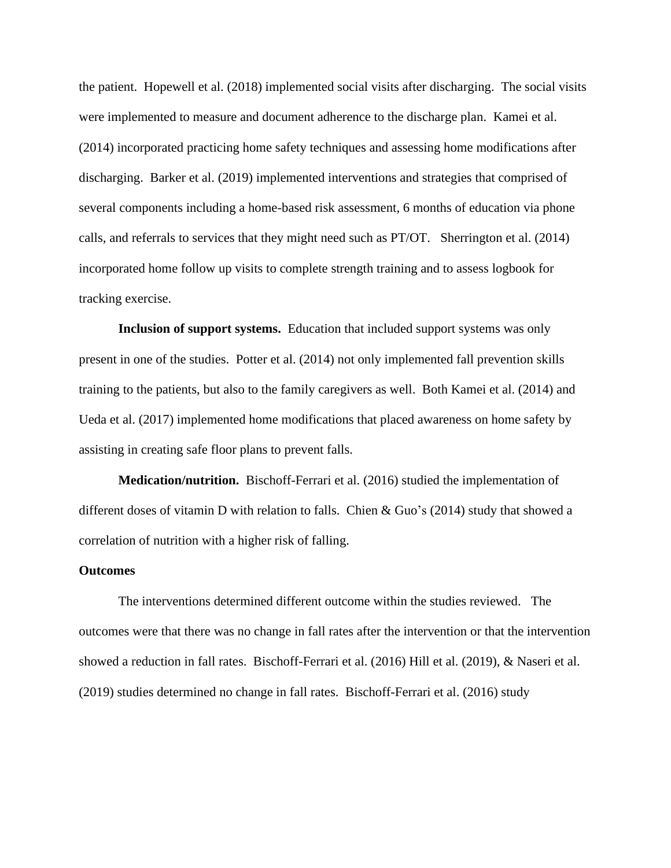the patient. Hopewell et al. (2018) implemented social visits after discharging. The social visits were implemented to measure and document adherence to the discharge plan. Kamei et al. (2014) incorporated practicing home safety techniques and assessing home modifications after discharging. Barker et al. (2019) implemented interventions and strategies that comprised of several components including a home-based risk assessment, 6 months of education via phone calls, and referrals to services that they might need such as PT/OT. Sherrington et al. (2014) incorporated home follow up visits to complete strength training and to assess logbook for tracking exercise.

**Inclusion of support systems.** Education that included support systems was only present in one of the studies. Potter et al. (2014) not only implemented fall prevention skills training to the patients, but also to the family caregivers as well. Both Kamei et al. (2014) and Ueda et al. (2017) implemented home modifications that placed awareness on home safety by assisting in creating safe floor plans to prevent falls.

**Medication/nutrition.** Bischoff-Ferrari et al. (2016) studied the implementation of different doses of vitamin D with relation to falls. Chien & Guo's (2014) study that showed a correlation of nutrition with a higher risk of falling.

#### **Outcomes**

The interventions determined different outcome within the studies reviewed. The outcomes were that there was no change in fall rates after the intervention or that the intervention showed a reduction in fall rates. Bischoff-Ferrari et al. (2016) Hill et al. (2019), & Naseri et al. (2019) studies determined no change in fall rates. Bischoff-Ferrari et al. (2016) study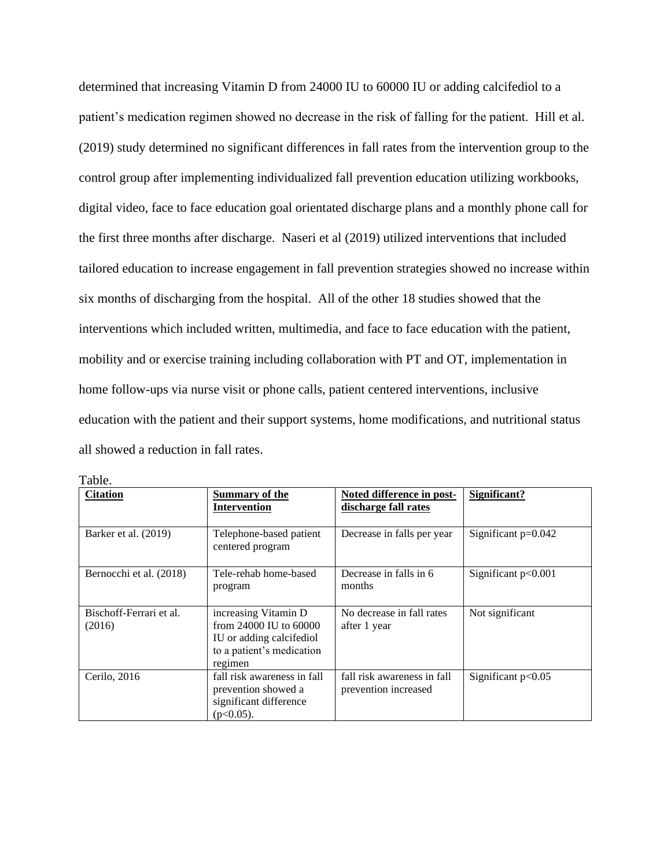determined that increasing Vitamin D from 24000 IU to 60000 IU or adding calcifediol to a patient's medication regimen showed no decrease in the risk of falling for the patient. Hill et al. (2019) study determined no significant differences in fall rates from the intervention group to the control group after implementing individualized fall prevention education utilizing workbooks, digital video, face to face education goal orientated discharge plans and a monthly phone call for the first three months after discharge. Naseri et al (2019) utilized interventions that included tailored education to increase engagement in fall prevention strategies showed no increase within six months of discharging from the hospital. All of the other 18 studies showed that the interventions which included written, multimedia, and face to face education with the patient, mobility and or exercise training including collaboration with PT and OT, implementation in home follow-ups via nurse visit or phone calls, patient centered interventions, inclusive education with the patient and their support systems, home modifications, and nutritional status all showed a reduction in fall rates.

| <b>Citation</b>                   | <b>Summary of the</b><br><b>Intervention</b>                                                                       | Noted difference in post-<br>discharge fall rates   | Significant?          |
|-----------------------------------|--------------------------------------------------------------------------------------------------------------------|-----------------------------------------------------|-----------------------|
| Barker et al. (2019)              | Telephone-based patient<br>centered program                                                                        | Decrease in falls per year                          | Significant p=0.042   |
| Bernocchi et al. (2018)           | Tele-rehab home-based<br>program                                                                                   | Decrease in falls in 6<br>months                    | Significant $p<0.001$ |
| Bischoff-Ferrari et al.<br>(2016) | increasing Vitamin D<br>from 24000 IU to 60000<br>IU or adding calcifediol<br>to a patient's medication<br>regimen | No decrease in fall rates<br>after 1 year           | Not significant       |
| Cerilo, 2016                      | fall risk awareness in fall<br>prevention showed a<br>significant difference<br>$(p<0.05)$ .                       | fall risk awareness in fall<br>prevention increased | Significant $p<0.05$  |

Table.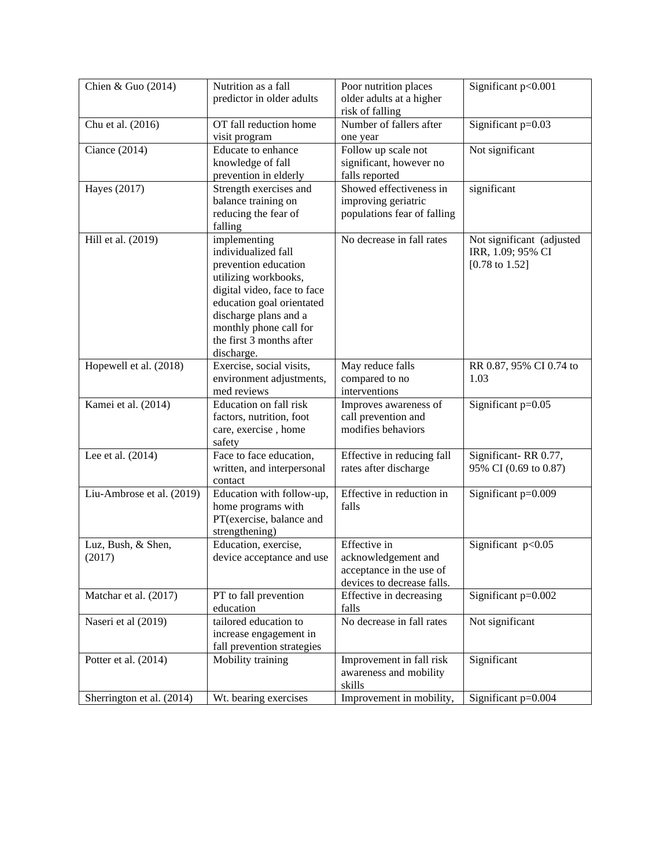| Chien & Guo (2014)        | Nutrition as a fall                     | Poor nutrition places                      | Significant p<0.001                            |  |
|---------------------------|-----------------------------------------|--------------------------------------------|------------------------------------------------|--|
|                           | predictor in older adults               | older adults at a higher                   |                                                |  |
|                           |                                         | risk of falling<br>Number of fallers after |                                                |  |
| Chu et al. (2016)         | OT fall reduction home<br>visit program |                                            | Significant p=0.03                             |  |
| Ciance (2014)             | Educate to enhance                      | one year<br>Follow up scale not            | Not significant                                |  |
|                           | knowledge of fall                       | significant, however no                    |                                                |  |
|                           | prevention in elderly                   | falls reported                             |                                                |  |
| Hayes (2017)              | Strength exercises and                  | Showed effectiveness in                    | significant                                    |  |
|                           | balance training on                     | improving geriatric                        |                                                |  |
|                           | reducing the fear of                    | populations fear of falling                |                                                |  |
|                           | falling                                 |                                            |                                                |  |
| Hill et al. (2019)        | implementing<br>individualized fall     | No decrease in fall rates                  | Not significant (adjusted<br>IRR, 1.09; 95% CI |  |
|                           | prevention education                    |                                            | $[0.78 \text{ to } 1.52]$                      |  |
|                           | utilizing workbooks,                    |                                            |                                                |  |
|                           | digital video, face to face             |                                            |                                                |  |
|                           | education goal orientated               |                                            |                                                |  |
|                           | discharge plans and a                   |                                            |                                                |  |
|                           | monthly phone call for                  |                                            |                                                |  |
|                           | the first 3 months after                |                                            |                                                |  |
|                           | discharge.                              |                                            |                                                |  |
| Hopewell et al. (2018)    | Exercise, social visits,                | May reduce falls                           | RR 0.87, 95% CI 0.74 to                        |  |
|                           | environment adjustments,<br>med reviews | compared to no<br>interventions            | 1.03                                           |  |
| Kamei et al. (2014)       | Education on fall risk                  | Improves awareness of                      | Significant p=0.05                             |  |
|                           | factors, nutrition, foot                | call prevention and                        |                                                |  |
|                           | care, exercise, home                    | modifies behaviors                         |                                                |  |
|                           | safety                                  |                                            |                                                |  |
| Lee et al. (2014)         | Face to face education,                 | Effective in reducing fall                 | Significant-RR 0.77,                           |  |
|                           | written, and interpersonal              | rates after discharge                      | 95% CI (0.69 to 0.87)                          |  |
|                           | contact                                 |                                            |                                                |  |
| Liu-Ambrose et al. (2019) | Education with follow-up,               | Effective in reduction in                  | Significant p=0.009                            |  |
|                           | home programs with                      | falls                                      |                                                |  |
|                           | PT(exercise, balance and                |                                            |                                                |  |
| Luz, Bush, & Shen,        | strengthening)<br>Education, exercise,  | Effective in                               | Significant p<0.05                             |  |
| (2017)                    | device acceptance and use               | acknowledgement and                        |                                                |  |
|                           |                                         | acceptance in the use of                   |                                                |  |
|                           |                                         | devices to decrease falls.                 |                                                |  |
| Matchar et al. (2017)     | PT to fall prevention                   | Effective in decreasing                    | Significant $p=0.002$                          |  |
|                           | education                               | falls                                      |                                                |  |
| Naseri et al (2019)       | tailored education to                   | No decrease in fall rates                  | Not significant                                |  |
|                           | increase engagement in                  |                                            |                                                |  |
|                           | fall prevention strategies              |                                            |                                                |  |
| Potter et al. (2014)      | Mobility training                       | Improvement in fall risk                   | Significant                                    |  |
|                           |                                         | awareness and mobility                     |                                                |  |
|                           |                                         | skills                                     |                                                |  |
| Sherrington et al. (2014) | Wt. bearing exercises                   | Improvement in mobility,                   | Significant $p=0.004$                          |  |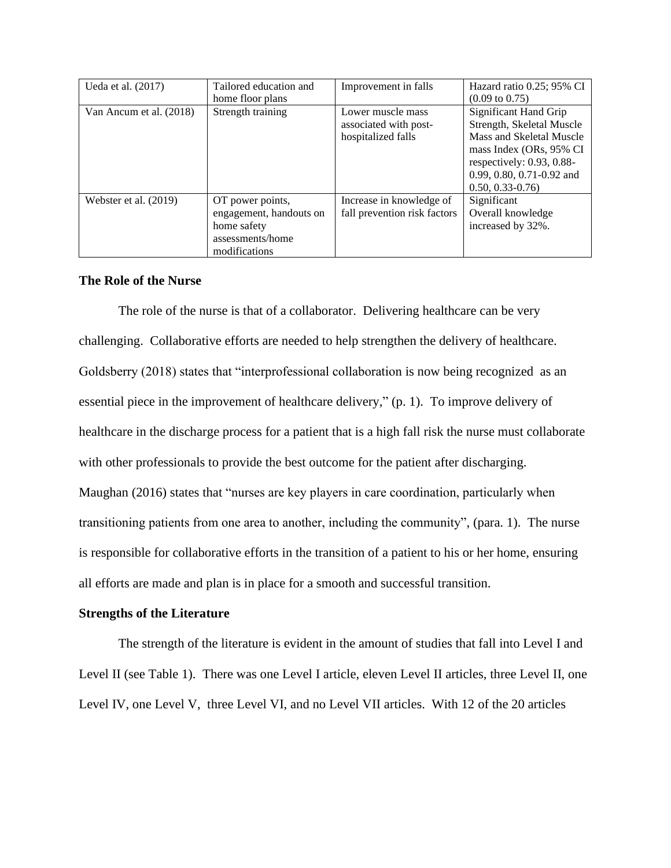| Ueda et al. (2017)      | Tailored education and<br>home floor plans                                                      | Improvement in falls                                             | Hazard ratio 0.25; 95% CI<br>$(0.09 \text{ to } 0.75)$                                                                                                                                         |
|-------------------------|-------------------------------------------------------------------------------------------------|------------------------------------------------------------------|------------------------------------------------------------------------------------------------------------------------------------------------------------------------------------------------|
| Van Ancum et al. (2018) | Strength training                                                                               | Lower muscle mass<br>associated with post-<br>hospitalized falls | Significant Hand Grip<br>Strength, Skeletal Muscle<br>Mass and Skeletal Muscle<br>mass Index (ORs, 95% CI)<br>respectively: $0.93, 0.88$ -<br>0.99, 0.80, 0.71-0.92 and<br>$0.50, 0.33 - 0.76$ |
| Webster et al. (2019)   | OT power points,<br>engagement, handouts on<br>home safety<br>assessments/home<br>modifications | Increase in knowledge of<br>fall prevention risk factors         | Significant<br>Overall knowledge<br>increased by 32%.                                                                                                                                          |

#### **The Role of the Nurse**

The role of the nurse is that of a collaborator. Delivering healthcare can be very challenging. Collaborative efforts are needed to help strengthen the delivery of healthcare. Goldsberry (2018) states that "interprofessional collaboration is now being recognized as an essential piece in the improvement of healthcare delivery," (p. 1). To improve delivery of healthcare in the discharge process for a patient that is a high fall risk the nurse must collaborate with other professionals to provide the best outcome for the patient after discharging. Maughan (2016) states that "nurses are key players in care coordination, particularly when transitioning patients from one area to another, including the community", (para. 1). The nurse is responsible for collaborative efforts in the transition of a patient to his or her home, ensuring all efforts are made and plan is in place for a smooth and successful transition.

#### **Strengths of the Literature**

The strength of the literature is evident in the amount of studies that fall into Level I and Level II (see Table 1). There was one Level I article, eleven Level II articles, three Level II, one Level IV, one Level V, three Level VI, and no Level VII articles. With 12 of the 20 articles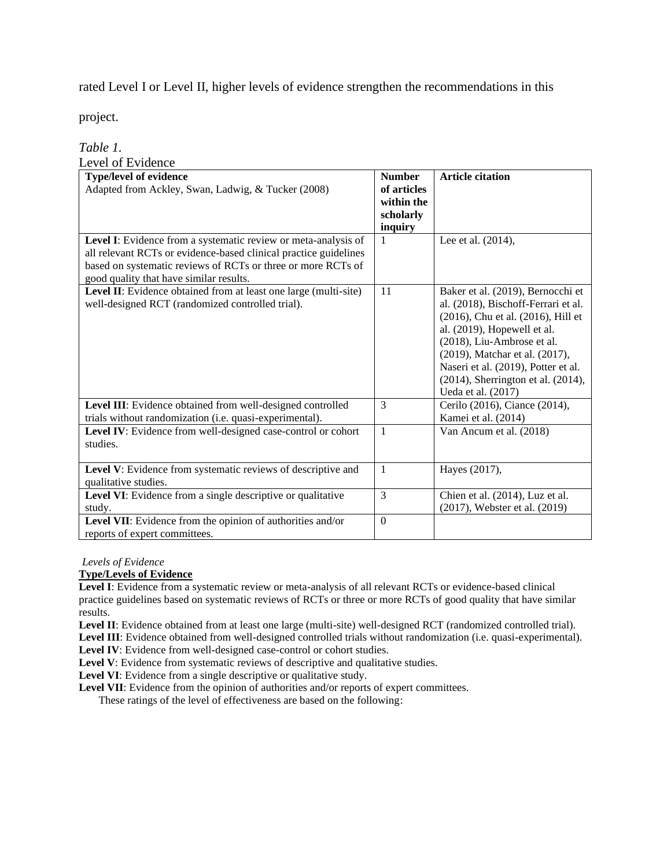rated Level I or Level II, higher levels of evidence strengthen the recommendations in this

project.

#### *Table 1.* Level of Evidence

| LEVEI UI L'INIUEIIUE                                                                                                                                                                                                                          |                              |                                                                                                                                                                                                                                                                                                                        |
|-----------------------------------------------------------------------------------------------------------------------------------------------------------------------------------------------------------------------------------------------|------------------------------|------------------------------------------------------------------------------------------------------------------------------------------------------------------------------------------------------------------------------------------------------------------------------------------------------------------------|
| <b>Type/level of evidence</b><br>Adapted from Ackley, Swan, Ladwig, & Tucker (2008)                                                                                                                                                           | <b>Number</b><br>of articles | <b>Article citation</b>                                                                                                                                                                                                                                                                                                |
|                                                                                                                                                                                                                                               | within the<br>scholarly      |                                                                                                                                                                                                                                                                                                                        |
|                                                                                                                                                                                                                                               | inquiry                      |                                                                                                                                                                                                                                                                                                                        |
| Level I: Evidence from a systematic review or meta-analysis of<br>all relevant RCTs or evidence-based clinical practice guidelines<br>based on systematic reviews of RCTs or three or more RCTs of<br>good quality that have similar results. | 1                            | Lee et al. (2014),                                                                                                                                                                                                                                                                                                     |
| Level II: Evidence obtained from at least one large (multi-site)<br>well-designed RCT (randomized controlled trial).                                                                                                                          | 11                           | Baker et al. (2019), Bernocchi et<br>al. (2018), Bischoff-Ferrari et al.<br>(2016), Chu et al. (2016), Hill et<br>al. (2019), Hopewell et al.<br>(2018), Liu-Ambrose et al.<br>(2019), Matchar et al. (2017),<br>Naseri et al. (2019), Potter et al.<br>$(2014)$ , Sherrington et al. $(2014)$ ,<br>Ueda et al. (2017) |
| Level III: Evidence obtained from well-designed controlled<br>trials without randomization (i.e. quasi-experimental).                                                                                                                         | 3                            | Cerilo (2016), Ciance (2014),<br>Kamei et al. (2014)                                                                                                                                                                                                                                                                   |
| Level IV: Evidence from well-designed case-control or cohort<br>studies.                                                                                                                                                                      | $\mathbf{1}$                 | Van Ancum et al. (2018)                                                                                                                                                                                                                                                                                                |
| Level V: Evidence from systematic reviews of descriptive and<br>qualitative studies.                                                                                                                                                          | 1                            | Hayes (2017),                                                                                                                                                                                                                                                                                                          |
| Level VI: Evidence from a single descriptive or qualitative<br>study.                                                                                                                                                                         | 3                            | Chien et al. (2014), Luz et al.<br>(2017), Webster et al. (2019)                                                                                                                                                                                                                                                       |
| Level VII: Evidence from the opinion of authorities and/or<br>reports of expert committees.                                                                                                                                                   | $\theta$                     |                                                                                                                                                                                                                                                                                                                        |

*Levels of Evidence*

#### **Type/Levels of Evidence**

**Level I**: Evidence from a systematic review or meta-analysis of all relevant RCTs or evidence-based clinical practice guidelines based on systematic reviews of RCTs or three or more RCTs of good quality that have similar results.

**Level II**: Evidence obtained from at least one large (multi-site) well-designed RCT (randomized controlled trial).

**Level III**: Evidence obtained from well-designed controlled trials without randomization (i.e. quasi-experimental). **Level IV**: Evidence from well-designed case-control or cohort studies.

Level V: Evidence from systematic reviews of descriptive and qualitative studies.

Level VI: Evidence from a single descriptive or qualitative study.

Level VII: Evidence from the opinion of authorities and/or reports of expert committees.

These ratings of the level of effectiveness are based on the following: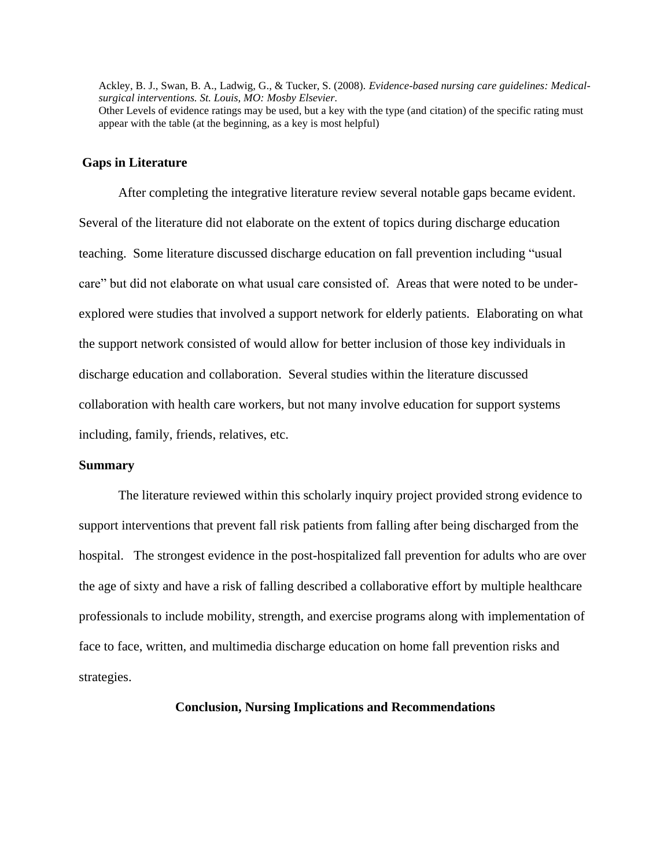Ackley, B. J., Swan, B. A., Ladwig, G., & Tucker, S. (2008). *Evidence-based nursing care guidelines: Medicalsurgical interventions. St. Louis, MO: Mosby Elsevier.* Other Levels of evidence ratings may be used, but a key with the type (and citation) of the specific rating must appear with the table (at the beginning, as a key is most helpful)

#### **Gaps in Literature**

After completing the integrative literature review several notable gaps became evident. Several of the literature did not elaborate on the extent of topics during discharge education teaching. Some literature discussed discharge education on fall prevention including "usual care" but did not elaborate on what usual care consisted of. Areas that were noted to be underexplored were studies that involved a support network for elderly patients. Elaborating on what the support network consisted of would allow for better inclusion of those key individuals in discharge education and collaboration. Several studies within the literature discussed collaboration with health care workers, but not many involve education for support systems including, family, friends, relatives, etc.

#### **Summary**

The literature reviewed within this scholarly inquiry project provided strong evidence to support interventions that prevent fall risk patients from falling after being discharged from the hospital. The strongest evidence in the post-hospitalized fall prevention for adults who are over the age of sixty and have a risk of falling described a collaborative effort by multiple healthcare professionals to include mobility, strength, and exercise programs along with implementation of face to face, written, and multimedia discharge education on home fall prevention risks and strategies.

**Conclusion, Nursing Implications and Recommendations**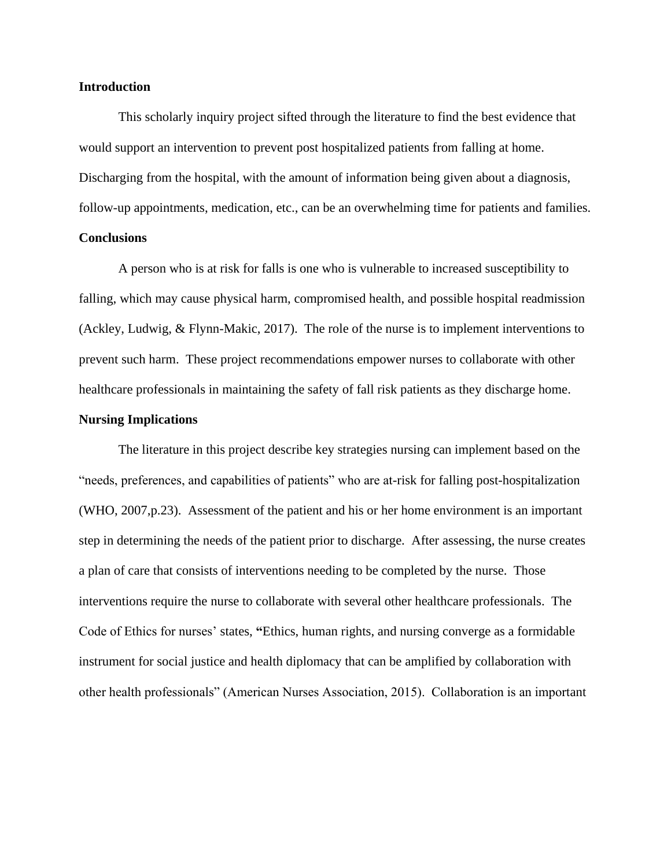#### **Introduction**

This scholarly inquiry project sifted through the literature to find the best evidence that would support an intervention to prevent post hospitalized patients from falling at home. Discharging from the hospital, with the amount of information being given about a diagnosis, follow-up appointments, medication, etc., can be an overwhelming time for patients and families.

## **Conclusions**

A person who is at risk for falls is one who is vulnerable to increased susceptibility to falling, which may cause physical harm, compromised health, and possible hospital readmission (Ackley, Ludwig, & Flynn-Makic, 2017). The role of the nurse is to implement interventions to prevent such harm. These project recommendations empower nurses to collaborate with other healthcare professionals in maintaining the safety of fall risk patients as they discharge home.

### **Nursing Implications**

The literature in this project describe key strategies nursing can implement based on the "needs, preferences, and capabilities of patients" who are at-risk for falling post-hospitalization (WHO, 2007,p.23). Assessment of the patient and his or her home environment is an important step in determining the needs of the patient prior to discharge. After assessing, the nurse creates a plan of care that consists of interventions needing to be completed by the nurse. Those interventions require the nurse to collaborate with several other healthcare professionals. The Code of Ethics for nurses' states, **"**Ethics, human rights, and nursing converge as a formidable instrument for social justice and health diplomacy that can be amplified by collaboration with other health professionals" (American Nurses Association, 2015). Collaboration is an important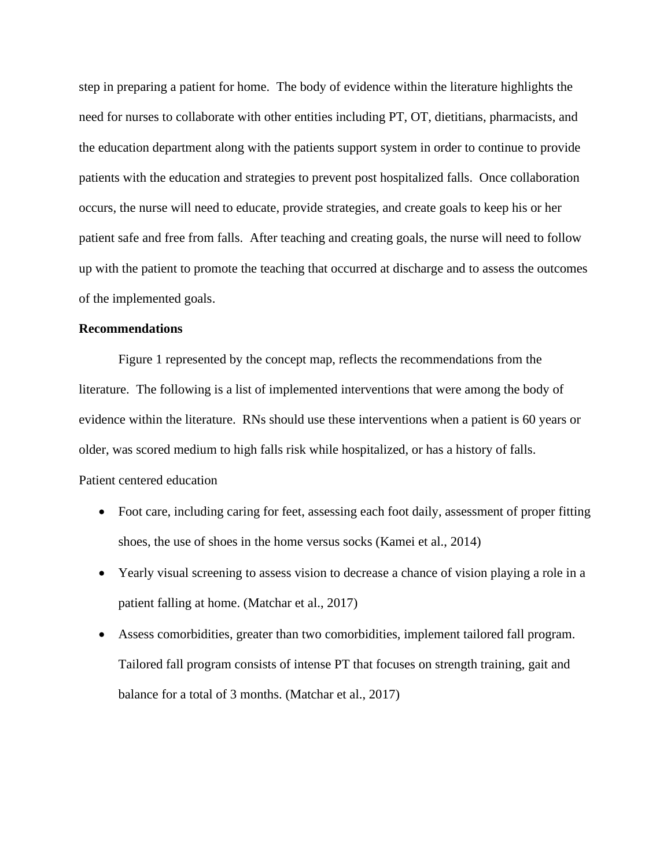step in preparing a patient for home. The body of evidence within the literature highlights the need for nurses to collaborate with other entities including PT, OT, dietitians, pharmacists, and the education department along with the patients support system in order to continue to provide patients with the education and strategies to prevent post hospitalized falls. Once collaboration occurs, the nurse will need to educate, provide strategies, and create goals to keep his or her patient safe and free from falls. After teaching and creating goals, the nurse will need to follow up with the patient to promote the teaching that occurred at discharge and to assess the outcomes of the implemented goals.

### **Recommendations**

Figure 1 represented by the concept map, reflects the recommendations from the literature. The following is a list of implemented interventions that were among the body of evidence within the literature. RNs should use these interventions when a patient is 60 years or older, was scored medium to high falls risk while hospitalized, or has a history of falls. Patient centered education

- Foot care, including caring for feet, assessing each foot daily, assessment of proper fitting shoes, the use of shoes in the home versus socks (Kamei et al., 2014)
- Yearly visual screening to assess vision to decrease a chance of vision playing a role in a patient falling at home. (Matchar et al., 2017)
- Assess comorbidities, greater than two comorbidities, implement tailored fall program. Tailored fall program consists of intense PT that focuses on strength training, gait and balance for a total of 3 months. (Matchar et al., 2017)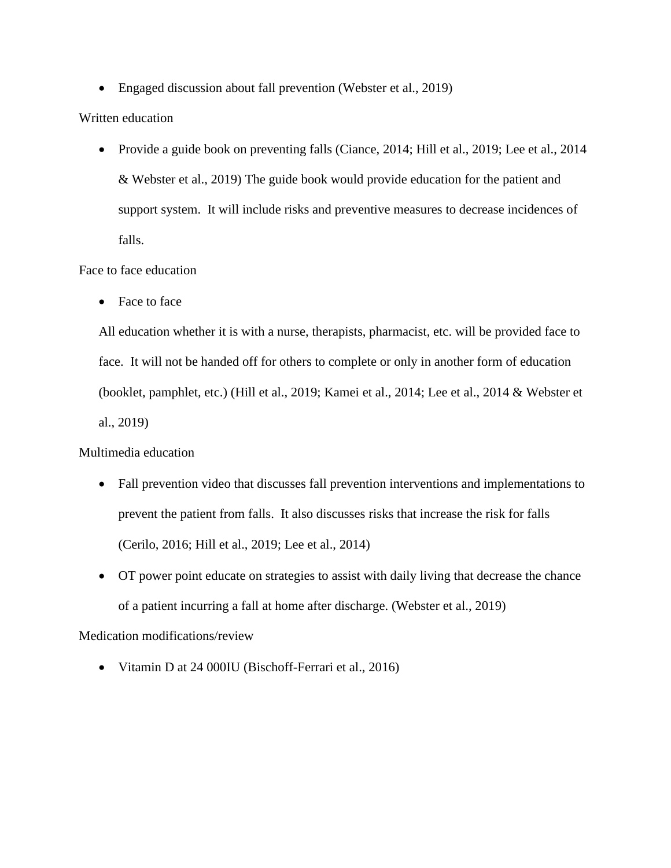• Engaged discussion about fall prevention (Webster et al., 2019)

## Written education

• Provide a guide book on preventing falls (Ciance, 2014; Hill et al., 2019; Lee et al., 2014) & Webster et al., 2019) The guide book would provide education for the patient and support system. It will include risks and preventive measures to decrease incidences of falls.

## Face to face education

• Face to face

All education whether it is with a nurse, therapists, pharmacist, etc. will be provided face to face. It will not be handed off for others to complete or only in another form of education (booklet, pamphlet, etc.) (Hill et al., 2019; Kamei et al., 2014; Lee et al., 2014 & Webster et al., 2019)

Multimedia education

- Fall prevention video that discusses fall prevention interventions and implementations to prevent the patient from falls. It also discusses risks that increase the risk for falls (Cerilo, 2016; Hill et al., 2019; Lee et al., 2014)
- OT power point educate on strategies to assist with daily living that decrease the chance of a patient incurring a fall at home after discharge. (Webster et al., 2019)

## Medication modifications/review

• Vitamin D at 24 000IU (Bischoff-Ferrari et al., 2016)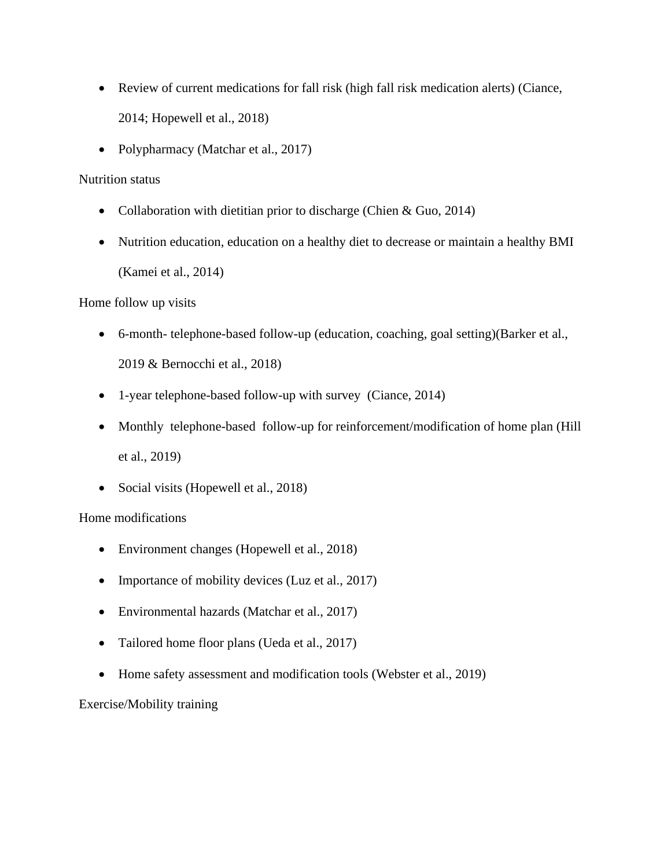- Review of current medications for fall risk (high fall risk medication alerts) (Ciance, 2014; Hopewell et al., 2018)
- Polypharmacy (Matchar et al., 2017)

## Nutrition status

- Collaboration with dietitian prior to discharge (Chien & Guo, 2014)
- Nutrition education, education on a healthy diet to decrease or maintain a healthy BMI (Kamei et al., 2014)

## Home follow up visits

- 6-month- telephone-based follow-up (education, coaching, goal setting)(Barker et al., 2019 & Bernocchi et al., 2018)
- 1-year telephone-based follow-up with survey (Ciance, 2014)
- Monthly telephone-based follow-up for reinforcement/modification of home plan (Hill et al., 2019)
- Social visits (Hopewell et al., 2018)

## Home modifications

- Environment changes (Hopewell et al., 2018)
- Importance of mobility devices (Luz et al., 2017)
- Environmental hazards (Matchar et al., 2017)
- Tailored home floor plans (Ueda et al., 2017)
- Home safety assessment and modification tools (Webster et al., 2019)

Exercise/Mobility training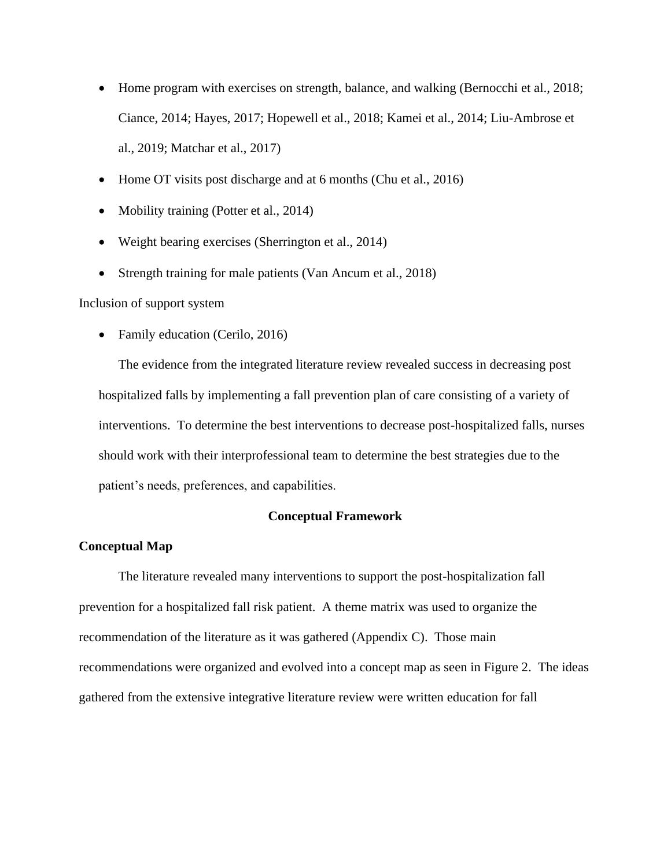- Home program with exercises on strength, balance, and walking (Bernocchi et al., 2018; Ciance, 2014; Hayes, 2017; Hopewell et al., 2018; Kamei et al., 2014; Liu-Ambrose et al., 2019; Matchar et al., 2017)
- Home OT visits post discharge and at 6 months (Chu et al., 2016)
- Mobility training (Potter et al., 2014)
- Weight bearing exercises (Sherrington et al., 2014)
- Strength training for male patients (Van Ancum et al., 2018)

Inclusion of support system

• Family education (Cerilo, 2016)

The evidence from the integrated literature review revealed success in decreasing post hospitalized falls by implementing a fall prevention plan of care consisting of a variety of interventions. To determine the best interventions to decrease post-hospitalized falls, nurses should work with their interprofessional team to determine the best strategies due to the patient's needs, preferences, and capabilities.

#### **Conceptual Framework**

### **Conceptual Map**

The literature revealed many interventions to support the post-hospitalization fall prevention for a hospitalized fall risk patient. A theme matrix was used to organize the recommendation of the literature as it was gathered (Appendix C). Those main recommendations were organized and evolved into a concept map as seen in Figure 2. The ideas gathered from the extensive integrative literature review were written education for fall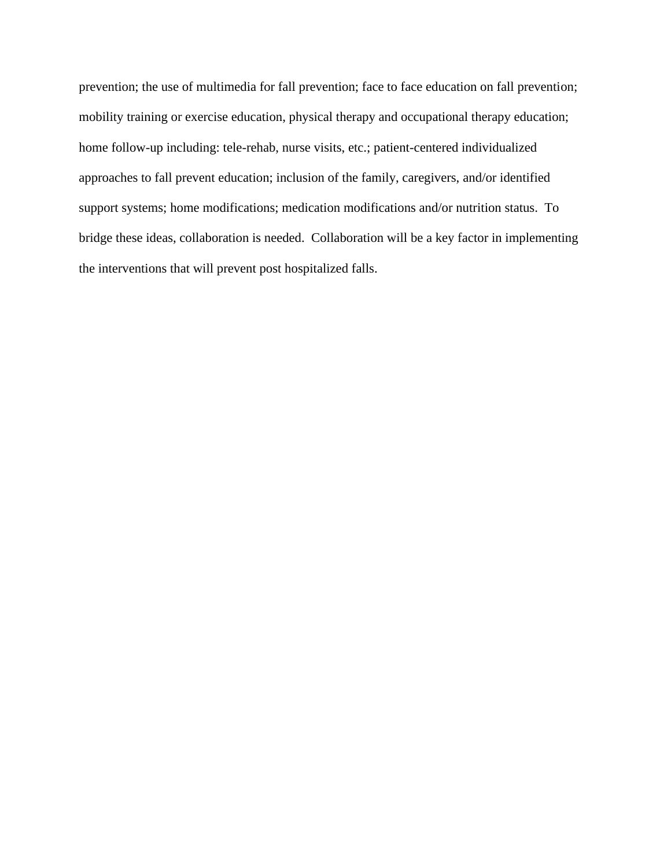prevention; the use of multimedia for fall prevention; face to face education on fall prevention; mobility training or exercise education, physical therapy and occupational therapy education; home follow-up including: tele-rehab, nurse visits, etc.; patient-centered individualized approaches to fall prevent education; inclusion of the family, caregivers, and/or identified support systems; home modifications; medication modifications and/or nutrition status. To bridge these ideas, collaboration is needed. Collaboration will be a key factor in implementing the interventions that will prevent post hospitalized falls.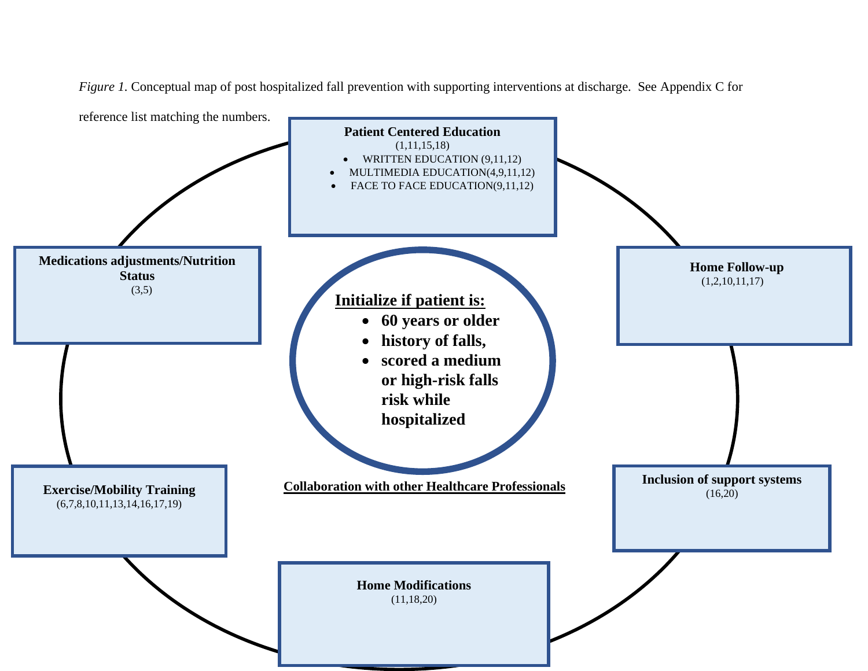**Initialize if patient is:** • **60 years or older** • **history of falls,** • **scored a medium or high-risk falls risk while hospitalized 60 Exercise/Mobility Training** (6,7,8,10,11,13,14,16,17,19) **Medications adjustments/Nutrition Status**  $(3,5)$  **Home Follow-up** (1,2,10,11,17) **Patient Centered Education**  $(1,11,15,18)$ • WRITTEN EDUCATION (9,11,12) • MULTIMEDIA EDUCATION(4,9,11,12) FACE TO FACE EDUCATION(9,11,12) **Inclusion of support systems**  $(16, 20)$ **Home Modifications** (11,18,20) *Figure 1.* Conceptual map of post hospitalized fall prevention with supporting interventions at discharge. See Appendix C for reference list matching the numbers.  **Collaboration with other Healthcare Professionals**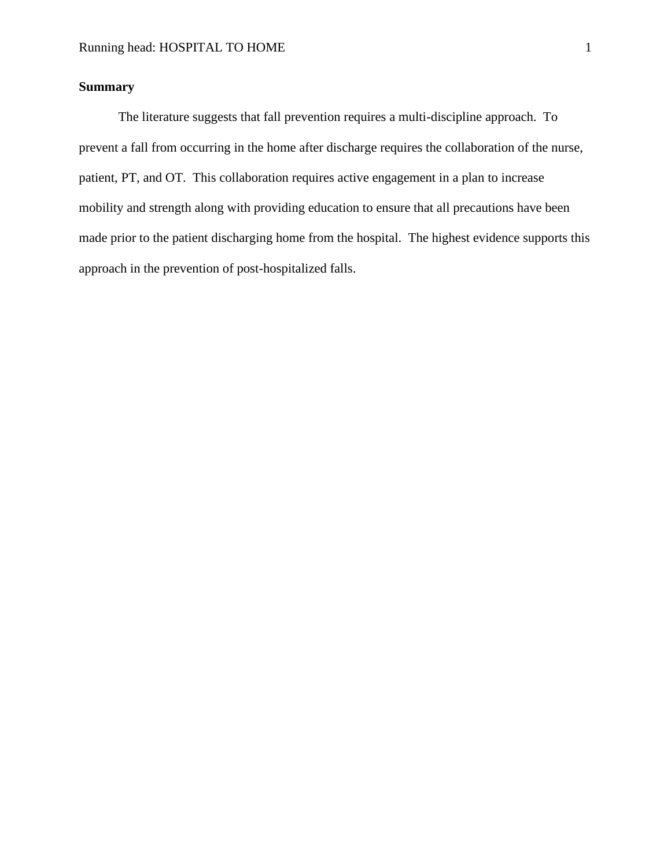## **Summary**

The literature suggests that fall prevention requires a multi-discipline approach. To prevent a fall from occurring in the home after discharge requires the collaboration of the nurse, patient, PT, and OT. This collaboration requires active engagement in a plan to increase mobility and strength along with providing education to ensure that all precautions have been made prior to the patient discharging home from the hospital. The highest evidence supports this approach in the prevention of post-hospitalized falls.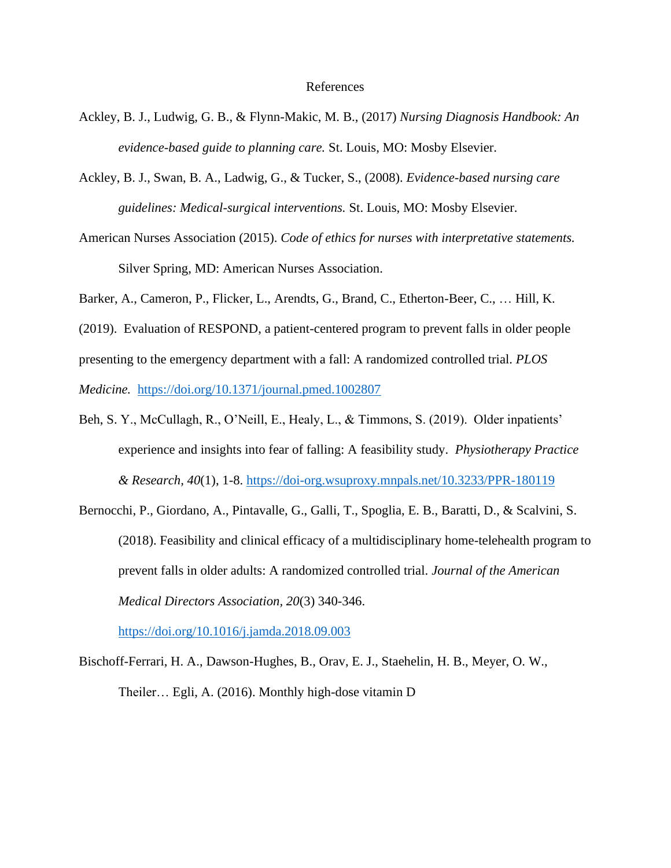#### References

- Ackley, B. J., Ludwig, G. B., & Flynn-Makic, M. B., (2017) *Nursing Diagnosis Handbook: An evidence-based guide to planning care.* St. Louis, MO: Mosby Elsevier.
- Ackley, B. J., Swan, B. A., Ladwig, G., & Tucker, S., (2008). *Evidence-based nursing care guidelines: Medical-surgical interventions.* St. Louis, MO: Mosby Elsevier.
- American Nurses Association (2015). *Code of ethics for nurses with interpretative statements.* Silver Spring, MD: American Nurses Association.
- Barker, A., Cameron, P., Flicker, L., Arendts, G., Brand, C., Etherton-Beer, C., … Hill, K.
- (2019). Evaluation of RESPOND, a patient-centered program to prevent falls in older people presenting to the emergency department with a fall: A randomized controlled trial. *PLOS Medicine.* <https://doi.org/10.1371/journal.pmed.1002807>
- Beh, S. Y., McCullagh, R., O'Neill, E., Healy, L., & Timmons, S. (2019). Older inpatients' experience and insights into fear of falling: A feasibility study. *Physiotherapy Practice & Research, 40*(1), 1-8.<https://doi-org.wsuproxy.mnpals.net/10.3233/PPR-180119>
- Bernocchi, P., Giordano, A., Pintavalle, G., Galli, T., Spoglia, E. B., Baratti, D., & Scalvini, S. (2018). Feasibility and clinical efficacy of a multidisciplinary home-telehealth program to prevent falls in older adults: A randomized controlled trial. *Journal of the American Medical Directors Association, 20*(3) 340-346.

<https://doi.org/10.1016/j.jamda.2018.09.003>

Bischoff-Ferrari, H. A., Dawson-Hughes, B., Orav, E. J., Staehelin, H. B., Meyer, O. W., Theiler… Egli, A. (2016). Monthly high-dose vitamin D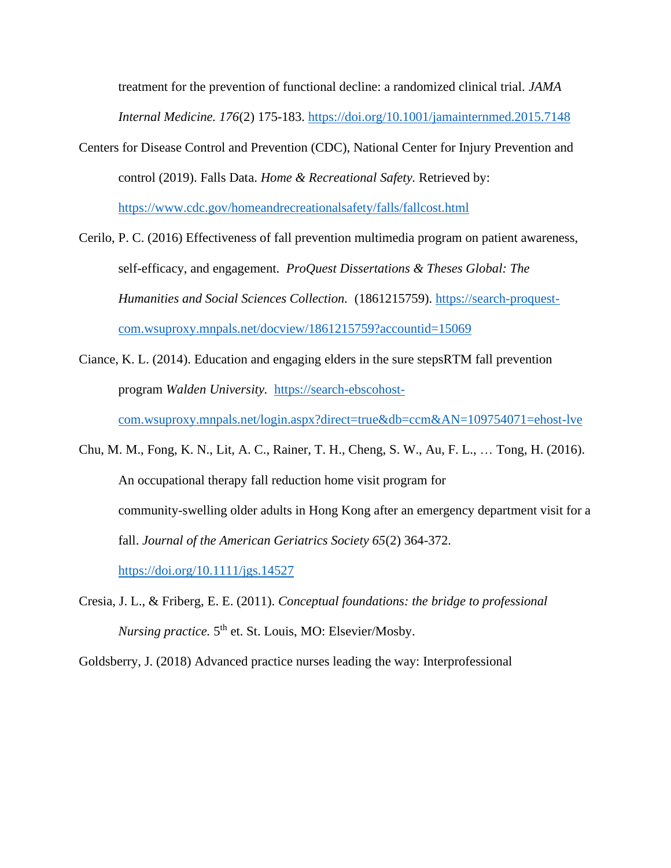treatment for the prevention of functional decline: a randomized clinical trial. *JAMA Internal Medicine. 176*(2) 175-183.<https://doi.org/10.1001/jamainternmed.2015.7148>

- Centers for Disease Control and Prevention (CDC), National Center for Injury Prevention and control (2019). Falls Data. *Home & Recreational Safety.* Retrieved by: <https://www.cdc.gov/homeandrecreationalsafety/falls/fallcost.html>
- Cerilo, P. C. (2016) Effectiveness of fall prevention multimedia program on patient awareness, self-efficacy, and engagement. *ProQuest Dissertations & Theses Global: The Humanities and Social Sciences Collection.* (1861215759). [https://search-proquest](https://search-proquest-com.wsuproxy.mnpals.net/docview/1861215759?accountid=15069)[com.wsuproxy.mnpals.net/docview/1861215759?accountid=15069](https://search-proquest-com.wsuproxy.mnpals.net/docview/1861215759?accountid=15069)
- Ciance, K. L. (2014). Education and engaging elders in the sure stepsRTM fall prevention program *Walden University.* [https://search-ebscohost-](https://search-ebscohost-com.wsuproxy.mnpals.net/login.aspx?direct=true&db=ccm&AN=109754071=ehost-lve)

[com.wsuproxy.mnpals.net/login.aspx?direct=true&db=ccm&AN=109754071=ehost-lve](https://search-ebscohost-com.wsuproxy.mnpals.net/login.aspx?direct=true&db=ccm&AN=109754071=ehost-lve)

Chu, M. M., Fong, K. N., Lit, A. C., Rainer, T. H., Cheng, S. W., Au, F. L., … Tong, H. (2016). An occupational therapy fall reduction home visit program for community-swelling older adults in Hong Kong after an emergency department visit for a fall. *Journal of the American Geriatrics Society 65*(2) 364-372. <https://doi.org/10.1111/jgs.14527>

Cresia, J. L., & Friberg, E. E. (2011). *Conceptual foundations: the bridge to professional Nursing practice.* 5<sup>th</sup> et. St. Louis, MO: Elsevier/Mosby.

Goldsberry, J. (2018) Advanced practice nurses leading the way: Interprofessional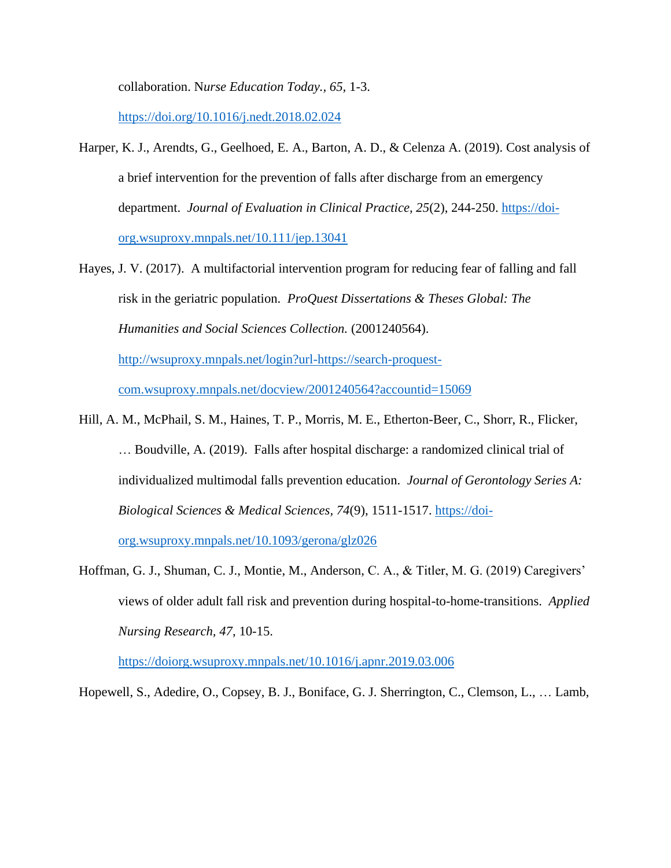collaboration. N*urse Education Today., 65,* 1-3.

<https://doi.org/10.1016/j.nedt.2018.02.024>

- Harper, K. J., Arendts, G., Geelhoed, E. A., Barton, A. D., & Celenza A. (2019). Cost analysis of a brief intervention for the prevention of falls after discharge from an emergency department. *Journal of Evaluation in Clinical Practice, 25*(2), 244-250. [https://doi](https://doi-org.wsuproxy.mnpals.net/10.111/jep.13041)[org.wsuproxy.mnpals.net/10.111/jep.13041](https://doi-org.wsuproxy.mnpals.net/10.111/jep.13041)
- Hayes, J. V. (2017). A multifactorial intervention program for reducing fear of falling and fall risk in the geriatric population. *ProQuest Dissertations & Theses Global: The Humanities and Social Sciences Collection.* (2001240564). [http://wsuproxy.mnpals.net/login?url-https://search-proquest](http://wsuproxy.mnpals.net/login?url-https://search-proquest-com.wsuproxy.mnpals.net/docview/2001240564?accountid=15069)[com.wsuproxy.mnpals.net/docview/2001240564?accountid=15069](http://wsuproxy.mnpals.net/login?url-https://search-proquest-com.wsuproxy.mnpals.net/docview/2001240564?accountid=15069)
- Hill, A. M., McPhail, S. M., Haines, T. P., Morris, M. E., Etherton-Beer, C., Shorr, R., Flicker, … Boudville, A. (2019). Falls after hospital discharge: a randomized clinical trial of individualized multimodal falls prevention education. *Journal of Gerontology Series A: Biological Sciences & Medical Sciences, 74*(9), 1511-1517. [https://doi-](https://doi-org.wsuproxy.mnpals.net/10.1093/gerona/glz026)

[org.wsuproxy.mnpals.net/10.1093/gerona/glz026](https://doi-org.wsuproxy.mnpals.net/10.1093/gerona/glz026)

Hoffman, G. J., Shuman, C. J., Montie, M., Anderson, C. A., & Titler, M. G. (2019) Caregivers' views of older adult fall risk and prevention during hospital-to-home-transitions. *Applied Nursing Research, 47*, 10-15.

<https://doiorg.wsuproxy.mnpals.net/10.1016/j.apnr.2019.03.006>

Hopewell, S., Adedire, O., Copsey, B. J., Boniface, G. J. Sherrington, C., Clemson, L., … Lamb,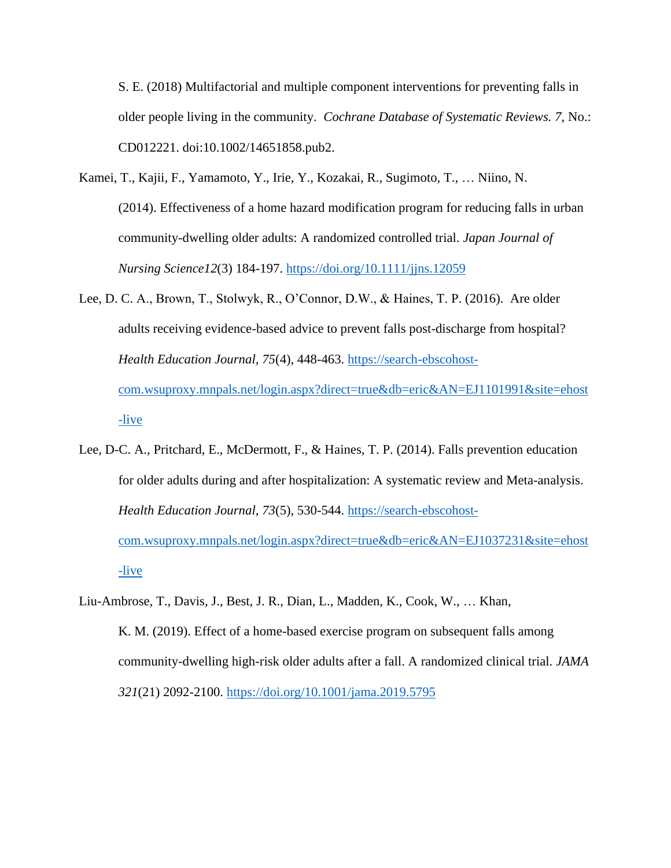S. E. (2018) Multifactorial and multiple component interventions for preventing falls in older people living in the community. *Cochrane Database of Systematic Reviews. 7,* No.: CD012221. doi:10.1002/14651858.pub2.

- Kamei, T., Kajii, F., Yamamoto, Y., Irie, Y., Kozakai, R., Sugimoto, T., … Niino, N. (2014). Effectiveness of a home hazard modification program for reducing falls in urban community-dwelling older adults: A randomized controlled trial. *Japan Journal of Nursing Science12*(3) 184-197.<https://doi.org/10.1111/jjns.12059>
- Lee, D. C. A., Brown, T., Stolwyk, R., O'Connor, D.W., & Haines, T. P. (2016). Are older adults receiving evidence-based advice to prevent falls post-discharge from hospital? *Health Education Journal, 75*(4), 448-463. [https://search-ebscohost](https://search-ebscohost-com.wsuproxy.mnpals.net/login.aspx?direct=true&db=eric&AN=EJ1101991&site=ehost-live)[com.wsuproxy.mnpals.net/login.aspx?direct=true&db=eric&AN=EJ1101991&site=ehost](https://search-ebscohost-com.wsuproxy.mnpals.net/login.aspx?direct=true&db=eric&AN=EJ1101991&site=ehost-live) [-live](https://search-ebscohost-com.wsuproxy.mnpals.net/login.aspx?direct=true&db=eric&AN=EJ1101991&site=ehost-live)
- Lee, D-C. A., Pritchard, E., McDermott, F., & Haines, T. P. (2014). Falls prevention education for older adults during and after hospitalization: A systematic review and Meta-analysis. *Health Education Journal, 73*(5), 530-544. [https://search-ebscohost](https://search-ebscohost-com.wsuproxy.mnpals.net/login.aspx?direct=true&db=eric&AN=EJ1037231&site=ehost-live)[com.wsuproxy.mnpals.net/login.aspx?direct=true&db=eric&AN=EJ1037231&site=ehost](https://search-ebscohost-com.wsuproxy.mnpals.net/login.aspx?direct=true&db=eric&AN=EJ1037231&site=ehost-live) [-live](https://search-ebscohost-com.wsuproxy.mnpals.net/login.aspx?direct=true&db=eric&AN=EJ1037231&site=ehost-live)
- Liu-Ambrose, T., Davis, J., Best, J. R., Dian, L., Madden, K., Cook, W., … Khan, K. M. (2019). Effect of a home-based exercise program on subsequent falls among community-dwelling high-risk older adults after a fall. A randomized clinical trial. *JAMA 321*(21) 2092-2100.<https://doi.org/10.1001/jama.2019.5795>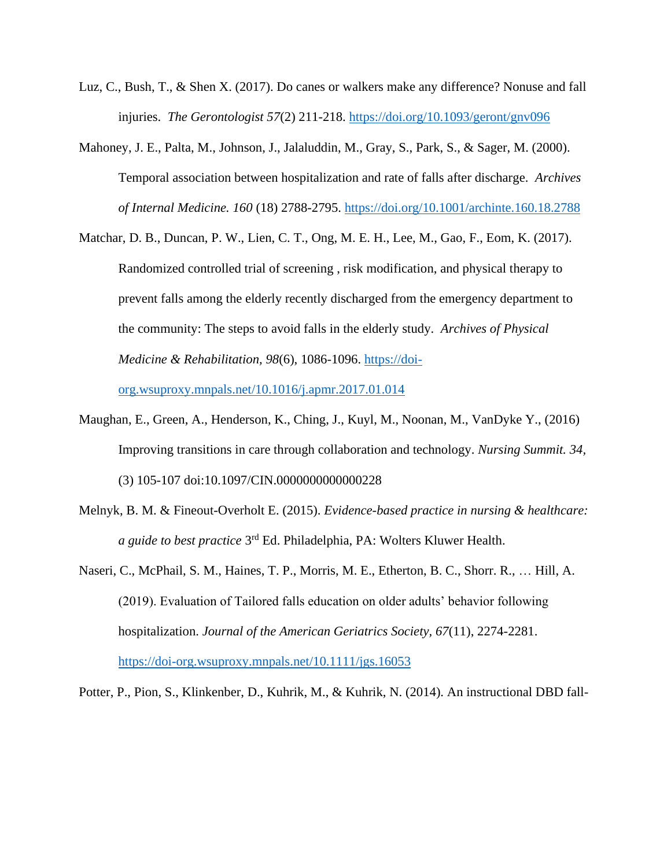- Luz, C., Bush, T., & Shen X. (2017). Do canes or walkers make any difference? Nonuse and fall injuries. *The Gerontologist 57*(2) 211-218.<https://doi.org/10.1093/geront/gnv096>
- Mahoney, J. E., Palta, M., Johnson, J., Jalaluddin, M., Gray, S., Park, S., & Sager, M. (2000). Temporal association between hospitalization and rate of falls after discharge. *Archives of Internal Medicine. 160* (18) 2788-2795.<https://doi.org/10.1001/archinte.160.18.2788>
- Matchar, D. B., Duncan, P. W., Lien, C. T., Ong, M. E. H., Lee, M., Gao, F., Eom, K. (2017). Randomized controlled trial of screening , risk modification, and physical therapy to prevent falls among the elderly recently discharged from the emergency department to the community: The steps to avoid falls in the elderly study. *Archives of Physical Medicine & Rehabilitation, 98*(6), 1086-1096. [https://doi-](https://doi-org.wsuproxy.mnpals.net/10.1016/j.apmr.2017.01.014)

[org.wsuproxy.mnpals.net/10.1016/j.apmr.2017.01.014](https://doi-org.wsuproxy.mnpals.net/10.1016/j.apmr.2017.01.014)

- Maughan, E., Green, A., Henderson, K., Ching, J., Kuyl, M., Noonan, M., VanDyke Y., (2016) Improving transitions in care through collaboration and technology. *Nursing Summit. 34,*  (3) 105-107 doi:10.1097/CIN.0000000000000228
- Melnyk, B. M. & Fineout-Overholt E. (2015). *Evidence-based practice in nursing & healthcare:* a guide to best practice 3<sup>rd</sup> Ed. Philadelphia, PA: Wolters Kluwer Health.
- Naseri, C., McPhail, S. M., Haines, T. P., Morris, M. E., Etherton, B. C., Shorr. R., … Hill, A. (2019). Evaluation of Tailored falls education on older adults' behavior following hospitalization. *Journal of the American Geriatrics Society, 67*(11), 2274-2281. <https://doi-org.wsuproxy.mnpals.net/10.1111/jgs.16053>

Potter, P., Pion, S., Klinkenber, D., Kuhrik, M., & Kuhrik, N. (2014). An instructional DBD fall-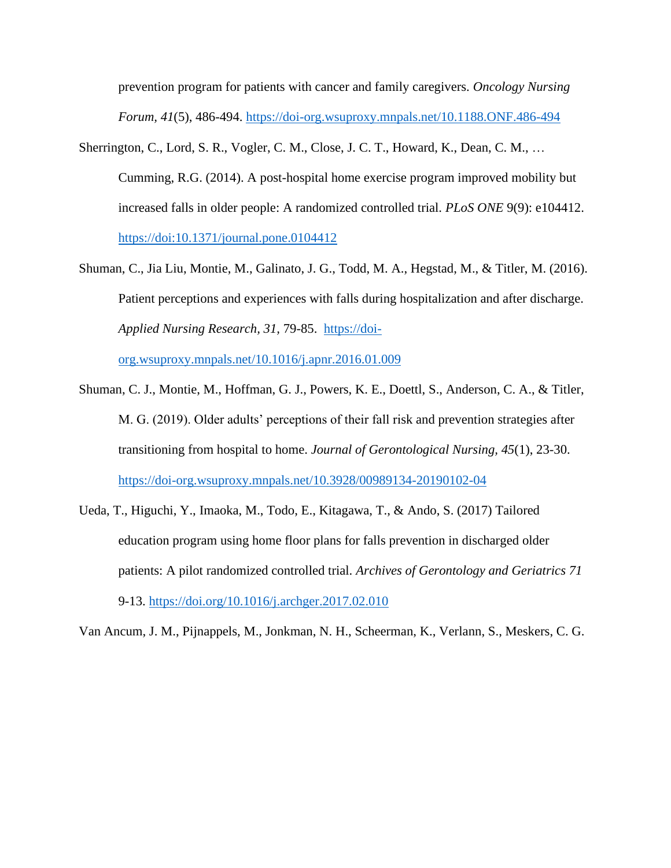prevention program for patients with cancer and family caregivers. *Oncology Nursing Forum, 41*(5), 486-494. <https://doi-org.wsuproxy.mnpals.net/10.1188.ONF.486-494>

- Sherrington, C., Lord, S. R., Vogler, C. M., Close, J. C. T., Howard, K., Dean, C. M., … Cumming, R.G. (2014). A post-hospital home exercise program improved mobility but increased falls in older people: A randomized controlled trial. *PLoS ONE* 9(9): e104412. <https://doi:10.1371/journal.pone.0104412>
- Shuman, C., Jia Liu, Montie, M., Galinato, J. G., Todd, M. A., Hegstad, M., & Titler, M. (2016). Patient perceptions and experiences with falls during hospitalization and after discharge. *Applied Nursing Research, 31,* 79-85. [https://doi-](https://doi-org.wsuproxy.mnpals.net/10.1016/j.apnr.2016.01.009)

[org.wsuproxy.mnpals.net/10.1016/j.apnr.2016.01.009](https://doi-org.wsuproxy.mnpals.net/10.1016/j.apnr.2016.01.009)

- Shuman, C. J., Montie, M., Hoffman, G. J., Powers, K. E., Doettl, S., Anderson, C. A., & Titler, M. G. (2019). Older adults' perceptions of their fall risk and prevention strategies after transitioning from hospital to home. *Journal of Gerontological Nursing, 45*(1), 23-30. <https://doi-org.wsuproxy.mnpals.net/10.3928/00989134-20190102-04>
- Ueda, T., Higuchi, Y., Imaoka, M., Todo, E., Kitagawa, T., & Ando, S. (2017) Tailored education program using home floor plans for falls prevention in discharged older patients: A pilot randomized controlled trial. *Archives of Gerontology and Geriatrics 71*  9-13.<https://doi.org/10.1016/j.archger.2017.02.010>

Van Ancum, J. M., Pijnappels, M., Jonkman, N. H., Scheerman, K., Verlann, S., Meskers, C. G.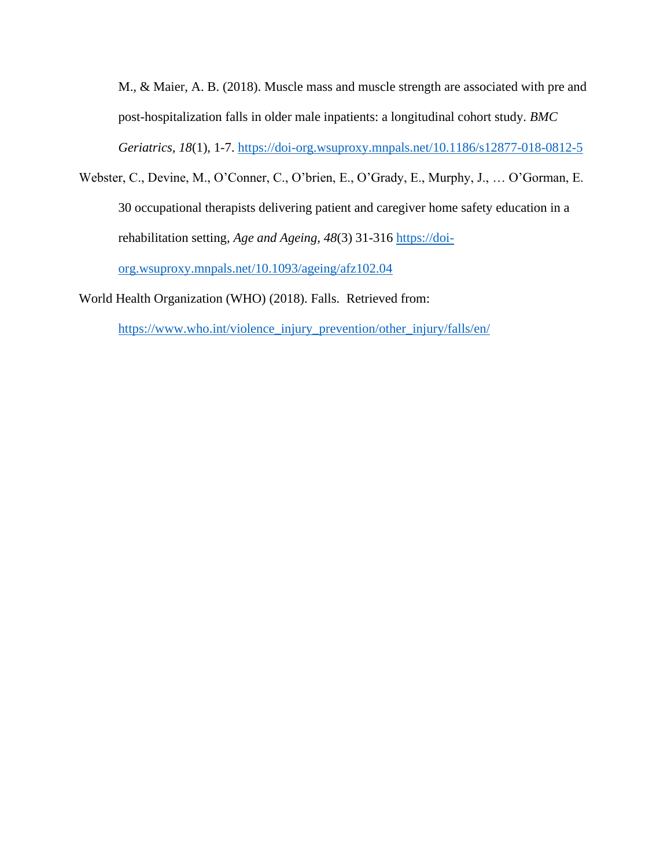M., & Maier, A. B. (2018). Muscle mass and muscle strength are associated with pre and post-hospitalization falls in older male inpatients: a longitudinal cohort study. *BMC Geriatrics, 18*(1), 1-7.<https://doi-org.wsuproxy.mnpals.net/10.1186/s12877-018-0812-5>

Webster, C., Devine, M., O'Conner, C., O'brien, E., O'Grady, E., Murphy, J., … O'Gorman, E. 30 occupational therapists delivering patient and caregiver home safety education in a rehabilitation setting, *Age and Ageing, 48*(3) 31-316 [https://doi](https://doi-org.wsuproxy.mnpals.net/10.1093/ageing/afz102.04)[org.wsuproxy.mnpals.net/10.1093/ageing/afz102.04](https://doi-org.wsuproxy.mnpals.net/10.1093/ageing/afz102.04)

World Health Organization (WHO) (2018). Falls. Retrieved from:

[https://www.who.int/violence\\_injury\\_prevention/other\\_injury/falls/en/](https://www.who.int/violence_injury_prevention/other_injury/falls/en/)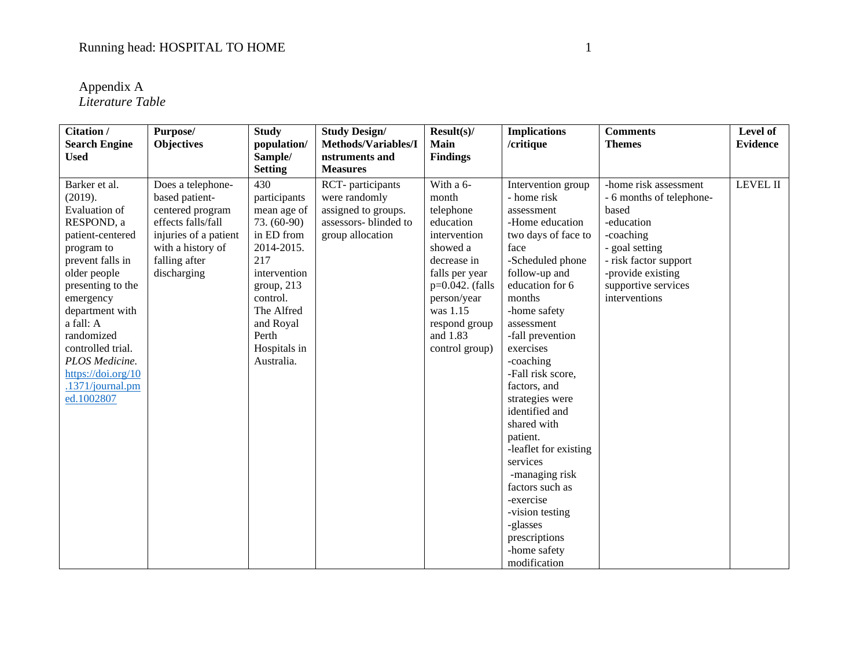Appendix A *Literature Table*

| Citation /<br><b>Search Engine</b>                                                                                                                                                                                                                                                                           | Purpose/<br><b>Objectives</b>                                                                                                                               | <b>Study</b><br>population/                                                                                                                                                                      | <b>Study Design/</b><br>Methods/Variables/I                                                           | Result(s)<br><b>Main</b>                                                                                                                                                                                  | <b>Implications</b><br>/critique                                                                                                                                                                                                                                                                                                                                                                                                                                                                            | <b>Comments</b><br><b>Themes</b>                                                                                                                                                              | Level of<br><b>Evidence</b> |
|--------------------------------------------------------------------------------------------------------------------------------------------------------------------------------------------------------------------------------------------------------------------------------------------------------------|-------------------------------------------------------------------------------------------------------------------------------------------------------------|--------------------------------------------------------------------------------------------------------------------------------------------------------------------------------------------------|-------------------------------------------------------------------------------------------------------|-----------------------------------------------------------------------------------------------------------------------------------------------------------------------------------------------------------|-------------------------------------------------------------------------------------------------------------------------------------------------------------------------------------------------------------------------------------------------------------------------------------------------------------------------------------------------------------------------------------------------------------------------------------------------------------------------------------------------------------|-----------------------------------------------------------------------------------------------------------------------------------------------------------------------------------------------|-----------------------------|
| <b>Used</b>                                                                                                                                                                                                                                                                                                  |                                                                                                                                                             | Sample/                                                                                                                                                                                          | nstruments and                                                                                        | <b>Findings</b>                                                                                                                                                                                           |                                                                                                                                                                                                                                                                                                                                                                                                                                                                                                             |                                                                                                                                                                                               |                             |
|                                                                                                                                                                                                                                                                                                              |                                                                                                                                                             | <b>Setting</b>                                                                                                                                                                                   | <b>Measures</b>                                                                                       |                                                                                                                                                                                                           |                                                                                                                                                                                                                                                                                                                                                                                                                                                                                                             |                                                                                                                                                                                               |                             |
| Barker et al.<br>(2019).<br>Evaluation of<br>RESPOND, a<br>patient-centered<br>program to<br>prevent falls in<br>older people<br>presenting to the<br>emergency<br>department with<br>a fall: A<br>randomized<br>controlled trial.<br>PLOS Medicine.<br>https://doi.org/10<br>.1371/journal.pm<br>ed.1002807 | Does a telephone-<br>based patient-<br>centered program<br>effects falls/fall<br>injuries of a patient<br>with a history of<br>falling after<br>discharging | 430<br>participants<br>mean age of<br>73. (60-90)<br>in ED from<br>2014-2015.<br>217<br>intervention<br>group, 213<br>control.<br>The Alfred<br>and Royal<br>Perth<br>Hospitals in<br>Australia. | RCT-participants<br>were randomly<br>assigned to groups.<br>assessors- blinded to<br>group allocation | With a 6-<br>month<br>telephone<br>education<br>intervention<br>showed a<br>decrease in<br>falls per year<br>$p=0.042$ . (falls<br>person/year<br>was 1.15<br>respond group<br>and 1.83<br>control group) | Intervention group<br>- home risk<br>assessment<br>-Home education<br>two days of face to<br>face<br>-Scheduled phone<br>follow-up and<br>education for 6<br>months<br>-home safety<br>assessment<br>-fall prevention<br>exercises<br>-coaching<br>-Fall risk score,<br>factors, and<br>strategies were<br>identified and<br>shared with<br>patient.<br>-leaflet for existing<br>services<br>-managing risk<br>factors such as<br>-exercise<br>-vision testing<br>-glasses<br>prescriptions<br>-home safety | -home risk assessment<br>- 6 months of telephone-<br>based<br>-education<br>-coaching<br>- goal setting<br>- risk factor support<br>-provide existing<br>supportive services<br>interventions | LEVEL II                    |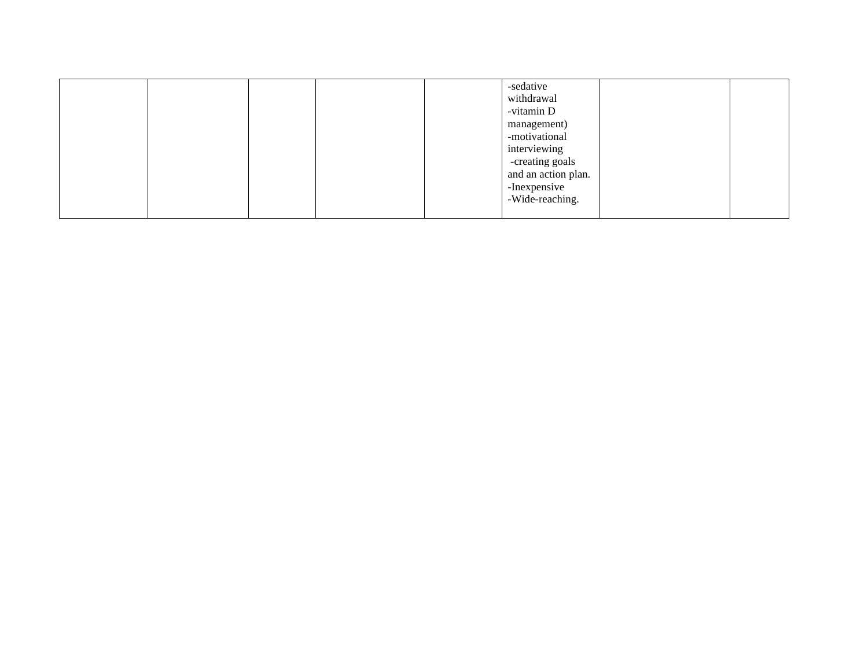|  |  | -sedative<br>withdrawal |  |
|--|--|-------------------------|--|
|  |  | -vitamin D              |  |
|  |  | management)             |  |
|  |  | -motivational           |  |
|  |  | interviewing            |  |
|  |  | -creating goals         |  |
|  |  | and an action plan.     |  |
|  |  | -Inexpensive            |  |
|  |  | -Wide-reaching.         |  |
|  |  |                         |  |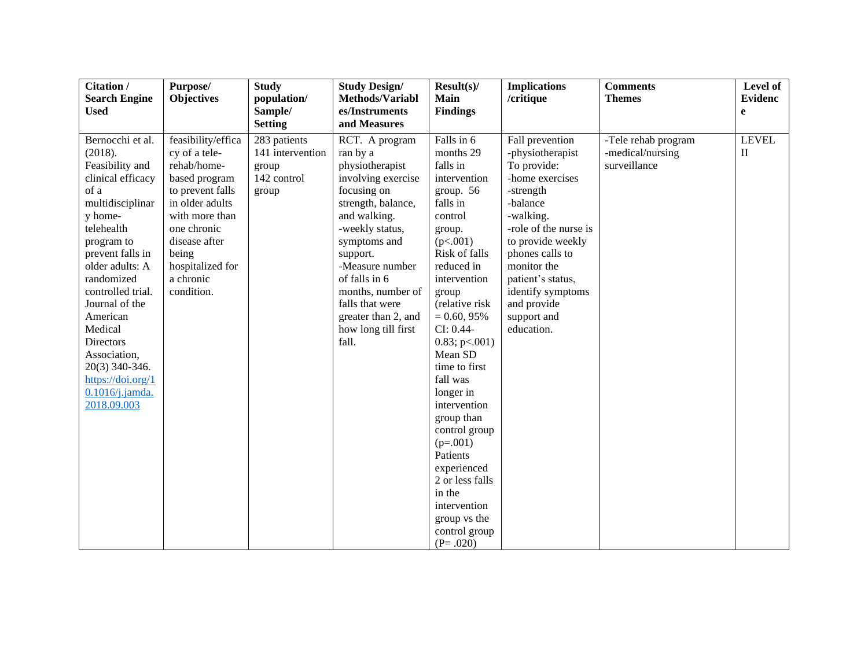| Citation /<br><b>Search Engine</b><br><b>Used</b>                                                                                                                                                                                                                                                                                                                  | Purpose/<br><b>Objectives</b>                                                                                                                                                                                        | <b>Study</b><br>population/<br>Sample/                                              | <b>Study Design/</b><br>Methods/Variabl<br>es/Instruments                                                                                                                                                                                                                                                                  | Result(s)<br><b>Main</b><br><b>Findings</b>                                                                                                                                                                                                                                                                                                                                                                                                                                      | <b>Implications</b><br>/critique                                                                                                                                                                                                                                                  | <b>Comments</b><br><b>Themes</b>                        | Level of<br><b>Evidenc</b><br>$\mathbf{e}$ |
|--------------------------------------------------------------------------------------------------------------------------------------------------------------------------------------------------------------------------------------------------------------------------------------------------------------------------------------------------------------------|----------------------------------------------------------------------------------------------------------------------------------------------------------------------------------------------------------------------|-------------------------------------------------------------------------------------|----------------------------------------------------------------------------------------------------------------------------------------------------------------------------------------------------------------------------------------------------------------------------------------------------------------------------|----------------------------------------------------------------------------------------------------------------------------------------------------------------------------------------------------------------------------------------------------------------------------------------------------------------------------------------------------------------------------------------------------------------------------------------------------------------------------------|-----------------------------------------------------------------------------------------------------------------------------------------------------------------------------------------------------------------------------------------------------------------------------------|---------------------------------------------------------|--------------------------------------------|
| Bernocchi et al.<br>(2018).<br>Feasibility and<br>clinical efficacy<br>of a<br>multidisciplinar<br>y home-<br>telehealth<br>program to<br>prevent falls in<br>older adults: A<br>randomized<br>controlled trial.<br>Journal of the<br>American<br>Medical<br>Directors<br>Association,<br>20(3) 340-346.<br>https://doi.org/1<br>$0.1016$ /j.jamda.<br>2018.09.003 | feasibility/effica<br>cy of a tele-<br>rehab/home-<br>based program<br>to prevent falls<br>in older adults<br>with more than<br>one chronic<br>disease after<br>being<br>hospitalized for<br>a chronic<br>condition. | <b>Setting</b><br>283 patients<br>141 intervention<br>group<br>142 control<br>group | and Measures<br>RCT. A program<br>ran by a<br>physiotherapist<br>involving exercise<br>focusing on<br>strength, balance,<br>and walking.<br>-weekly status,<br>symptoms and<br>support.<br>-Measure number<br>of falls in 6<br>months, number of<br>falls that were<br>greater than 2, and<br>how long till first<br>fall. | Falls in 6<br>months 29<br>falls in<br>intervention<br>group. 56<br>falls in<br>control<br>group.<br>(p<.001)<br>Risk of falls<br>reduced in<br>intervention<br>group<br>(relative risk<br>$= 0.60, 95\%$<br>CI: 0.44-<br>0.83; p<0.001<br>Mean SD<br>time to first<br>fall was<br>longer in<br>intervention<br>group than<br>control group<br>$(p=.001)$<br>Patients<br>experienced<br>2 or less falls<br>in the<br>intervention<br>group vs the<br>control group<br>$(P=.020)$ | Fall prevention<br>-physiotherapist<br>To provide:<br>-home exercises<br>-strength<br>-balance<br>-walking.<br>-role of the nurse is<br>to provide weekly<br>phones calls to<br>monitor the<br>patient's status,<br>identify symptoms<br>and provide<br>support and<br>education. | -Tele rehab program<br>-medical/nursing<br>surveillance | <b>LEVEL</b><br>$\mathbf{I}$               |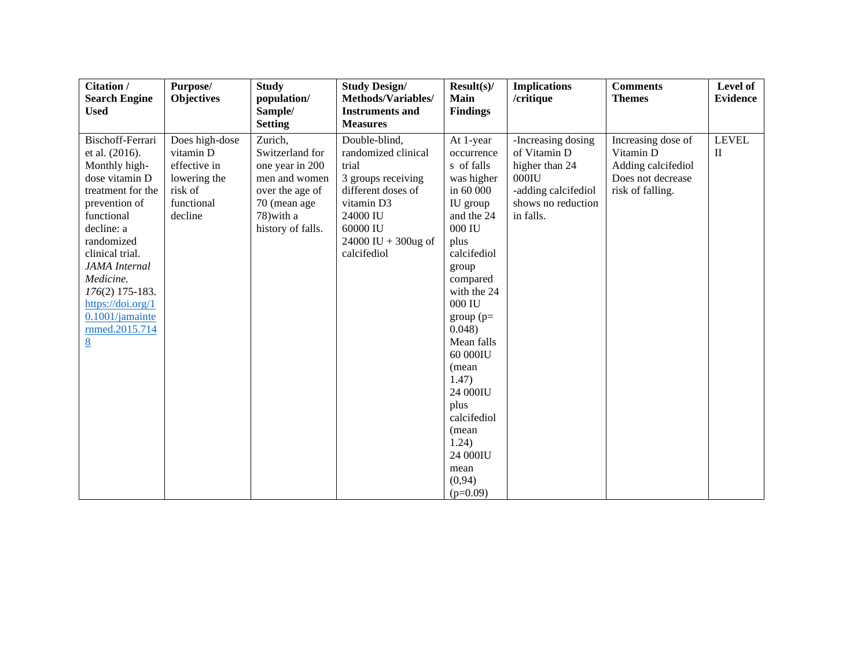| Citation /<br><b>Search Engine</b>                                                                                                                                                                                                                                                              | Purpose/<br><b>Objectives</b>                                                                   | <b>Study</b><br>population/                                                                                                          | <b>Study Design/</b><br>Methods/Variables/                                                                                                                               | Result(s)<br><b>Main</b>                                                                                                                                                                                                                                                                                                         | <b>Implications</b><br>/critique                                                                                           | <b>Comments</b><br><b>Themes</b>                                                               | Level of<br><b>Evidence</b> |
|-------------------------------------------------------------------------------------------------------------------------------------------------------------------------------------------------------------------------------------------------------------------------------------------------|-------------------------------------------------------------------------------------------------|--------------------------------------------------------------------------------------------------------------------------------------|--------------------------------------------------------------------------------------------------------------------------------------------------------------------------|----------------------------------------------------------------------------------------------------------------------------------------------------------------------------------------------------------------------------------------------------------------------------------------------------------------------------------|----------------------------------------------------------------------------------------------------------------------------|------------------------------------------------------------------------------------------------|-----------------------------|
| <b>Used</b>                                                                                                                                                                                                                                                                                     |                                                                                                 | Sample/                                                                                                                              | <b>Instruments and</b>                                                                                                                                                   | <b>Findings</b>                                                                                                                                                                                                                                                                                                                  |                                                                                                                            |                                                                                                |                             |
|                                                                                                                                                                                                                                                                                                 |                                                                                                 | <b>Setting</b>                                                                                                                       | <b>Measures</b>                                                                                                                                                          |                                                                                                                                                                                                                                                                                                                                  |                                                                                                                            |                                                                                                |                             |
| Bischoff-Ferrari<br>et al. (2016).<br>Monthly high-<br>dose vitamin D<br>treatment for the<br>prevention of<br>functional<br>decline: a<br>randomized<br>clinical trial.<br><b>JAMA</b> Internal<br>Medicine.<br>176(2) 175-183.<br>https://doi.org/1<br>0.1001/jamainte<br>rnmed.2015.714<br>8 | Does high-dose<br>vitamin D<br>effective in<br>lowering the<br>risk of<br>functional<br>decline | Zurich,<br>Switzerland for<br>one year in 200<br>men and women<br>over the age of<br>70 (mean age<br>78) with a<br>history of falls. | Double-blind,<br>randomized clinical<br>trial<br>3 groups receiving<br>different doses of<br>vitamin D3<br>24000 IU<br>60000 IU<br>24000 IU + $300$ ug of<br>calcifediol | At 1-year<br>occurrence<br>s of falls<br>was higher<br>in 60 000<br>IU group<br>and the 24<br>000 IU<br>plus<br>calcifediol<br>group<br>compared<br>with the 24<br>000 IU<br>$group(p=$<br>0.048<br>Mean falls<br>60 000IU<br>(mean<br>1.47)<br>24 000IU<br>plus<br>calcifediol<br>(mean<br>1.24)<br>24 000IU<br>mean<br>(0, 94) | -Increasing dosing<br>of Vitamin D<br>higher than 24<br>$000$ IU<br>-adding calcifediol<br>shows no reduction<br>in falls. | Increasing dose of<br>Vitamin D<br>Adding calcifediol<br>Does not decrease<br>risk of falling. | <b>LEVEL</b><br>$\rm _{II}$ |
|                                                                                                                                                                                                                                                                                                 |                                                                                                 |                                                                                                                                      |                                                                                                                                                                          | $(p=0.09)$                                                                                                                                                                                                                                                                                                                       |                                                                                                                            |                                                                                                |                             |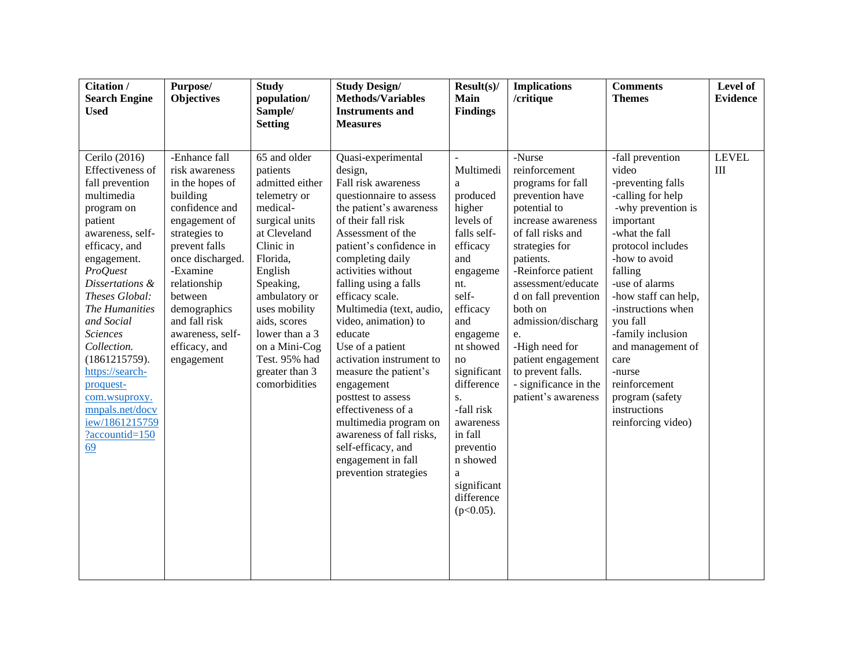| Citation /<br><b>Search Engine</b><br><b>Used</b>                                                                                                                                                                                                                                                                                                                                                        | Purpose/<br><b>Objectives</b>                                                                                                                                                                                                                                                      | <b>Study</b><br>population/<br>Sample/<br><b>Setting</b>                                                                                                                                                                                                                                            | <b>Study Design/</b><br><b>Methods/Variables</b><br><b>Instruments and</b><br><b>Measures</b>                                                                                                                                                                                                                                                                                                                                                                                                                                                                                                      | Result(s)<br>Main<br><b>Findings</b>                                                                                                                                                                                                                                                                                                                | <b>Implications</b><br>/critique                                                                                                                                                                                                                                                                                                                                                  | <b>Comments</b><br><b>Themes</b>                                                                                                                                                                                                                                                                                                                                                            | Level of<br><b>Evidence</b> |
|----------------------------------------------------------------------------------------------------------------------------------------------------------------------------------------------------------------------------------------------------------------------------------------------------------------------------------------------------------------------------------------------------------|------------------------------------------------------------------------------------------------------------------------------------------------------------------------------------------------------------------------------------------------------------------------------------|-----------------------------------------------------------------------------------------------------------------------------------------------------------------------------------------------------------------------------------------------------------------------------------------------------|----------------------------------------------------------------------------------------------------------------------------------------------------------------------------------------------------------------------------------------------------------------------------------------------------------------------------------------------------------------------------------------------------------------------------------------------------------------------------------------------------------------------------------------------------------------------------------------------------|-----------------------------------------------------------------------------------------------------------------------------------------------------------------------------------------------------------------------------------------------------------------------------------------------------------------------------------------------------|-----------------------------------------------------------------------------------------------------------------------------------------------------------------------------------------------------------------------------------------------------------------------------------------------------------------------------------------------------------------------------------|---------------------------------------------------------------------------------------------------------------------------------------------------------------------------------------------------------------------------------------------------------------------------------------------------------------------------------------------------------------------------------------------|-----------------------------|
| Cerilo (2016)<br>Effectiveness of<br>fall prevention<br>multimedia<br>program on<br>patient<br>awareness, self-<br>efficacy, and<br>engagement.<br><b>ProQuest</b><br>Dissertations &<br>Theses Global:<br>The Humanities<br>and Social<br><b>Sciences</b><br>Collection.<br>(1861215759).<br>https://search-<br>proquest-<br>com.wsuproxy.<br>mnpals.net/docv<br>iew/1861215759<br>?accountid=150<br>69 | -Enhance fall<br>risk awareness<br>in the hopes of<br>building<br>confidence and<br>engagement of<br>strategies to<br>prevent falls<br>once discharged.<br>-Examine<br>relationship<br>between<br>demographics<br>and fall risk<br>awareness, self-<br>efficacy, and<br>engagement | 65 and older<br>patients<br>admitted either<br>telemetry or<br>medical-<br>surgical units<br>at Cleveland<br>Clinic in<br>Florida,<br>English<br>Speaking,<br>ambulatory or<br>uses mobility<br>aids, scores<br>lower than a 3<br>on a Mini-Cog<br>Test. 95% had<br>greater than 3<br>comorbidities | Quasi-experimental<br>design,<br>Fall risk awareness<br>questionnaire to assess<br>the patient's awareness<br>of their fall risk<br>Assessment of the<br>patient's confidence in<br>completing daily<br>activities without<br>falling using a falls<br>efficacy scale.<br>Multimedia (text, audio,<br>video, animation) to<br>educate<br>Use of a patient<br>activation instrument to<br>measure the patient's<br>engagement<br>posttest to assess<br>effectiveness of a<br>multimedia program on<br>awareness of fall risks,<br>self-efficacy, and<br>engagement in fall<br>prevention strategies | $\overline{a}$<br>Multimedi<br>a<br>produced<br>higher<br>levels of<br>falls self-<br>efficacy<br>and<br>engageme<br>nt.<br>self-<br>efficacy<br>and<br>engageme<br>nt showed<br>no<br>significant<br>difference<br>S <sub>1</sub><br>-fall risk<br>awareness<br>in fall<br>preventio<br>n showed<br>a<br>significant<br>difference<br>$(p<0.05)$ . | -Nurse<br>reinforcement<br>programs for fall<br>prevention have<br>potential to<br>increase awareness<br>of fall risks and<br>strategies for<br>patients.<br>-Reinforce patient<br>assessment/educate<br>d on fall prevention<br>both on<br>admission/discharg<br>e.<br>-High need for<br>patient engagement<br>to prevent falls.<br>- significance in the<br>patient's awareness | -fall prevention<br>video<br>-preventing falls<br>-calling for help<br>-why prevention is<br>important<br>-what the fall<br>protocol includes<br>-how to avoid<br>falling<br>-use of alarms<br>-how staff can help,<br>-instructions when<br>you fall<br>-family inclusion<br>and management of<br>care<br>-nurse<br>reinforcement<br>program (safety<br>instructions<br>reinforcing video) | <b>LEVEL</b><br>III         |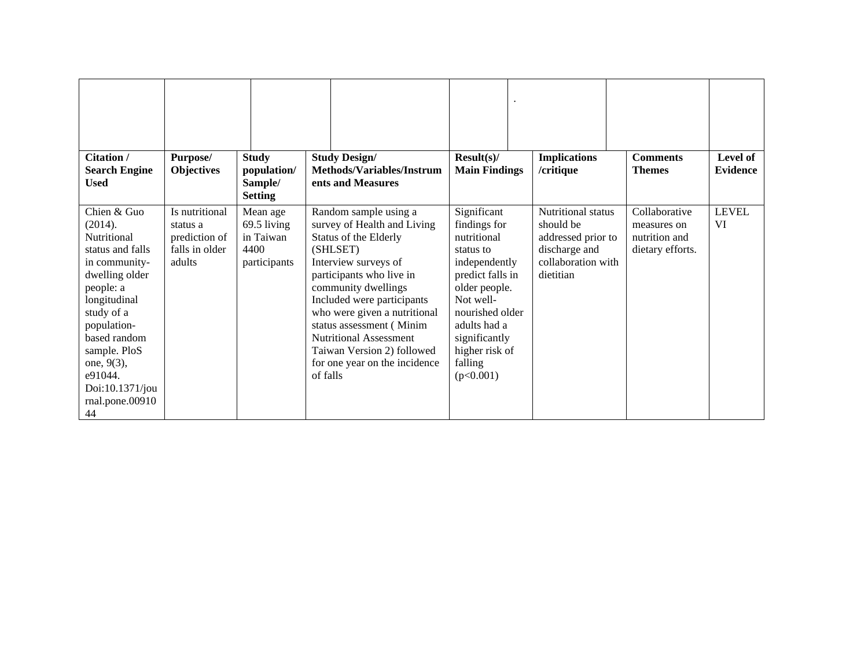| <b>Citation /</b><br><b>Search Engine</b><br><b>Used</b>                                                                                                                                                                                                    | Purpose/<br><b>Objectives</b>                                           | <b>Study</b><br>population/<br>Sample/<br><b>Setting</b>     | <b>Study Design/</b><br><b>Methods/Variables/Instrum</b><br>ents and Measures                                                                                                                                                                                                                                                                                              | $Result(s)$ /<br><b>Main Findings</b>                                                                                                                                                                                    | <b>Implications</b><br>/critique                                                                          | <b>Comments</b><br><b>Themes</b>                                  | Level of<br><b>Evidence</b> |
|-------------------------------------------------------------------------------------------------------------------------------------------------------------------------------------------------------------------------------------------------------------|-------------------------------------------------------------------------|--------------------------------------------------------------|----------------------------------------------------------------------------------------------------------------------------------------------------------------------------------------------------------------------------------------------------------------------------------------------------------------------------------------------------------------------------|--------------------------------------------------------------------------------------------------------------------------------------------------------------------------------------------------------------------------|-----------------------------------------------------------------------------------------------------------|-------------------------------------------------------------------|-----------------------------|
| Chien & Guo<br>(2014).<br>Nutritional<br>status and falls<br>in community-<br>dwelling older<br>people: a<br>longitudinal<br>study of a<br>population-<br>based random<br>sample. PloS<br>one, 9(3),<br>e91044.<br>Doi:10.1371/jou<br>rnal.pone.00910<br>44 | Is nutritional<br>status a<br>prediction of<br>falls in older<br>adults | Mean age<br>69.5 living<br>in Taiwan<br>4400<br>participants | Random sample using a<br>survey of Health and Living<br>Status of the Elderly<br>(SHLSET)<br>Interview surveys of<br>participants who live in<br>community dwellings<br>Included were participants<br>who were given a nutritional<br>status assessment (Minim<br><b>Nutritional Assessment</b><br>Taiwan Version 2) followed<br>for one year on the incidence<br>of falls | Significant<br>findings for<br>nutritional<br>status to<br>independently<br>predict falls in<br>older people.<br>Not well-<br>nourished older<br>adults had a<br>significantly<br>higher risk of<br>falling<br>(p<0.001) | Nutritional status<br>should be<br>addressed prior to<br>discharge and<br>collaboration with<br>dietitian | Collaborative<br>measures on<br>nutrition and<br>dietary efforts. | <b>LEVEL</b><br>VI          |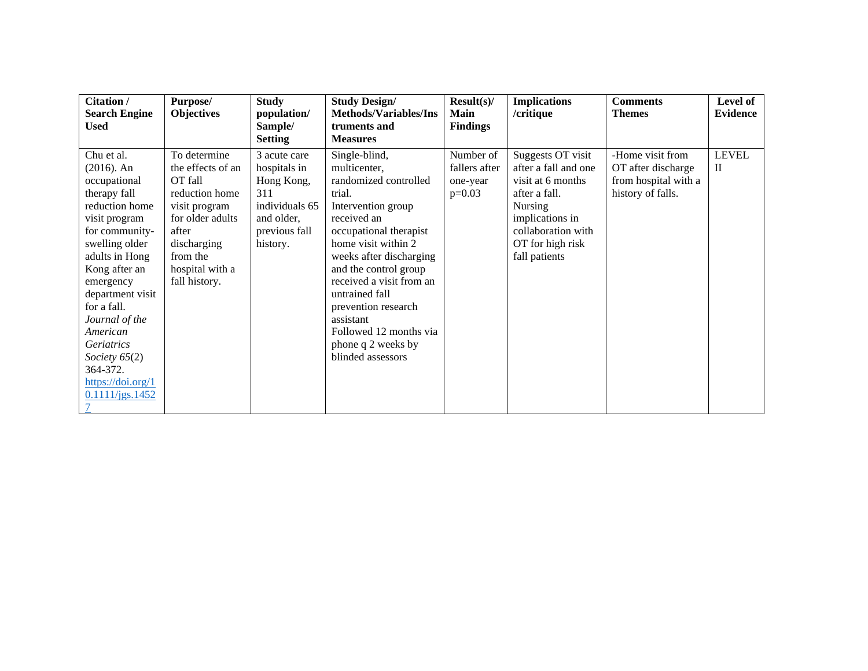| Citation /<br><b>Search Engine</b>                                                                                                                                                                                                                                                                                                                     | Purpose/<br><b>Objectives</b>                                                                                                                                               | <b>Study</b><br>population/                                                                                    | <b>Study Design/</b><br><b>Methods/Variables/Ins</b>                                                                                                                                                                                                                                                                                                              | Result(s)<br><b>Main</b>                           | <b>Implications</b><br>/critique                                                                                                                                         | <b>Comments</b><br><b>Themes</b>                                                    | Level of<br><b>Evidence</b>  |
|--------------------------------------------------------------------------------------------------------------------------------------------------------------------------------------------------------------------------------------------------------------------------------------------------------------------------------------------------------|-----------------------------------------------------------------------------------------------------------------------------------------------------------------------------|----------------------------------------------------------------------------------------------------------------|-------------------------------------------------------------------------------------------------------------------------------------------------------------------------------------------------------------------------------------------------------------------------------------------------------------------------------------------------------------------|----------------------------------------------------|--------------------------------------------------------------------------------------------------------------------------------------------------------------------------|-------------------------------------------------------------------------------------|------------------------------|
| <b>Used</b>                                                                                                                                                                                                                                                                                                                                            |                                                                                                                                                                             | Sample/<br><b>Setting</b>                                                                                      | truments and<br><b>Measures</b>                                                                                                                                                                                                                                                                                                                                   | <b>Findings</b>                                    |                                                                                                                                                                          |                                                                                     |                              |
| Chu et al.<br>(2016). An<br>occupational<br>therapy fall<br>reduction home<br>visit program<br>for community-<br>swelling older<br>adults in Hong<br>Kong after an<br>emergency<br>department visit<br>for a fall.<br>Journal of the<br>American<br><i>Geriatrics</i><br>Society $65(2)$<br>364-372.<br>$\frac{https://doi.org/1}{$<br>0.1111/jgs.1452 | To determine<br>the effects of an<br>OT fall<br>reduction home<br>visit program<br>for older adults<br>after<br>discharging<br>from the<br>hospital with a<br>fall history. | 3 acute care<br>hospitals in<br>Hong Kong,<br>311<br>individuals 65<br>and older,<br>previous fall<br>history. | Single-blind,<br>multicenter,<br>randomized controlled<br>trial.<br>Intervention group<br>received an<br>occupational therapist<br>home visit within 2<br>weeks after discharging<br>and the control group<br>received a visit from an<br>untrained fall<br>prevention research<br>assistant<br>Followed 12 months via<br>phone q 2 weeks by<br>blinded assessors | Number of<br>fallers after<br>one-year<br>$p=0.03$ | Suggests OT visit<br>after a fall and one<br>visit at 6 months<br>after a fall.<br>Nursing<br>implications in<br>collaboration with<br>OT for high risk<br>fall patients | -Home visit from<br>OT after discharge<br>from hospital with a<br>history of falls. | <b>LEVEL</b><br>$\mathbf{I}$ |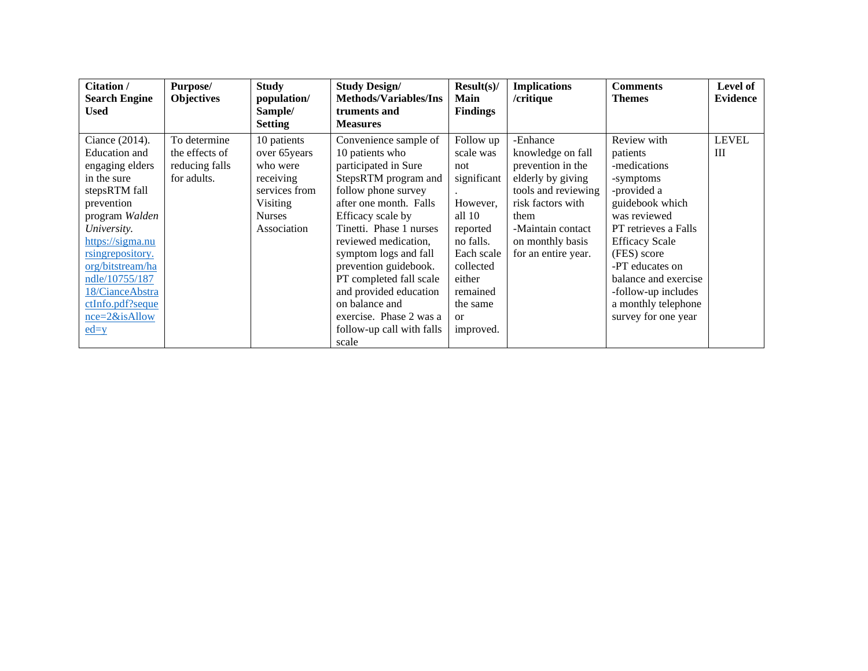| Citation /              | Purpose/          | <b>Study</b>   | <b>Study Design/</b>         | Result(s)       | <b>Implications</b> | <b>Comments</b>       | Level of        |
|-------------------------|-------------------|----------------|------------------------------|-----------------|---------------------|-----------------------|-----------------|
| <b>Search Engine</b>    | <b>Objectives</b> | population/    | <b>Methods/Variables/Ins</b> | Main            | /critique           | <b>Themes</b>         | <b>Evidence</b> |
| <b>Used</b>             |                   | Sample/        | truments and                 | <b>Findings</b> |                     |                       |                 |
|                         |                   | <b>Setting</b> | <b>Measures</b>              |                 |                     |                       |                 |
| Ciance (2014).          | To determine      | 10 patients    | Convenience sample of        | Follow up       | -Enhance            | Review with           | <b>LEVEL</b>    |
| Education and           | the effects of    | over 65 years  | 10 patients who              | scale was       | knowledge on fall   | patients              | III             |
| engaging elders         | reducing falls    | who were       | participated in Sure         | not             | prevention in the   | -medications          |                 |
| in the sure             | for adults.       | receiving      | StepsRTM program and         | significant     | elderly by giving   | -symptoms             |                 |
| stepsRTM fall           |                   | services from  | follow phone survey          |                 | tools and reviewing | -provided a           |                 |
| prevention              |                   | Visiting       | after one month. Falls       | However,        | risk factors with   | guidebook which       |                 |
| program Walden          |                   | <b>Nurses</b>  | Efficacy scale by            | all $10$        | them                | was reviewed          |                 |
| University.             |                   | Association    | Tinetti. Phase 1 nurses      | reported        | -Maintain contact   | PT retrieves a Falls  |                 |
| https://sigma.nu        |                   |                | reviewed medication,         | no falls.       | on monthly basis    | <b>Efficacy Scale</b> |                 |
| <u>rsingrepository.</u> |                   |                | symptom logs and fall        | Each scale      | for an entire year. | (FES) score           |                 |
| org/bitstream/ha        |                   |                | prevention guidebook.        | collected       |                     | -PT educates on       |                 |
| ndle/10755/187          |                   |                | PT completed fall scale      | either          |                     | balance and exercise  |                 |
| 18/CianceAbstra         |                   |                | and provided education       | remained        |                     | -follow-up includes   |                 |
| ctInfo.pdf?seque        |                   |                | on balance and               | the same        |                     | a monthly telephone   |                 |
| $nce=2&$ isAllow        |                   |                | exercise. Phase 2 was a      | <sub>or</sub>   |                     | survey for one year   |                 |
| $ed=y$                  |                   |                | follow-up call with falls    | improved.       |                     |                       |                 |
|                         |                   |                | scale                        |                 |                     |                       |                 |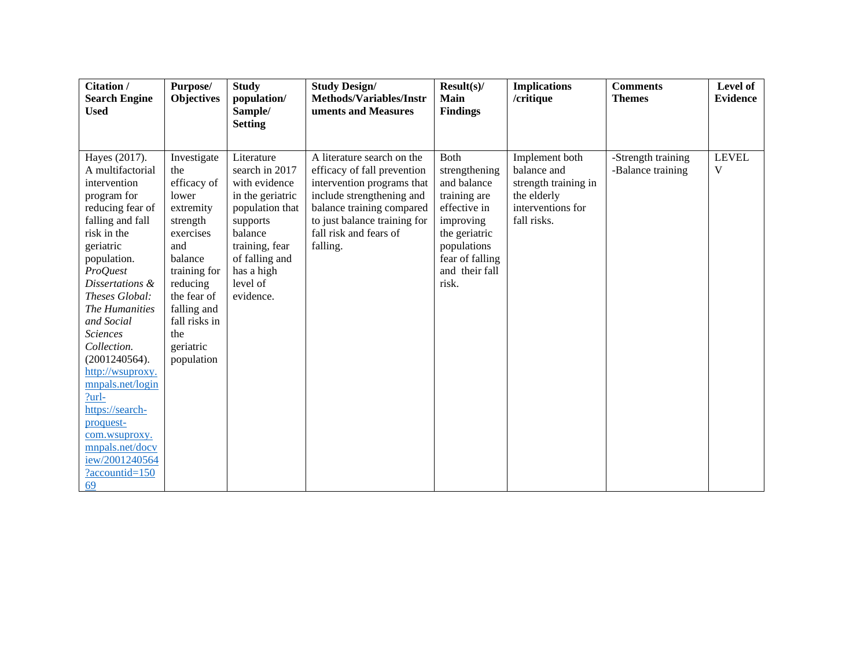| <b>Citation /</b>               | Purpose/              | <b>Study</b>        | <b>Study Design/</b>                                   | Result(s)                  | <b>Implications</b>  | <b>Comments</b>    | Level of        |
|---------------------------------|-----------------------|---------------------|--------------------------------------------------------|----------------------------|----------------------|--------------------|-----------------|
| <b>Search Engine</b>            | <b>Objectives</b>     | population/         | Methods/Variables/Instr                                | <b>Main</b>                | /critique            | <b>Themes</b>      | <b>Evidence</b> |
| <b>Used</b>                     |                       | Sample/             | uments and Measures                                    | <b>Findings</b>            |                      |                    |                 |
|                                 |                       | <b>Setting</b>      |                                                        |                            |                      |                    |                 |
|                                 |                       |                     |                                                        |                            |                      |                    |                 |
| Hayes (2017).                   | Investigate           | Literature          | A literature search on the                             | <b>Both</b>                | Implement both       | -Strength training | <b>LEVEL</b>    |
| A multifactorial                | the                   | search in 2017      | efficacy of fall prevention                            | strengthening              | balance and          | -Balance training  | V               |
| intervention                    | efficacy of           | with evidence       | intervention programs that                             | and balance                | strength training in |                    |                 |
| program for                     | lower                 | in the geriatric    | include strengthening and                              | training are               | the elderly          |                    |                 |
| reducing fear of                | extremity             | population that     | balance training compared                              | effective in               | interventions for    |                    |                 |
| falling and fall<br>risk in the | strength<br>exercises | supports<br>balance | to just balance training for<br>fall risk and fears of | improving<br>the geriatric | fall risks.          |                    |                 |
| geriatric                       | and                   | training, fear      | falling.                                               | populations                |                      |                    |                 |
| population.                     | balance               | of falling and      |                                                        | fear of falling            |                      |                    |                 |
| <b>ProQuest</b>                 | training for          | has a high          |                                                        | and their fall             |                      |                    |                 |
| Dissertations &                 | reducing              | level of            |                                                        | risk.                      |                      |                    |                 |
| Theses Global:                  | the fear of           | evidence.           |                                                        |                            |                      |                    |                 |
| The Humanities                  | falling and           |                     |                                                        |                            |                      |                    |                 |
| and Social                      | fall risks in         |                     |                                                        |                            |                      |                    |                 |
| <b>Sciences</b>                 | the                   |                     |                                                        |                            |                      |                    |                 |
| Collection.                     | geriatric             |                     |                                                        |                            |                      |                    |                 |
| (2001240564).                   | population            |                     |                                                        |                            |                      |                    |                 |
| http://wsuproxy.                |                       |                     |                                                        |                            |                      |                    |                 |
| mnpals.net/login                |                       |                     |                                                        |                            |                      |                    |                 |
| $?$ url-<br>https://search-     |                       |                     |                                                        |                            |                      |                    |                 |
| proquest-                       |                       |                     |                                                        |                            |                      |                    |                 |
| com.wsuproxy.                   |                       |                     |                                                        |                            |                      |                    |                 |
| mnpals.net/docv                 |                       |                     |                                                        |                            |                      |                    |                 |
| iew/2001240564                  |                       |                     |                                                        |                            |                      |                    |                 |
| ?accountid=150                  |                       |                     |                                                        |                            |                      |                    |                 |
| 69                              |                       |                     |                                                        |                            |                      |                    |                 |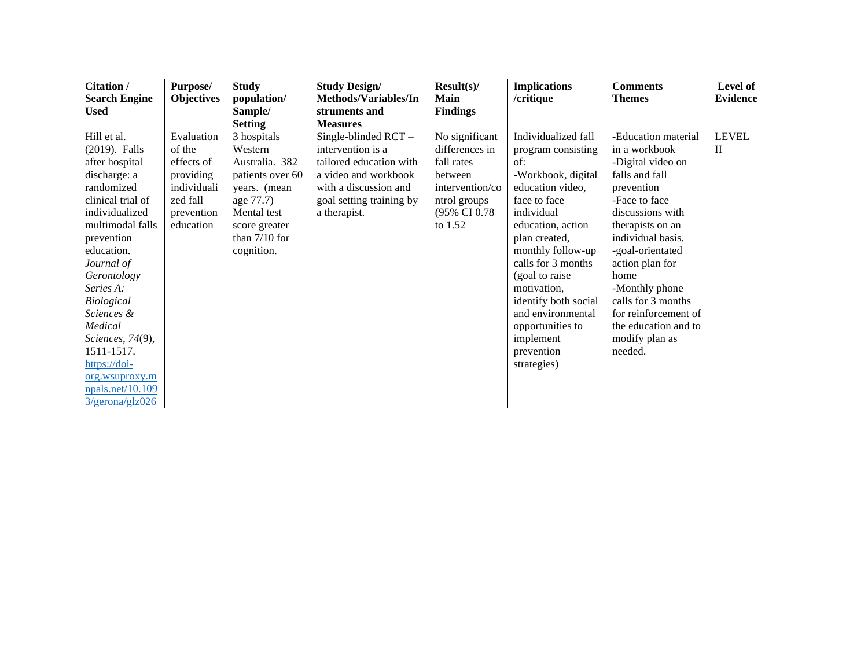| Citation /            | Purpose/          | <b>Study</b>     | <b>Study Design/</b>     | Result(s)       | <b>Implications</b>  | <b>Comments</b>      | Level of        |
|-----------------------|-------------------|------------------|--------------------------|-----------------|----------------------|----------------------|-----------------|
| <b>Search Engine</b>  | <b>Objectives</b> | population/      | Methods/Variables/In     | <b>Main</b>     | /critique            | <b>Themes</b>        | <b>Evidence</b> |
| <b>Used</b>           |                   | Sample/          | struments and            | <b>Findings</b> |                      |                      |                 |
|                       |                   | <b>Setting</b>   | <b>Measures</b>          |                 |                      |                      |                 |
| Hill et al.           | Evaluation        | 3 hospitals      | Single-blinded $RCT -$   | No significant  | Individualized fall  | -Education material  | <b>LEVEL</b>    |
| (2019). Falls         | of the            | Western          | intervention is a        | differences in  | program consisting   | in a workbook        | $\mathbf{I}$    |
| after hospital        | effects of        | Australia. 382   | tailored education with  | fall rates      | of:                  | -Digital video on    |                 |
| discharge: a          | providing         | patients over 60 | a video and workbook     | between         | -Workbook, digital   | falls and fall       |                 |
| randomized            | individuali       | years. (mean     | with a discussion and    | intervention/co | education video,     | prevention           |                 |
| clinical trial of     | zed fall          | age 77.7)        | goal setting training by | ntrol groups    | face to face         | -Face to face        |                 |
| individualized        | prevention        | Mental test      | a therapist.             | (95% CI 0.78)   | individual           | discussions with     |                 |
| multimodal falls      | education         | score greater    |                          | to $1.52$       | education, action    | therapists on an     |                 |
| prevention            |                   | than $7/10$ for  |                          |                 | plan created,        | individual basis.    |                 |
| education.            |                   | cognition.       |                          |                 | monthly follow-up    | -goal-orientated     |                 |
| Journal of            |                   |                  |                          |                 | calls for 3 months   | action plan for      |                 |
| Gerontology           |                   |                  |                          |                 | (goal to raise)      | home                 |                 |
| Series A:             |                   |                  |                          |                 | motivation,          | -Monthly phone       |                 |
| Biological            |                   |                  |                          |                 | identify both social | calls for 3 months   |                 |
| Sciences &            |                   |                  |                          |                 | and environmental    | for reinforcement of |                 |
| Medical               |                   |                  |                          |                 | opportunities to     | the education and to |                 |
| Sciences, 74(9),      |                   |                  |                          |                 | implement            | modify plan as       |                 |
| 1511-1517.            |                   |                  |                          |                 | prevention           | needed.              |                 |
| https://doi-          |                   |                  |                          |                 | strategies)          |                      |                 |
| org.wsuproxy.m        |                   |                  |                          |                 |                      |                      |                 |
| npals.net/10.109      |                   |                  |                          |                 |                      |                      |                 |
| $3$ /gerona/glz $026$ |                   |                  |                          |                 |                      |                      |                 |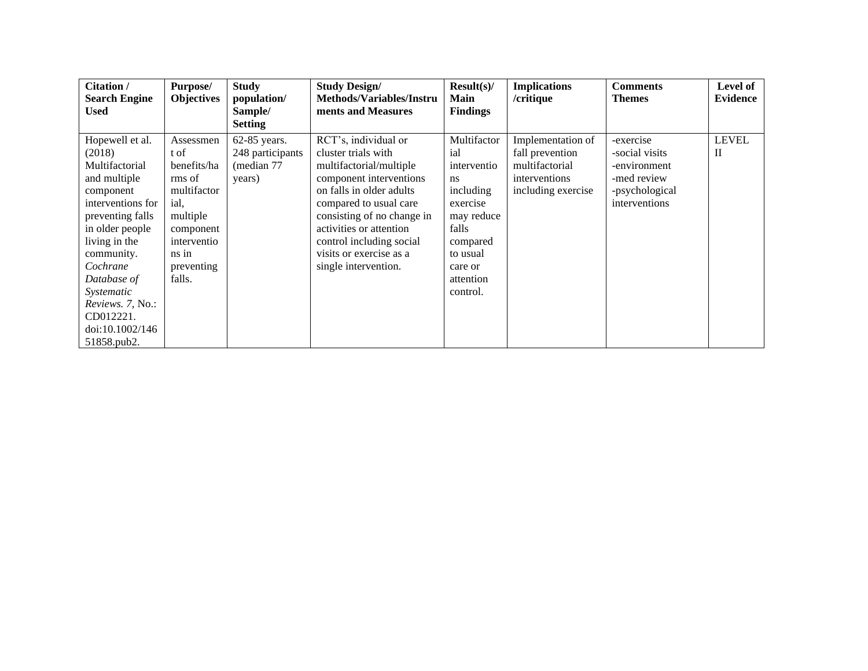| Citation /                                                                                                                                                                                                 | <b>Purpose/</b>                                                                                                       | <b>Study</b>                     | <b>Study Design/</b>                                                                                                                                                                                                                             | Result(s)                                                                                                                      | <b>Implications</b>                                   | <b>Comments</b>                                                | Level of          |
|------------------------------------------------------------------------------------------------------------------------------------------------------------------------------------------------------------|-----------------------------------------------------------------------------------------------------------------------|----------------------------------|--------------------------------------------------------------------------------------------------------------------------------------------------------------------------------------------------------------------------------------------------|--------------------------------------------------------------------------------------------------------------------------------|-------------------------------------------------------|----------------------------------------------------------------|-------------------|
| <b>Search Engine</b><br><b>Used</b>                                                                                                                                                                        | <b>Objectives</b>                                                                                                     | population/<br>Sample/           | <b>Methods/Variables/Instru</b><br>ments and Measures                                                                                                                                                                                            | <b>Main</b><br><b>Findings</b>                                                                                                 | /critique                                             | <b>Themes</b>                                                  | <b>Evidence</b>   |
|                                                                                                                                                                                                            |                                                                                                                       | <b>Setting</b>                   |                                                                                                                                                                                                                                                  |                                                                                                                                |                                                       |                                                                |                   |
| Hopewell et al.<br>(2018)                                                                                                                                                                                  | Assessmen<br>t of                                                                                                     | 62-85 years.<br>248 participants | RCT's, individual or<br>cluster trials with                                                                                                                                                                                                      | Multifactor<br>ial                                                                                                             | Implementation of<br>fall prevention                  | -exercise<br>-social visits                                    | <b>LEVEL</b><br>П |
| Multifactorial<br>and multiple<br>component<br>interventions for<br>preventing falls<br>in older people<br>living in the<br>community.<br>Cochrane<br>Database of<br>Systematic<br><i>Reviews. 7, No.:</i> | benefits/ha<br>rms of<br>multifactor<br>ial.<br>multiple<br>component<br>interventio<br>ns in<br>preventing<br>falls. | (median 77<br>years)             | multifactorial/multiple<br>component interventions<br>on falls in older adults<br>compared to usual care<br>consisting of no change in<br>activities or attention<br>control including social<br>visits or exercise as a<br>single intervention. | interventio<br>ns.<br>including<br>exercise<br>may reduce<br>falls<br>compared<br>to usual<br>care or<br>attention<br>control. | multifactorial<br>interventions<br>including exercise | -environment<br>-med review<br>-psychological<br>interventions |                   |
| CD012221.<br>doi:10.1002/146<br>51858.pub2.                                                                                                                                                                |                                                                                                                       |                                  |                                                                                                                                                                                                                                                  |                                                                                                                                |                                                       |                                                                |                   |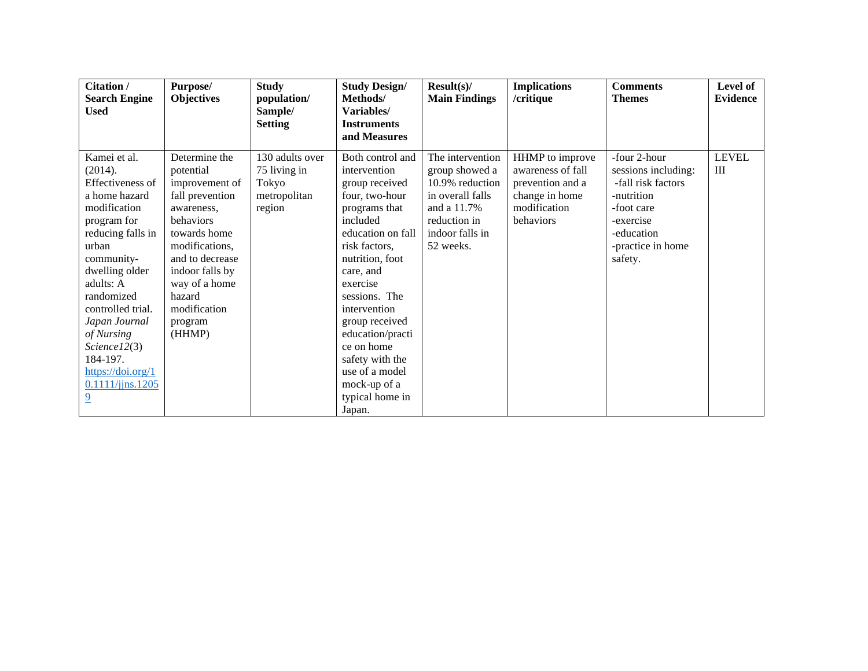| Citation /<br><b>Search Engine</b><br><b>Used</b> | Purpose/<br><b>Objectives</b>    | <b>Study</b><br>population/<br>Sample/<br><b>Setting</b> | <b>Study Design/</b><br>Methods/<br>Variables/<br><b>Instruments</b> | Result(s)<br><b>Main Findings</b>  | <b>Implications</b><br>/critique     | <b>Comments</b><br><b>Themes</b>    | Level of<br><b>Evidence</b> |
|---------------------------------------------------|----------------------------------|----------------------------------------------------------|----------------------------------------------------------------------|------------------------------------|--------------------------------------|-------------------------------------|-----------------------------|
|                                                   |                                  |                                                          | and Measures                                                         |                                    |                                      |                                     |                             |
| Kamei et al.<br>(2014).                           | Determine the<br>potential       | 130 adults over<br>75 living in                          | Both control and<br>intervention                                     | The intervention<br>group showed a | HHMP to improve<br>awareness of fall | -four 2-hour<br>sessions including: | <b>LEVEL</b><br>Ш           |
| Effectiveness of                                  | improvement of                   | Tokyo                                                    | group received                                                       | 10.9% reduction                    | prevention and a                     | -fall risk factors                  |                             |
| a home hazard                                     | fall prevention                  | metropolitan                                             | four, two-hour                                                       | in overall falls                   | change in home                       | -nutrition                          |                             |
| modification                                      | awareness,                       | region                                                   | programs that                                                        | and a 11.7%                        | modification                         | -foot care                          |                             |
| program for                                       | behaviors                        |                                                          | included                                                             | reduction in                       | behaviors                            | -exercise                           |                             |
| reducing falls in                                 | towards home                     |                                                          | education on fall                                                    | indoor falls in                    |                                      | -education                          |                             |
| urban                                             | modifications,                   |                                                          | risk factors,                                                        | 52 weeks.                          |                                      | -practice in home                   |                             |
| community-                                        | and to decrease                  |                                                          | nutrition, foot                                                      |                                    |                                      | safety.                             |                             |
| dwelling older<br>adults: A                       | indoor falls by<br>way of a home |                                                          | care, and<br>exercise                                                |                                    |                                      |                                     |                             |
| randomized                                        | hazard                           |                                                          | sessions. The                                                        |                                    |                                      |                                     |                             |
| controlled trial.                                 | modification                     |                                                          | intervention                                                         |                                    |                                      |                                     |                             |
| Japan Journal                                     | program                          |                                                          | group received                                                       |                                    |                                      |                                     |                             |
| of Nursing                                        | (HHMP)                           |                                                          | education/practi                                                     |                                    |                                      |                                     |                             |
| Science12(3)                                      |                                  |                                                          | ce on home                                                           |                                    |                                      |                                     |                             |
| 184-197.                                          |                                  |                                                          | safety with the                                                      |                                    |                                      |                                     |                             |
| $\frac{https://doi.org/1}{$                       |                                  |                                                          | use of a model                                                       |                                    |                                      |                                     |                             |
| 0.1111/jins.1205                                  |                                  |                                                          | mock-up of a                                                         |                                    |                                      |                                     |                             |
| $\overline{9}$                                    |                                  |                                                          | typical home in                                                      |                                    |                                      |                                     |                             |
|                                                   |                                  |                                                          | Japan.                                                               |                                    |                                      |                                     |                             |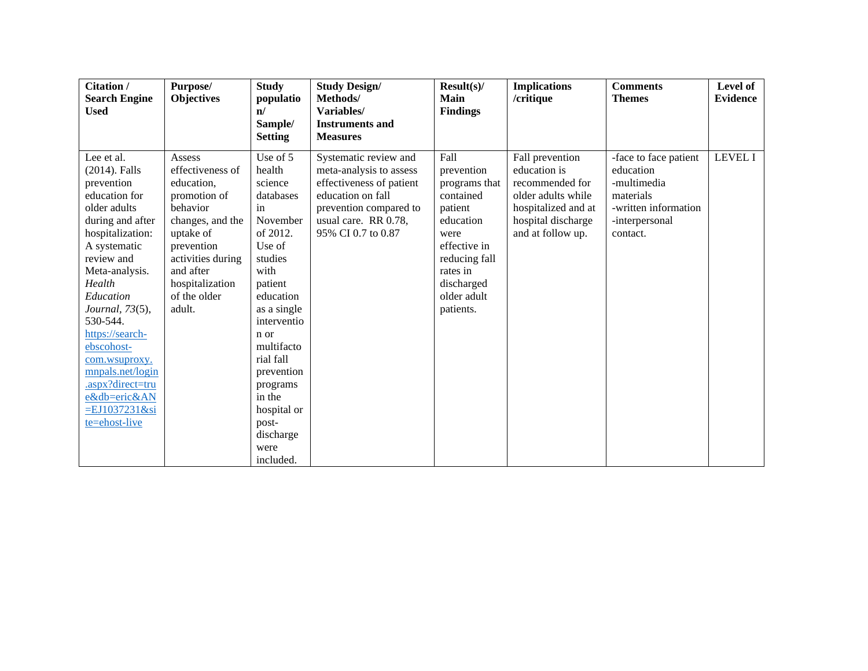| Citation /                                                                                                                                                                                                                                                                                                                                                                       | Purpose/                                                                                                                                                                                           | <b>Study</b>                                                                                                                                                                                                                                               | <b>Study Design/</b>                                                                                                                                                      | Result(s)                                                                                                                                                               | <b>Implications</b>                                                                                                                        | <b>Comments</b>                                                                                                      | Level of        |
|----------------------------------------------------------------------------------------------------------------------------------------------------------------------------------------------------------------------------------------------------------------------------------------------------------------------------------------------------------------------------------|----------------------------------------------------------------------------------------------------------------------------------------------------------------------------------------------------|------------------------------------------------------------------------------------------------------------------------------------------------------------------------------------------------------------------------------------------------------------|---------------------------------------------------------------------------------------------------------------------------------------------------------------------------|-------------------------------------------------------------------------------------------------------------------------------------------------------------------------|--------------------------------------------------------------------------------------------------------------------------------------------|----------------------------------------------------------------------------------------------------------------------|-----------------|
| <b>Search Engine</b><br><b>Used</b>                                                                                                                                                                                                                                                                                                                                              | <b>Objectives</b>                                                                                                                                                                                  | populatio<br>$\mathbf{n}$                                                                                                                                                                                                                                  | Methods/<br>Variables/                                                                                                                                                    | Main<br><b>Findings</b>                                                                                                                                                 | /critique                                                                                                                                  | <b>Themes</b>                                                                                                        | <b>Evidence</b> |
|                                                                                                                                                                                                                                                                                                                                                                                  |                                                                                                                                                                                                    | Sample/                                                                                                                                                                                                                                                    | <b>Instruments and</b>                                                                                                                                                    |                                                                                                                                                                         |                                                                                                                                            |                                                                                                                      |                 |
|                                                                                                                                                                                                                                                                                                                                                                                  |                                                                                                                                                                                                    | <b>Setting</b>                                                                                                                                                                                                                                             | <b>Measures</b>                                                                                                                                                           |                                                                                                                                                                         |                                                                                                                                            |                                                                                                                      |                 |
| Lee et al.<br>(2014). Falls<br>prevention<br>education for<br>older adults<br>during and after<br>hospitalization:<br>A systematic<br>review and<br>Meta-analysis.<br>Health<br>Education<br><i>Journal</i> , 73(5),<br>530-544.<br>https://search-<br>ebscohost-<br>com.wsuproxy.<br>mnpals.net/login<br>.aspx?direct=tru<br>e&db=eric&AN<br>$= EJ1037231&$ si<br>te=ehost-live | Assess<br>effectiveness of<br>education,<br>promotion of<br>behavior<br>changes, and the<br>uptake of<br>prevention<br>activities during<br>and after<br>hospitalization<br>of the older<br>adult. | Use of 5<br>health<br>science<br>databases<br>in<br>November<br>of 2012.<br>Use of<br>studies<br>with<br>patient<br>education<br>as a single<br>interventio<br>n or<br>multifacto<br>rial fall<br>prevention<br>programs<br>in the<br>hospital or<br>post- | Systematic review and<br>meta-analysis to assess<br>effectiveness of patient<br>education on fall<br>prevention compared to<br>usual care. RR 0.78,<br>95% CI 0.7 to 0.87 | Fall<br>prevention<br>programs that<br>contained<br>patient<br>education<br>were<br>effective in<br>reducing fall<br>rates in<br>discharged<br>older adult<br>patients. | Fall prevention<br>education is<br>recommended for<br>older adults while<br>hospitalized and at<br>hospital discharge<br>and at follow up. | -face to face patient<br>education<br>-multimedia<br>materials<br>-written information<br>-interpersonal<br>contact. | <b>LEVEL I</b>  |
|                                                                                                                                                                                                                                                                                                                                                                                  |                                                                                                                                                                                                    | discharge                                                                                                                                                                                                                                                  |                                                                                                                                                                           |                                                                                                                                                                         |                                                                                                                                            |                                                                                                                      |                 |
|                                                                                                                                                                                                                                                                                                                                                                                  |                                                                                                                                                                                                    | were                                                                                                                                                                                                                                                       |                                                                                                                                                                           |                                                                                                                                                                         |                                                                                                                                            |                                                                                                                      |                 |
|                                                                                                                                                                                                                                                                                                                                                                                  |                                                                                                                                                                                                    | included.                                                                                                                                                                                                                                                  |                                                                                                                                                                           |                                                                                                                                                                         |                                                                                                                                            |                                                                                                                      |                 |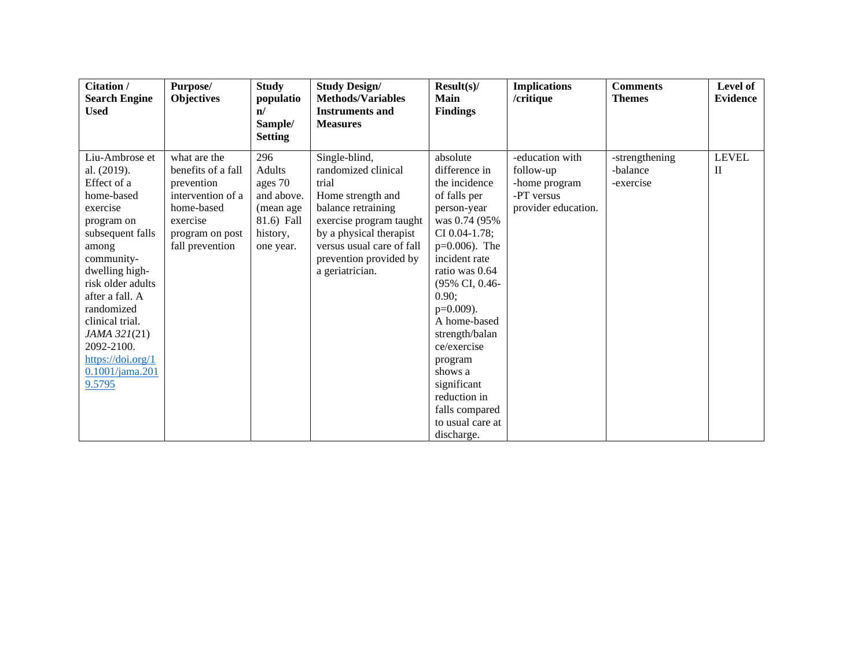| Citation /<br><b>Search Engine</b><br><b>Used</b>                                                                                                                                                                                                                                                             | Purpose/<br><b>Objectives</b>                                                                                                         | <b>Study</b><br>populatio<br>$\mathbf{n}$<br>Sample/<br><b>Setting</b>                      | <b>Study Design/</b><br><b>Methods/Variables</b><br><b>Instruments and</b><br><b>Measures</b>                                                                                                                            | $Result(s)$ /<br><b>Main</b><br><b>Findings</b>                                                                                                                                                                                                                                                                                                                          | <b>Implications</b><br>/critique                                                   | <b>Comments</b><br><b>Themes</b>        | Level of<br><b>Evidence</b>  |
|---------------------------------------------------------------------------------------------------------------------------------------------------------------------------------------------------------------------------------------------------------------------------------------------------------------|---------------------------------------------------------------------------------------------------------------------------------------|---------------------------------------------------------------------------------------------|--------------------------------------------------------------------------------------------------------------------------------------------------------------------------------------------------------------------------|--------------------------------------------------------------------------------------------------------------------------------------------------------------------------------------------------------------------------------------------------------------------------------------------------------------------------------------------------------------------------|------------------------------------------------------------------------------------|-----------------------------------------|------------------------------|
| Liu-Ambrose et<br>al. (2019).<br>Effect of a<br>home-based<br>exercise<br>program on<br>subsequent falls<br>among<br>community-<br>dwelling high-<br>risk older adults<br>after a fall. A<br>randomized<br>clinical trial.<br>JAMA 321(21)<br>2092-2100.<br>https://doi.org/1<br>$0.1001/$ jama.201<br>9.5795 | what are the<br>benefits of a fall<br>prevention<br>intervention of a<br>home-based<br>exercise<br>program on post<br>fall prevention | 296<br>Adults<br>ages 70<br>and above.<br>(mean age)<br>81.6) Fall<br>history,<br>one year. | Single-blind,<br>randomized clinical<br>trial<br>Home strength and<br>balance retraining<br>exercise program taught<br>by a physical therapist<br>versus usual care of fall<br>prevention provided by<br>a geriatrician. | absolute<br>difference in<br>the incidence<br>of falls per<br>person-year<br>was 0.74 (95%)<br>CI 0.04-1.78;<br>$p=0.006$ ). The<br>incident rate<br>ratio was 0.64<br>(95% CI, 0.46-<br>0.90:<br>$p=0.009$ ).<br>A home-based<br>strength/balan<br>ce/exercise<br>program<br>shows a<br>significant<br>reduction in<br>falls compared<br>to usual care at<br>discharge. | -education with<br>follow-up<br>-home program<br>-PT versus<br>provider education. | -strengthening<br>-balance<br>-exercise | <b>LEVEL</b><br>$\mathbf{H}$ |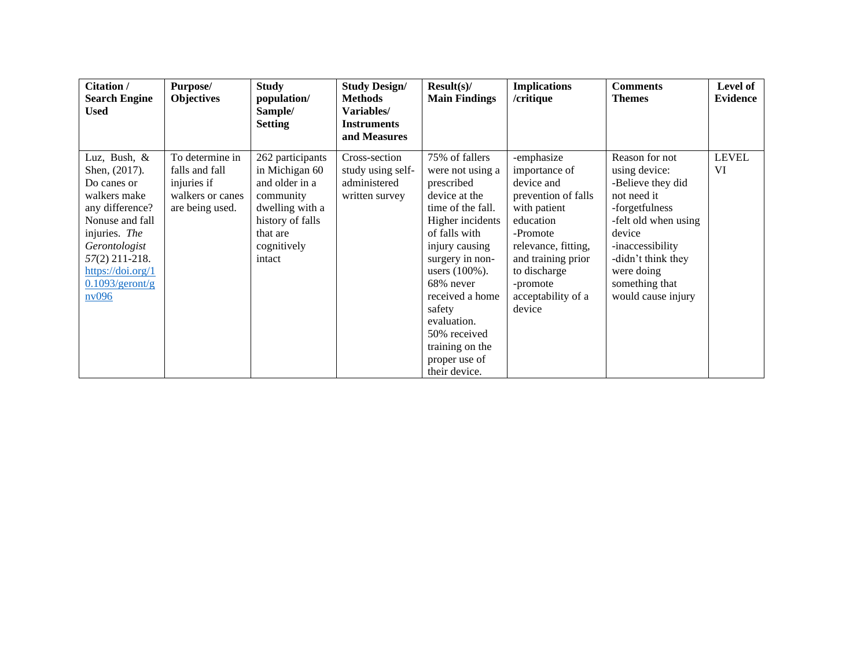| Citation /<br><b>Search Engine</b><br><b>Used</b>                                                                                                                                                          | Purpose/<br><b>Objectives</b>                                                           | <b>Study</b><br>population/<br>Sample/<br><b>Setting</b>                                                                                      | <b>Study Design/</b><br><b>Methods</b><br>Variables/<br><b>Instruments</b><br>and Measures | Result(s)<br><b>Main Findings</b>                                                                                                                                                                                                                                                                                   | <b>Implications</b><br>/critique                                                                                                                                                                                   | <b>Comments</b><br><b>Themes</b>                                                                                                                                                                                        | Level of<br><b>Evidence</b> |
|------------------------------------------------------------------------------------------------------------------------------------------------------------------------------------------------------------|-----------------------------------------------------------------------------------------|-----------------------------------------------------------------------------------------------------------------------------------------------|--------------------------------------------------------------------------------------------|---------------------------------------------------------------------------------------------------------------------------------------------------------------------------------------------------------------------------------------------------------------------------------------------------------------------|--------------------------------------------------------------------------------------------------------------------------------------------------------------------------------------------------------------------|-------------------------------------------------------------------------------------------------------------------------------------------------------------------------------------------------------------------------|-----------------------------|
| Luz, Bush, &<br>Shen, (2017).<br>Do canes or<br>walkers make<br>any difference?<br>Nonuse and fall<br>injuries. The<br>Gerontologist<br>57(2) 211-218.<br>https://doi.org/1<br>$0.1093$ /geront/g<br>nv096 | To determine in<br>falls and fall<br>injuries if<br>walkers or canes<br>are being used. | 262 participants<br>in Michigan 60<br>and older in a<br>community<br>dwelling with a<br>history of falls<br>that are<br>cognitively<br>intact | Cross-section<br>study using self-<br>administered<br>written survey                       | 75% of fallers<br>were not using a<br>prescribed<br>device at the<br>time of the fall.<br>Higher incidents<br>of falls with<br>injury causing<br>surgery in non-<br>users $(100\%)$ .<br>68% never<br>received a home<br>safety<br>evaluation.<br>50% received<br>training on the<br>proper use of<br>their device. | -emphasize<br>importance of<br>device and<br>prevention of falls<br>with patient<br>education<br>-Promote<br>relevance, fitting,<br>and training prior<br>to discharge<br>-promote<br>acceptability of a<br>device | Reason for not<br>using device:<br>-Believe they did<br>not need it<br>-forgetfulness<br>-felt old when using<br>device<br>-inaccessibility<br>-didn't think they<br>were doing<br>something that<br>would cause injury | <b>LEVEL</b><br>VI          |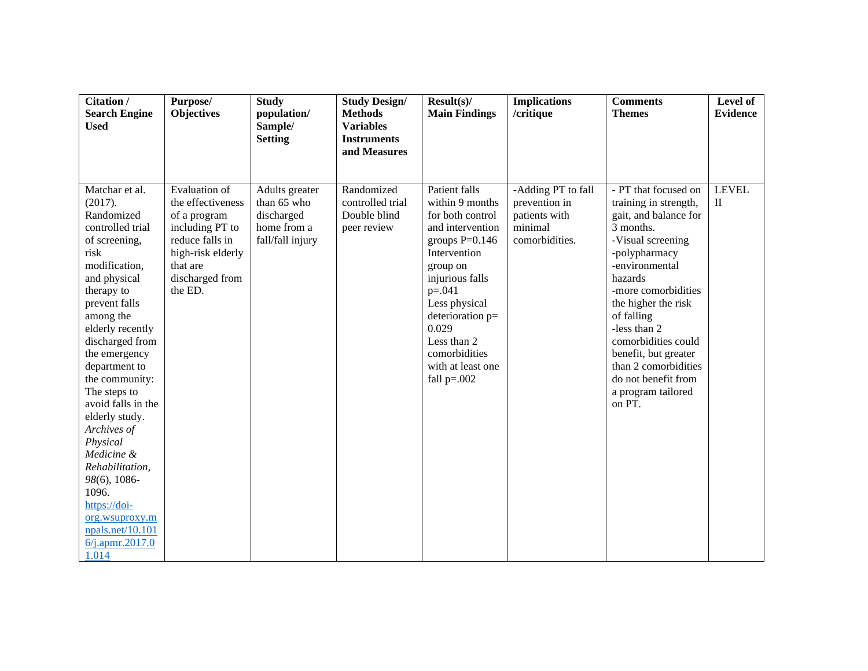| Citation /<br><b>Search Engine</b>                                                                                                                                                                                                                                                                                                                                                                                                                                                          | Purpose/<br><b>Objectives</b>                                                                                                                           | <b>Study</b><br>population/                                                    | <b>Study Design/</b><br><b>Methods</b>                        | $Result(s)$ /<br><b>Main Findings</b>                                                                                                                                                                                                                                       | <b>Implications</b><br>/critique                                                  | <b>Comments</b><br><b>Themes</b>                                                                                                                                                                                                                                                                                                                                 | Level of<br><b>Evidence</b>  |
|---------------------------------------------------------------------------------------------------------------------------------------------------------------------------------------------------------------------------------------------------------------------------------------------------------------------------------------------------------------------------------------------------------------------------------------------------------------------------------------------|---------------------------------------------------------------------------------------------------------------------------------------------------------|--------------------------------------------------------------------------------|---------------------------------------------------------------|-----------------------------------------------------------------------------------------------------------------------------------------------------------------------------------------------------------------------------------------------------------------------------|-----------------------------------------------------------------------------------|------------------------------------------------------------------------------------------------------------------------------------------------------------------------------------------------------------------------------------------------------------------------------------------------------------------------------------------------------------------|------------------------------|
| <b>Used</b>                                                                                                                                                                                                                                                                                                                                                                                                                                                                                 |                                                                                                                                                         | Sample/<br><b>Setting</b>                                                      | <b>Variables</b><br><b>Instruments</b><br>and Measures        |                                                                                                                                                                                                                                                                             |                                                                                   |                                                                                                                                                                                                                                                                                                                                                                  |                              |
| Matchar et al.<br>(2017).<br>Randomized<br>controlled trial<br>of screening,<br>risk<br>modification,<br>and physical<br>therapy to<br>prevent falls<br>among the<br>elderly recently<br>discharged from<br>the emergency<br>department to<br>the community:<br>The steps to<br>avoid falls in the<br>elderly study.<br>Archives of<br>Physical<br>Medicine &<br>Rehabilitation,<br>98(6), 1086-<br>1096.<br>https://doi-<br>org.wsuproxy.m<br>npals.net/10.101<br>6/j.apmr.2017.0<br>1.014 | Evaluation of<br>the effectiveness<br>of a program<br>including PT to<br>reduce falls in<br>high-risk elderly<br>that are<br>discharged from<br>the ED. | Adults greater<br>than 65 who<br>discharged<br>home from a<br>fall/fall injury | Randomized<br>controlled trial<br>Double blind<br>peer review | Patient falls<br>within 9 months<br>for both control<br>and intervention<br>groups $P=0.146$<br>Intervention<br>group on<br>injurious falls<br>$p=.041$<br>Less physical<br>deterioration p=<br>0.029<br>Less than 2<br>comorbidities<br>with at least one<br>fall $p=.002$ | -Adding PT to fall<br>prevention in<br>patients with<br>minimal<br>comorbidities. | - PT that focused on<br>training in strength,<br>gait, and balance for<br>3 months.<br>-Visual screening<br>-polypharmacy<br>-environmental<br>hazards<br>-more comorbidities<br>the higher the risk<br>of falling<br>-less than 2<br>comorbidities could<br>benefit, but greater<br>than 2 comorbidities<br>do not benefit from<br>a program tailored<br>on PT. | <b>LEVEL</b><br>$\mathbf{I}$ |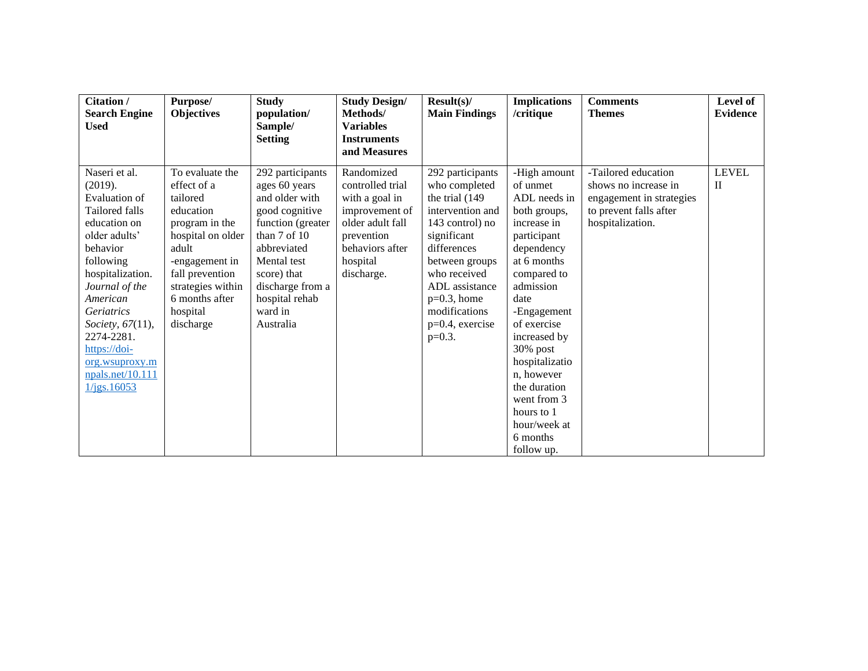| Citation /<br><b>Search Engine</b><br><b>Used</b>                                                                                                                                                                                                                                                   | Purpose/<br><b>Objectives</b>                                                                                                                                                                                | <b>Study</b><br>population/<br>Sample/<br><b>Setting</b>                                                                                                                                                              | <b>Study Design/</b><br>Methods/<br><b>Variables</b><br><b>Instruments</b><br>and Measures                                                        | Result(s)<br><b>Main Findings</b>                                                                                                                                                                                                                   | <b>Implications</b><br>/critique                                                                                                                                                                                                                                                                                                            | <b>Comments</b><br><b>Themes</b>                                                                                      | Level of<br><b>Evidence</b>  |
|-----------------------------------------------------------------------------------------------------------------------------------------------------------------------------------------------------------------------------------------------------------------------------------------------------|--------------------------------------------------------------------------------------------------------------------------------------------------------------------------------------------------------------|-----------------------------------------------------------------------------------------------------------------------------------------------------------------------------------------------------------------------|---------------------------------------------------------------------------------------------------------------------------------------------------|-----------------------------------------------------------------------------------------------------------------------------------------------------------------------------------------------------------------------------------------------------|---------------------------------------------------------------------------------------------------------------------------------------------------------------------------------------------------------------------------------------------------------------------------------------------------------------------------------------------|-----------------------------------------------------------------------------------------------------------------------|------------------------------|
| Naseri et al.<br>(2019).<br>Evaluation of<br>Tailored falls<br>education on<br>older adults'<br>behavior<br>following<br>hospitalization.<br>Journal of the<br>American<br><i>Geriatrics</i><br>Society, 67(11),<br>2274-2281.<br>https://doi-<br>org.wsuproxy.m<br>npals.net/10.111<br>1/jgs.16053 | To evaluate the<br>effect of a<br>tailored<br>education<br>program in the<br>hospital on older<br>adult<br>-engagement in<br>fall prevention<br>strategies within<br>6 months after<br>hospital<br>discharge | 292 participants<br>ages 60 years<br>and older with<br>good cognitive<br>function (greater<br>than 7 of 10<br>abbreviated<br>Mental test<br>score) that<br>discharge from a<br>hospital rehab<br>ward in<br>Australia | Randomized<br>controlled trial<br>with a goal in<br>improvement of<br>older adult fall<br>prevention<br>behaviors after<br>hospital<br>discharge. | 292 participants<br>who completed<br>the trial (149)<br>intervention and<br>143 control) no<br>significant<br>differences<br>between groups<br>who received<br>ADL assistance<br>$p=0.3$ , home<br>modifications<br>$p=0.4$ , exercise<br>$p=0.3$ . | -High amount<br>of unmet<br>ADL needs in<br>both groups,<br>increase in<br>participant<br>dependency<br>at 6 months<br>compared to<br>admission<br>date<br>-Engagement<br>of exercise<br>increased by<br>$30\%$ post<br>hospitalizatio<br>n. however<br>the duration<br>went from 3<br>hours to 1<br>hour/week at<br>6 months<br>follow up. | -Tailored education<br>shows no increase in<br>engagement in strategies<br>to prevent falls after<br>hospitalization. | <b>LEVEL</b><br>$\mathbf{I}$ |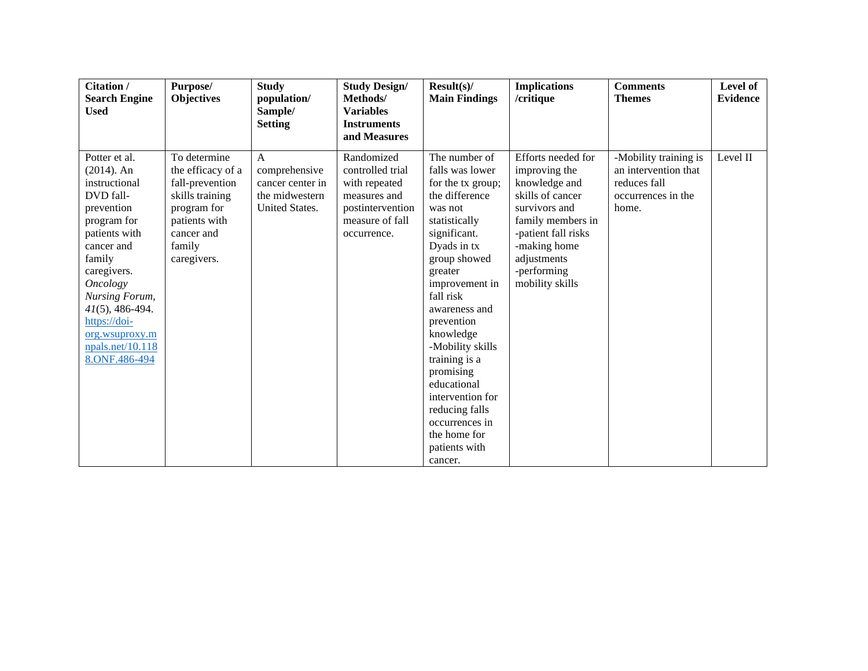| Citation /                           | Purpose/          | <b>Study</b>          | <b>Study Design/</b> | Result(s)                   | <b>Implications</b> | <b>Comments</b>       | Level of        |
|--------------------------------------|-------------------|-----------------------|----------------------|-----------------------------|---------------------|-----------------------|-----------------|
| <b>Search Engine</b>                 | <b>Objectives</b> | population/           | Methods/             | <b>Main Findings</b>        | /critique           | <b>Themes</b>         | <b>Evidence</b> |
| <b>Used</b>                          |                   | Sample/               | <b>Variables</b>     |                             |                     |                       |                 |
|                                      |                   | <b>Setting</b>        | <b>Instruments</b>   |                             |                     |                       |                 |
|                                      |                   |                       | and Measures         |                             |                     |                       |                 |
| Potter et al.                        | To determine      | $\mathsf{A}$          | Randomized           | The number of               | Efforts needed for  | -Mobility training is | Level II        |
| $(2014)$ . An                        | the efficacy of a | comprehensive         | controlled trial     | falls was lower             | improving the       | an intervention that  |                 |
| instructional                        | fall-prevention   | cancer center in      | with repeated        | for the tx group;           | knowledge and       | reduces fall          |                 |
| DVD fall-                            | skills training   | the midwestern        | measures and         | the difference              | skills of cancer    | occurrences in the    |                 |
| prevention                           | program for       | <b>United States.</b> | postintervention     | was not                     | survivors and       | home.                 |                 |
| program for                          | patients with     |                       | measure of fall      | statistically               | family members in   |                       |                 |
| patients with                        | cancer and        |                       | occurrence.          | significant.                | -patient fall risks |                       |                 |
| cancer and                           | family            |                       |                      | Dyads in tx                 | -making home        |                       |                 |
| family                               | caregivers.       |                       |                      | group showed                | adjustments         |                       |                 |
| caregivers.                          |                   |                       |                      | greater                     | -performing         |                       |                 |
| <b>Oncology</b>                      |                   |                       |                      | improvement in<br>fall risk | mobility skills     |                       |                 |
| Nursing Forum,<br>$41(5)$ , 486-494. |                   |                       |                      | awareness and               |                     |                       |                 |
| https://doi-                         |                   |                       |                      | prevention                  |                     |                       |                 |
| org.wsuproxy.m                       |                   |                       |                      | knowledge                   |                     |                       |                 |
| npals.net/10.118                     |                   |                       |                      | -Mobility skills            |                     |                       |                 |
| 8.ONF.486-494                        |                   |                       |                      | training is a               |                     |                       |                 |
|                                      |                   |                       |                      | promising                   |                     |                       |                 |
|                                      |                   |                       |                      | educational                 |                     |                       |                 |
|                                      |                   |                       |                      | intervention for            |                     |                       |                 |
|                                      |                   |                       |                      | reducing falls              |                     |                       |                 |
|                                      |                   |                       |                      | occurrences in              |                     |                       |                 |
|                                      |                   |                       |                      | the home for                |                     |                       |                 |
|                                      |                   |                       |                      | patients with               |                     |                       |                 |
|                                      |                   |                       |                      | cancer.                     |                     |                       |                 |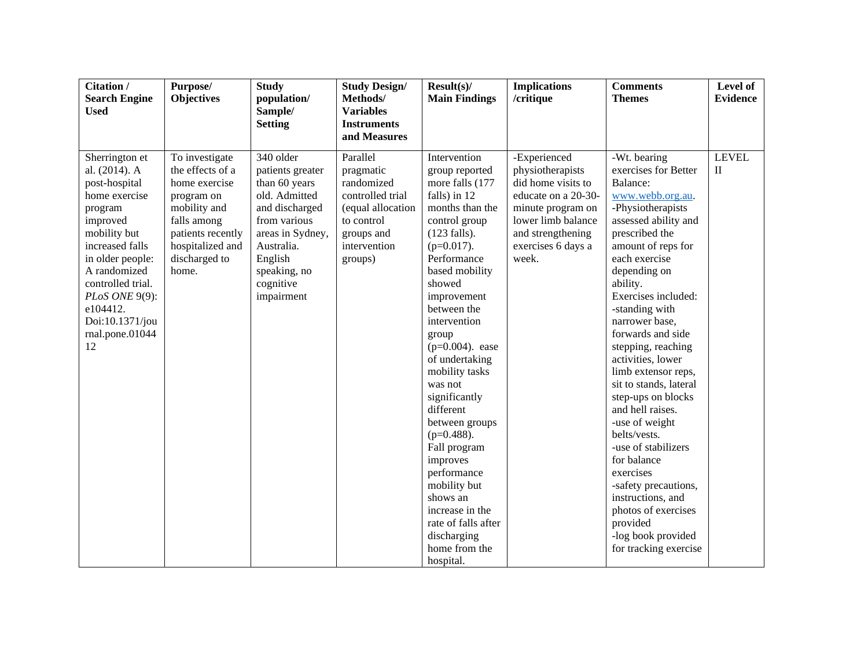| Citation /<br><b>Search Engine</b><br><b>Used</b>                                                                                                                                                                                                              | Purpose/<br><b>Objectives</b>                                                                                                                                       | <b>Study</b><br>population/<br>Sample/<br><b>Setting</b>                                                                                                                                  | <b>Study Design/</b><br>Methods/<br><b>Variables</b><br><b>Instruments</b>                                                                          | Result(s)<br><b>Main Findings</b>                                                                                                                                                                                                                                                                                                                                                                                                                                                                                                              | <b>Implications</b><br>/critique                                                                                                                                             | <b>Comments</b><br><b>Themes</b>                                                                                                                                                                                                                                                                                                                                                                                                                                                                                                                                                                                                                 | Level of<br><b>Evidence</b>  |
|----------------------------------------------------------------------------------------------------------------------------------------------------------------------------------------------------------------------------------------------------------------|---------------------------------------------------------------------------------------------------------------------------------------------------------------------|-------------------------------------------------------------------------------------------------------------------------------------------------------------------------------------------|-----------------------------------------------------------------------------------------------------------------------------------------------------|------------------------------------------------------------------------------------------------------------------------------------------------------------------------------------------------------------------------------------------------------------------------------------------------------------------------------------------------------------------------------------------------------------------------------------------------------------------------------------------------------------------------------------------------|------------------------------------------------------------------------------------------------------------------------------------------------------------------------------|--------------------------------------------------------------------------------------------------------------------------------------------------------------------------------------------------------------------------------------------------------------------------------------------------------------------------------------------------------------------------------------------------------------------------------------------------------------------------------------------------------------------------------------------------------------------------------------------------------------------------------------------------|------------------------------|
| Sherrington et<br>al. (2014). A<br>post-hospital<br>home exercise<br>program<br>improved<br>mobility but<br>increased falls<br>in older people:<br>A randomized<br>controlled trial.<br>PLoS ONE 9(9):<br>e104412.<br>Doi:10.1371/jou<br>rnal.pone.01044<br>12 | To investigate<br>the effects of a<br>home exercise<br>program on<br>mobility and<br>falls among<br>patients recently<br>hospitalized and<br>discharged to<br>home. | 340 older<br>patients greater<br>than 60 years<br>old. Admitted<br>and discharged<br>from various<br>areas in Sydney,<br>Australia.<br>English<br>speaking, no<br>cognitive<br>impairment | and Measures<br>Parallel<br>pragmatic<br>randomized<br>controlled trial<br>(equal allocation<br>to control<br>groups and<br>intervention<br>groups) | Intervention<br>group reported<br>more falls (177<br>falls) in 12<br>months than the<br>control group<br>$(123$ falls).<br>$(p=0.017)$ .<br>Performance<br>based mobility<br>showed<br>improvement<br>between the<br>intervention<br>group<br>$(p=0.004)$ . ease<br>of undertaking<br>mobility tasks<br>was not<br>significantly<br>different<br>between groups<br>$(p=0.488)$ .<br>Fall program<br>improves<br>performance<br>mobility but<br>shows an<br>increase in the<br>rate of falls after<br>discharging<br>home from the<br>hospital. | -Experienced<br>physiotherapists<br>did home visits to<br>educate on a 20-30-<br>minute program on<br>lower limb balance<br>and strengthening<br>exercises 6 days a<br>week. | -Wt. bearing<br>exercises for Better<br>Balance:<br>www.webb.org.au.<br>-Physiotherapists<br>assessed ability and<br>prescribed the<br>amount of reps for<br>each exercise<br>depending on<br>ability.<br>Exercises included:<br>-standing with<br>narrower base,<br>forwards and side<br>stepping, reaching<br>activities, lower<br>limb extensor reps,<br>sit to stands, lateral<br>step-ups on blocks<br>and hell raises.<br>-use of weight<br>belts/vests.<br>-use of stabilizers<br>for balance<br>exercises<br>-safety precautions,<br>instructions, and<br>photos of exercises<br>provided<br>-log book provided<br>for tracking exercise | <b>LEVEL</b><br>$\mathbf{I}$ |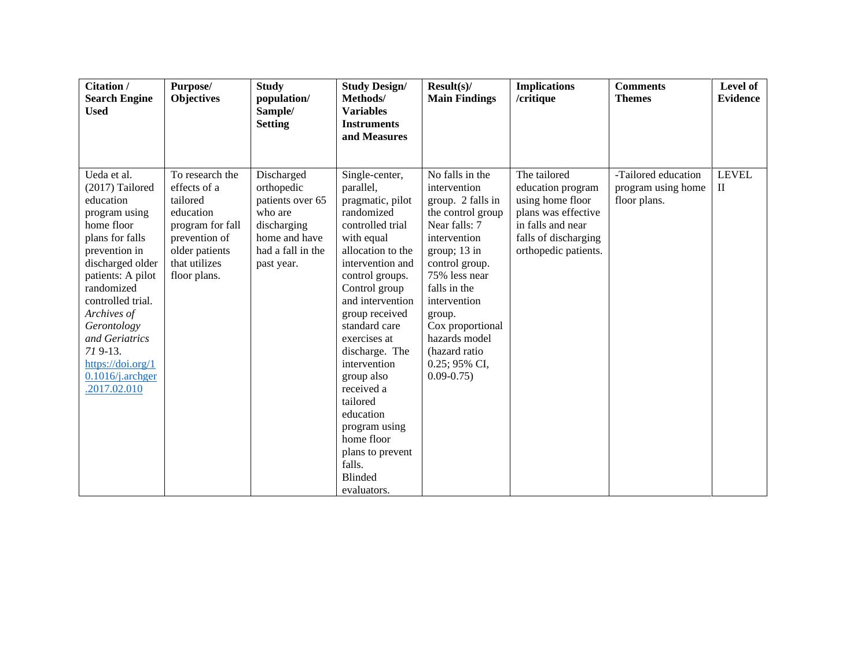| Citation /<br>Purpose/<br><b>Objectives</b><br><b>Search Engine</b><br><b>Used</b>                                                                                                                                                                                                                                                                                                                                                                                      | <b>Study</b><br>population/<br>Sample/<br><b>Setting</b>                                                                   | <b>Study Design/</b><br>Methods/<br><b>Variables</b><br><b>Instruments</b>                                                                                                                                                                                                                                                                                                                                                         | Result(s)<br><b>Main Findings</b>                                                                                                                                                                                                                                                                | <b>Implications</b><br>/critique                                                                                                                  | <b>Comments</b><br><b>Themes</b>                          | Level of<br><b>Evidence</b>  |
|-------------------------------------------------------------------------------------------------------------------------------------------------------------------------------------------------------------------------------------------------------------------------------------------------------------------------------------------------------------------------------------------------------------------------------------------------------------------------|----------------------------------------------------------------------------------------------------------------------------|------------------------------------------------------------------------------------------------------------------------------------------------------------------------------------------------------------------------------------------------------------------------------------------------------------------------------------------------------------------------------------------------------------------------------------|--------------------------------------------------------------------------------------------------------------------------------------------------------------------------------------------------------------------------------------------------------------------------------------------------|---------------------------------------------------------------------------------------------------------------------------------------------------|-----------------------------------------------------------|------------------------------|
| Ueda et al.<br>To research the<br>(2017) Tailored<br>effects of a<br>tailored<br>education<br>education<br>program using<br>home floor<br>program for fall<br>plans for falls<br>prevention of<br>older patients<br>prevention in<br>that utilizes<br>discharged older<br>patients: A pilot<br>floor plans.<br>randomized<br>controlled trial.<br>Archives of<br>Gerontology<br>and Geriatrics<br>$719-13.$<br>https://doi.org/1<br>$0.1016$ /j.archger<br>.2017.02.010 | Discharged<br>orthopedic<br>patients over 65<br>who are<br>discharging<br>home and have<br>had a fall in the<br>past year. | and Measures<br>Single-center,<br>parallel,<br>pragmatic, pilot<br>randomized<br>controlled trial<br>with equal<br>allocation to the<br>intervention and<br>control groups.<br>Control group<br>and intervention<br>group received<br>standard care<br>exercises at<br>discharge. The<br>intervention<br>group also<br>received a<br>tailored<br>education<br>program using<br>home floor<br>plans to prevent<br>falls.<br>Blinded | No falls in the<br>intervention<br>group. 2 falls in<br>the control group<br>Near falls: 7<br>intervention<br>group; 13 in<br>control group.<br>75% less near<br>falls in the<br>intervention<br>group.<br>Cox proportional<br>hazards model<br>(hazard ratio)<br>0.25; 95% CI,<br>$0.09 - 0.75$ | The tailored<br>education program<br>using home floor<br>plans was effective<br>in falls and near<br>falls of discharging<br>orthopedic patients. | -Tailored education<br>program using home<br>floor plans. | <b>LEVEL</b><br>$\mathbf{I}$ |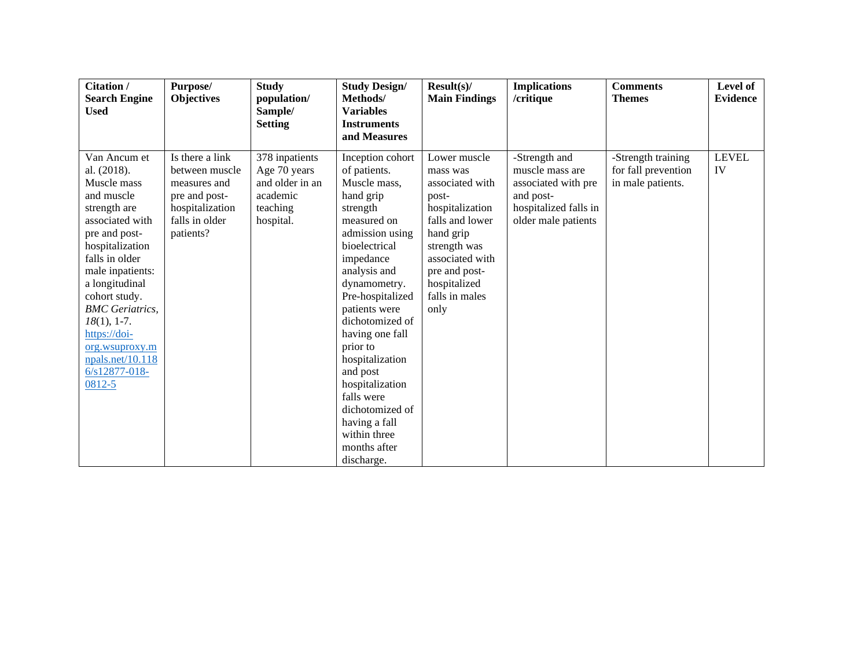| <b>Citation /</b><br><b>Search Engine</b><br><b>Used</b>                                                                                                                                                                                                                                                                               | Purpose/<br><b>Objectives</b>                                                                                        | <b>Study</b><br>population/<br>Sample/<br><b>Setting</b>                               | <b>Study Design/</b><br>Methods/<br><b>Variables</b><br><b>Instruments</b><br>and Measures                                                                                                                                                                                                                                                                                                                         | Result(s)<br><b>Main Findings</b>                                                                                                                                                                     | <b>Implications</b><br>/critique                                                                                     | <b>Comments</b><br><b>Themes</b>                               | Level of<br>Evidence |
|----------------------------------------------------------------------------------------------------------------------------------------------------------------------------------------------------------------------------------------------------------------------------------------------------------------------------------------|----------------------------------------------------------------------------------------------------------------------|----------------------------------------------------------------------------------------|--------------------------------------------------------------------------------------------------------------------------------------------------------------------------------------------------------------------------------------------------------------------------------------------------------------------------------------------------------------------------------------------------------------------|-------------------------------------------------------------------------------------------------------------------------------------------------------------------------------------------------------|----------------------------------------------------------------------------------------------------------------------|----------------------------------------------------------------|----------------------|
| Van Ancum et<br>al. (2018).<br>Muscle mass<br>and muscle<br>strength are<br>associated with<br>pre and post-<br>hospitalization<br>falls in older<br>male inpatients:<br>a longitudinal<br>cohort study.<br><b>BMC</b> Geriatrics,<br>$18(1), 1-7.$<br>https://doi-<br>org.wsuproxy.m<br>npals.net/10.118<br>$6/s12877-018-$<br>0812-5 | Is there a link<br>between muscle<br>measures and<br>pre and post-<br>hospitalization<br>falls in older<br>patients? | 378 inpatients<br>Age 70 years<br>and older in an<br>academic<br>teaching<br>hospital. | Inception cohort<br>of patients.<br>Muscle mass,<br>hand grip<br>strength<br>measured on<br>admission using<br>bioelectrical<br>impedance<br>analysis and<br>dynamometry.<br>Pre-hospitalized<br>patients were<br>dichotomized of<br>having one fall<br>prior to<br>hospitalization<br>and post<br>hospitalization<br>falls were<br>dichotomized of<br>having a fall<br>within three<br>months after<br>discharge. | Lower muscle<br>mass was<br>associated with<br>post-<br>hospitalization<br>falls and lower<br>hand grip<br>strength was<br>associated with<br>pre and post-<br>hospitalized<br>falls in males<br>only | -Strength and<br>muscle mass are<br>associated with pre<br>and post-<br>hospitalized falls in<br>older male patients | -Strength training<br>for fall prevention<br>in male patients. | <b>LEVEL</b><br>IV   |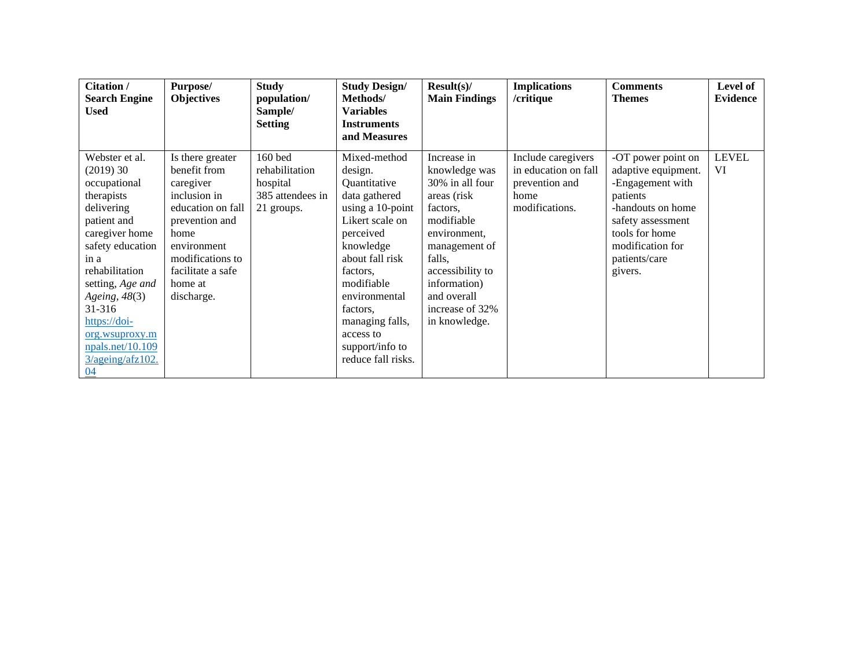| Citation /<br><b>Search Engine</b>                                                                                                                                                                                                                                                          | Purpose/<br><b>Objectives</b>                                                                                                                                                                 | <b>Study</b><br>population/                                             | <b>Study Design/</b><br>Methods/                                                                                                                                                                                                                                             | Result(s)<br><b>Main Findings</b>                                                                                                                                                                                           | <b>Implications</b><br>/critique                                                       | <b>Comments</b><br><b>Themes</b>                                                                                                                                                      | Level of<br><b>Evidence</b> |
|---------------------------------------------------------------------------------------------------------------------------------------------------------------------------------------------------------------------------------------------------------------------------------------------|-----------------------------------------------------------------------------------------------------------------------------------------------------------------------------------------------|-------------------------------------------------------------------------|------------------------------------------------------------------------------------------------------------------------------------------------------------------------------------------------------------------------------------------------------------------------------|-----------------------------------------------------------------------------------------------------------------------------------------------------------------------------------------------------------------------------|----------------------------------------------------------------------------------------|---------------------------------------------------------------------------------------------------------------------------------------------------------------------------------------|-----------------------------|
| Used                                                                                                                                                                                                                                                                                        |                                                                                                                                                                                               | Sample/<br><b>Setting</b>                                               | <b>Variables</b><br><b>Instruments</b><br>and Measures                                                                                                                                                                                                                       |                                                                                                                                                                                                                             |                                                                                        |                                                                                                                                                                                       |                             |
| Webster et al.<br>(2019)30<br>occupational<br>therapists<br>delivering<br>patient and<br>caregiver home<br>safety education<br>in a<br>rehabilitation<br>setting, Age and<br>Ageing, 48(3)<br>31-316<br>https://doi-<br>org.wsuproxy.m<br>npals.net/10.109<br>$3/a$ geing/afz $102$ .<br>04 | Is there greater<br>benefit from<br>caregiver<br>inclusion in<br>education on fall<br>prevention and<br>home<br>environment<br>modifications to<br>facilitate a safe<br>home at<br>discharge. | 160 bed<br>rehabilitation<br>hospital<br>385 attendees in<br>21 groups. | Mixed-method<br>design.<br>Quantitative<br>data gathered<br>using a 10-point<br>Likert scale on<br>perceived<br>knowledge<br>about fall risk<br>factors.<br>modifiable<br>environmental<br>factors.<br>managing falls,<br>access to<br>support/info to<br>reduce fall risks. | Increase in<br>knowledge was<br>30% in all four<br>areas (risk)<br>factors.<br>modifiable<br>environment,<br>management of<br>falls,<br>accessibility to<br>information)<br>and overall<br>increase of 32%<br>in knowledge. | Include caregivers<br>in education on fall<br>prevention and<br>home<br>modifications. | -OT power point on<br>adaptive equipment.<br>-Engagement with<br>patients<br>-handouts on home<br>safety assessment<br>tools for home<br>modification for<br>patients/care<br>givers. | <b>LEVEL</b><br>VI          |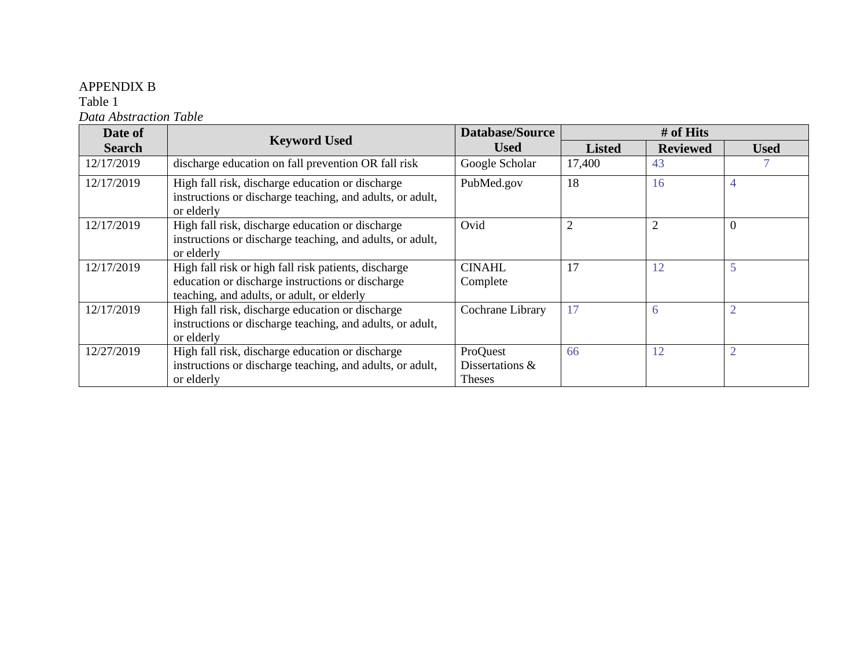## APPENDIX B

Table 1

*Data Abstraction Table*

| Date of       |                                                                                                                                                        | <b>Database/Source</b>                       | # of Hits      |                 |                |  |  |
|---------------|--------------------------------------------------------------------------------------------------------------------------------------------------------|----------------------------------------------|----------------|-----------------|----------------|--|--|
| <b>Search</b> | <b>Keyword Used</b>                                                                                                                                    | <b>Used</b>                                  | <b>Listed</b>  | <b>Reviewed</b> | <b>Used</b>    |  |  |
| 12/17/2019    | discharge education on fall prevention OR fall risk                                                                                                    | Google Scholar                               | 17,400         | 43              |                |  |  |
| 12/17/2019    | High fall risk, discharge education or discharge<br>instructions or discharge teaching, and adults, or adult,<br>or elderly                            | PubMed.gov                                   | 18             | 16              | 4              |  |  |
| 12/17/2019    | High fall risk, discharge education or discharge<br>instructions or discharge teaching, and adults, or adult,<br>or elderly                            | Ovid                                         | $\overline{2}$ | $\overline{2}$  | $\Omega$       |  |  |
| 12/17/2019    | High fall risk or high fall risk patients, discharge<br>education or discharge instructions or discharge<br>teaching, and adults, or adult, or elderly | <b>CINAHL</b><br>Complete                    | 17             | 12              | 5              |  |  |
| 12/17/2019    | High fall risk, discharge education or discharge<br>instructions or discharge teaching, and adults, or adult,<br>or elderly                            | Cochrane Library                             | 17             | 6               | $\overline{2}$ |  |  |
| 12/27/2019    | High fall risk, discharge education or discharge<br>instructions or discharge teaching, and adults, or adult,<br>or elderly                            | ProQuest<br>Dissertations &<br><b>Theses</b> | 66             | 12              | $\overline{2}$ |  |  |